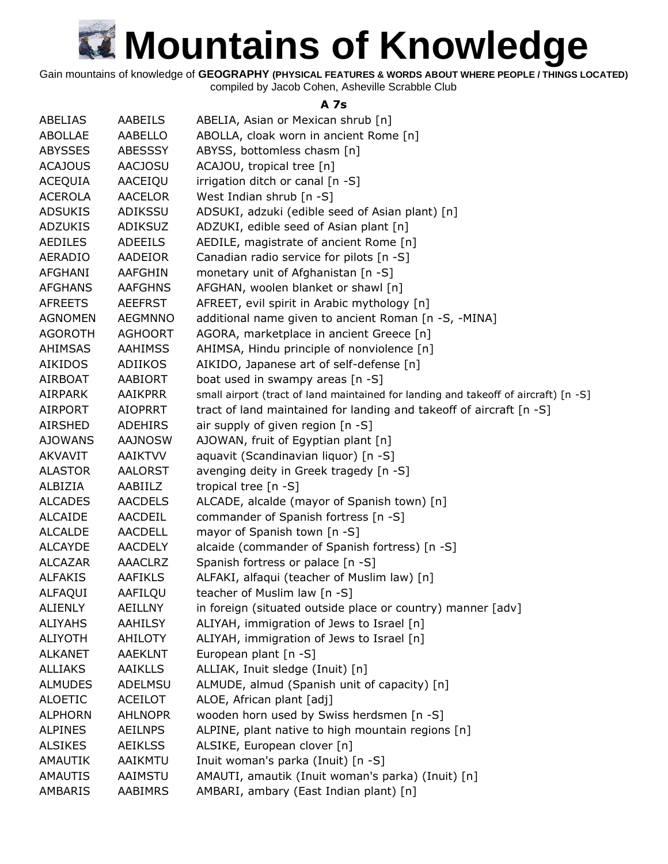Gain mountains of knowledge of **GEOGRAPHY (PHYSICAL FEATURES & WORDS ABOUT WHERE PEOPLE / THINGS LOCATED)**

compiled by Jacob Cohen, Asheville Scrabble Club

#### **A 7s**

| <b>ABELIAS</b> | AABEILS        | ABELIA, Asian or Mexican shrub [n]                                                  |
|----------------|----------------|-------------------------------------------------------------------------------------|
| <b>ABOLLAE</b> | AABELLO        | ABOLLA, cloak worn in ancient Rome [n]                                              |
| <b>ABYSSES</b> | <b>ABESSSY</b> | ABYSS, bottomless chasm [n]                                                         |
| <b>ACAJOUS</b> | <b>AACJOSU</b> | ACAJOU, tropical tree [n]                                                           |
| <b>ACEQUIA</b> | AACEIQU        | irrigation ditch or canal [n -S]                                                    |
| <b>ACEROLA</b> | <b>AACELOR</b> | West Indian shrub [n -S]                                                            |
| <b>ADSUKIS</b> | ADIKSSU        | ADSUKI, adzuki (edible seed of Asian plant) [n]                                     |
| <b>ADZUKIS</b> | ADIKSUZ        | ADZUKI, edible seed of Asian plant [n]                                              |
| <b>AEDILES</b> | <b>ADEEILS</b> | AEDILE, magistrate of ancient Rome [n]                                              |
| <b>AERADIO</b> | <b>AADEIOR</b> | Canadian radio service for pilots [n -S]                                            |
| AFGHANI        | AAFGHIN        | monetary unit of Afghanistan [n -S]                                                 |
| <b>AFGHANS</b> | <b>AAFGHNS</b> | AFGHAN, woolen blanket or shawl [n]                                                 |
| <b>AFREETS</b> | <b>AEEFRST</b> | AFREET, evil spirit in Arabic mythology [n]                                         |
| <b>AGNOMEN</b> | <b>AEGMNNO</b> | additional name given to ancient Roman [n -S, -MINA]                                |
| <b>AGOROTH</b> | <b>AGHOORT</b> | AGORA, marketplace in ancient Greece [n]                                            |
| <b>AHIMSAS</b> | <b>AAHIMSS</b> | AHIMSA, Hindu principle of nonviolence [n]                                          |
| <b>AIKIDOS</b> | <b>ADIIKOS</b> | AIKIDO, Japanese art of self-defense [n]                                            |
| <b>AIRBOAT</b> | <b>AABIORT</b> | boat used in swampy areas [n -S]                                                    |
| AIRPARK        | <b>AAIKPRR</b> | small airport (tract of land maintained for landing and takeoff of aircraft) [n -S] |
| <b>AIRPORT</b> | <b>AIOPRRT</b> | tract of land maintained for landing and takeoff of aircraft [n -S]                 |
| <b>AIRSHED</b> | <b>ADEHIRS</b> | air supply of given region [n -S]                                                   |
| <b>AJOWANS</b> | <b>AAJNOSW</b> | AJOWAN, fruit of Egyptian plant [n]                                                 |
| AKVAVIT        | <b>AAIKTVV</b> | aquavit (Scandinavian liquor) [n -S]                                                |
| <b>ALASTOR</b> | <b>AALORST</b> | avenging deity in Greek tragedy [n -S]                                              |
| ALBIZIA        | AABIILZ        | tropical tree [n -S]                                                                |
| <b>ALCADES</b> | <b>AACDELS</b> | ALCADE, alcalde (mayor of Spanish town) [n]                                         |
| <b>ALCAIDE</b> | AACDEIL        | commander of Spanish fortress [n -S]                                                |
| <b>ALCALDE</b> | <b>AACDELL</b> | mayor of Spanish town [n -S]                                                        |
| <b>ALCAYDE</b> | <b>AACDELY</b> | alcaide (commander of Spanish fortress) [n -S]                                      |
| <b>ALCAZAR</b> | <b>AAACLRZ</b> | Spanish fortress or palace [n -S]                                                   |
| <b>ALFAKIS</b> | <b>AAFIKLS</b> | ALFAKI, alfaqui (teacher of Muslim law) [n]                                         |
| <b>ALFAQUI</b> | AAFILQU        | teacher of Muslim law [n -S]                                                        |
| <b>ALIENLY</b> | <b>AEILLNY</b> | in foreign (situated outside place or country) manner [adv]                         |
| <b>ALIYAHS</b> | <b>AAHILSY</b> | ALIYAH, immigration of Jews to Israel [n]                                           |
| <b>ALIYOTH</b> | AHILOTY        | ALIYAH, immigration of Jews to Israel [n]                                           |
| <b>ALKANET</b> | <b>AAEKLNT</b> | European plant [n -S]                                                               |
| <b>ALLIAKS</b> | <b>AAIKLLS</b> | ALLIAK, Inuit sledge (Inuit) [n]                                                    |
| <b>ALMUDES</b> | ADELMSU        | ALMUDE, almud (Spanish unit of capacity) [n]                                        |
| <b>ALOETIC</b> | <b>ACEILOT</b> | ALOE, African plant [adj]                                                           |
| <b>ALPHORN</b> | <b>AHLNOPR</b> | wooden horn used by Swiss herdsmen [n -S]                                           |
| <b>ALPINES</b> | <b>AEILNPS</b> | ALPINE, plant native to high mountain regions [n]                                   |
| <b>ALSIKES</b> | <b>AEIKLSS</b> | ALSIKE, European clover [n]                                                         |
| AMAUTIK        | AAIKMTU        | Inuit woman's parka (Inuit) [n -S]                                                  |
| <b>AMAUTIS</b> | AAIMSTU        | AMAUTI, amautik (Inuit woman's parka) (Inuit) [n]                                   |
| AMBARIS        | AABIMRS        | AMBARI, ambary (East Indian plant) [n]                                              |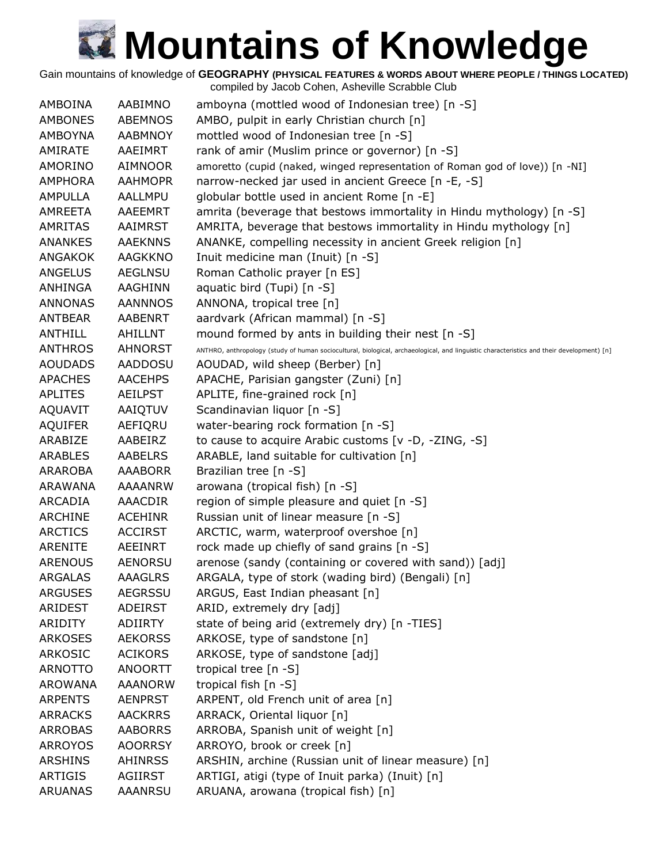Gain mountains of knowledge of **GEOGRAPHY (PHYSICAL FEATURES & WORDS ABOUT WHERE PEOPLE / THINGS LOCATED)**

| AMBOINA        | AABIMNO        | amboyna (mottled wood of Indonesian tree) [n -S]                                                                                          |
|----------------|----------------|-------------------------------------------------------------------------------------------------------------------------------------------|
| <b>AMBONES</b> | <b>ABEMNOS</b> | AMBO, pulpit in early Christian church [n]                                                                                                |
| <b>AMBOYNA</b> | <b>AABMNOY</b> | mottled wood of Indonesian tree [n -S]                                                                                                    |
| AMIRATE        | AAEIMRT        | rank of amir (Muslim prince or governor) [n -S]                                                                                           |
| AMORINO        | <b>AIMNOOR</b> | amoretto (cupid (naked, winged representation of Roman god of love)) [n -NI]                                                              |
| <b>AMPHORA</b> | <b>AAHMOPR</b> | narrow-necked jar used in ancient Greece [n -E, -S]                                                                                       |
| <b>AMPULLA</b> | AALLMPU        | globular bottle used in ancient Rome [n -E]                                                                                               |
| AMREETA        | AAEEMRT        | amrita (beverage that bestows immortality in Hindu mythology) [n -S]                                                                      |
| <b>AMRITAS</b> | AAIMRST        | AMRITA, beverage that bestows immortality in Hindu mythology [n]                                                                          |
| <b>ANANKES</b> | <b>AAEKNNS</b> | ANANKE, compelling necessity in ancient Greek religion [n]                                                                                |
| <b>ANGAKOK</b> | <b>AAGKKNO</b> | Inuit medicine man (Inuit) [n -S]                                                                                                         |
| <b>ANGELUS</b> | <b>AEGLNSU</b> | Roman Catholic prayer [n ES]                                                                                                              |
| ANHINGA        | AAGHINN        | aquatic bird (Tupi) [n -S]                                                                                                                |
| <b>ANNONAS</b> | <b>AANNNOS</b> | ANNONA, tropical tree [n]                                                                                                                 |
| <b>ANTBEAR</b> | <b>AABENRT</b> | aardvark (African mammal) [n -S]                                                                                                          |
| <b>ANTHILL</b> | <b>AHILLNT</b> | mound formed by ants in building their nest [n -S]                                                                                        |
| <b>ANTHROS</b> | <b>AHNORST</b> | ANTHRO, anthropology (study of human sociocultural, biological, archaeological, and linguistic characteristics and their development) [n] |
| <b>AOUDADS</b> | <b>AADDOSU</b> | AOUDAD, wild sheep (Berber) [n]                                                                                                           |
| <b>APACHES</b> | <b>AACEHPS</b> | APACHE, Parisian gangster (Zuni) [n]                                                                                                      |
| <b>APLITES</b> | <b>AEILPST</b> | APLITE, fine-grained rock [n]                                                                                                             |
| AQUAVIT        | AAIQTUV        | Scandinavian liquor [n -S]                                                                                                                |
| <b>AQUIFER</b> | AEFIQRU        | water-bearing rock formation [n -S]                                                                                                       |
| ARABIZE        | AABEIRZ        | to cause to acquire Arabic customs [v -D, -ZING, -S]                                                                                      |
| <b>ARABLES</b> | <b>AABELRS</b> | ARABLE, land suitable for cultivation [n]                                                                                                 |
| ARAROBA        | <b>AAABORR</b> | Brazilian tree [n -S]                                                                                                                     |
| ARAWANA        | <b>AAAANRW</b> | arowana (tropical fish) [n -S]                                                                                                            |
| ARCADIA        | <b>AAACDIR</b> | region of simple pleasure and quiet [n -S]                                                                                                |
| <b>ARCHINE</b> | <b>ACEHINR</b> | Russian unit of linear measure [n -S]                                                                                                     |
| <b>ARCTICS</b> | <b>ACCIRST</b> | ARCTIC, warm, waterproof overshoe [n]                                                                                                     |
| <b>ARENITE</b> | <b>AEEINRT</b> | rock made up chiefly of sand grains [n -S]                                                                                                |
| <b>ARENOUS</b> | <b>AENORSU</b> | arenose (sandy (containing or covered with sand)) [adj]                                                                                   |
| <b>ARGALAS</b> | <b>AAAGLRS</b> | ARGALA, type of stork (wading bird) (Bengali) [n]                                                                                         |
| <b>ARGUSES</b> | AEGRSSU        | ARGUS, East Indian pheasant [n]                                                                                                           |
| ARIDEST        | <b>ADEIRST</b> | ARID, extremely dry [adj]                                                                                                                 |
| ARIDITY        | ADIIRTY        | state of being arid (extremely dry) [n -TIES]                                                                                             |
| <b>ARKOSES</b> | <b>AEKORSS</b> | ARKOSE, type of sandstone [n]                                                                                                             |
| <b>ARKOSIC</b> | <b>ACIKORS</b> | ARKOSE, type of sandstone [adj]                                                                                                           |
| <b>ARNOTTO</b> | <b>ANOORTT</b> | tropical tree $[n - S]$                                                                                                                   |
| <b>AROWANA</b> | <b>AAANORW</b> | tropical fish [n -S]                                                                                                                      |
| <b>ARPENTS</b> | <b>AENPRST</b> | ARPENT, old French unit of area [n]                                                                                                       |
| <b>ARRACKS</b> | <b>AACKRRS</b> | ARRACK, Oriental liquor [n]                                                                                                               |
| <b>ARROBAS</b> | <b>AABORRS</b> | ARROBA, Spanish unit of weight [n]                                                                                                        |
| <b>ARROYOS</b> | <b>AOORRSY</b> | ARROYO, brook or creek [n]                                                                                                                |
| <b>ARSHINS</b> | <b>AHINRSS</b> | ARSHIN, archine (Russian unit of linear measure) [n]                                                                                      |
| <b>ARTIGIS</b> | <b>AGIIRST</b> | ARTIGI, atigi (type of Inuit parka) (Inuit) [n]                                                                                           |
| <b>ARUANAS</b> | AAANRSU        | ARUANA, arowana (tropical fish) [n]                                                                                                       |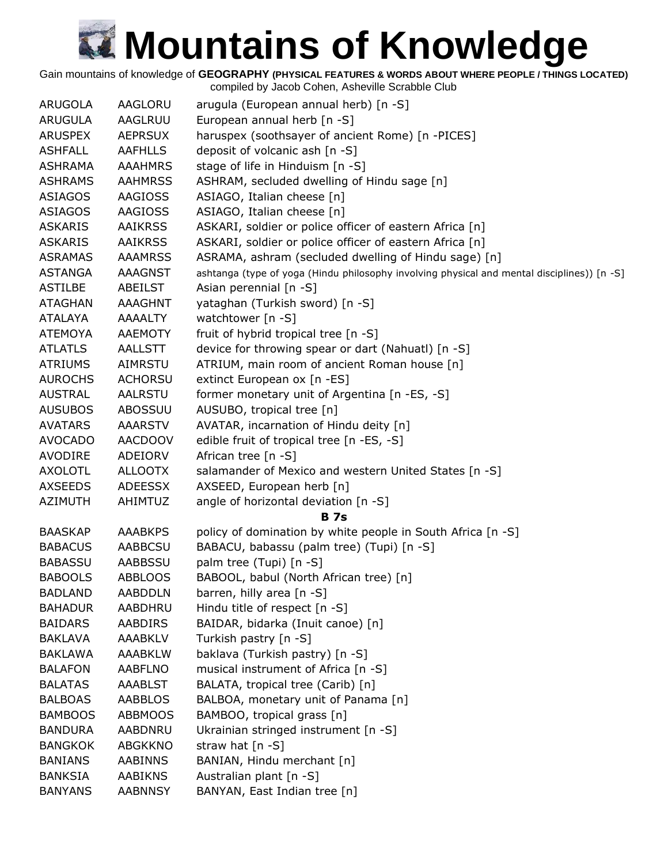Gain mountains of knowledge of **GEOGRAPHY (PHYSICAL FEATURES & WORDS ABOUT WHERE PEOPLE / THINGS LOCATED)**

| <b>ARUGOLA</b> | AAGLORU        | arugula (European annual herb) [n -S]                                                       |
|----------------|----------------|---------------------------------------------------------------------------------------------|
| <b>ARUGULA</b> | AAGLRUU        | European annual herb [n -S]                                                                 |
| <b>ARUSPEX</b> | <b>AEPRSUX</b> | haruspex (soothsayer of ancient Rome) [n -PICES]                                            |
| <b>ASHFALL</b> | <b>AAFHLLS</b> | deposit of volcanic ash [n -S]                                                              |
| <b>ASHRAMA</b> | <b>AAAHMRS</b> | stage of life in Hinduism [n -S]                                                            |
| <b>ASHRAMS</b> | <b>AAHMRSS</b> | ASHRAM, secluded dwelling of Hindu sage [n]                                                 |
| <b>ASIAGOS</b> | AAGIOSS        | ASIAGO, Italian cheese [n]                                                                  |
| ASIAGOS        | <b>AAGIOSS</b> | ASIAGO, Italian cheese [n]                                                                  |
| <b>ASKARIS</b> | <b>AAIKRSS</b> | ASKARI, soldier or police officer of eastern Africa [n]                                     |
| <b>ASKARIS</b> | <b>AAIKRSS</b> | ASKARI, soldier or police officer of eastern Africa [n]                                     |
| <b>ASRAMAS</b> | <b>AAAMRSS</b> | ASRAMA, ashram (secluded dwelling of Hindu sage) [n]                                        |
| <b>ASTANGA</b> | AAAGNST        | ashtanga (type of yoga (Hindu philosophy involving physical and mental disciplines)) [n -S] |
| <b>ASTILBE</b> | ABEILST        | Asian perennial [n -S]                                                                      |
| <b>ATAGHAN</b> | AAAGHNT        | yataghan (Turkish sword) [n -S]                                                             |
| <b>ATALAYA</b> | AAAALTY        | watchtower [n -S]                                                                           |
| <b>ATEMOYA</b> | <b>AAEMOTY</b> | fruit of hybrid tropical tree [n -S]                                                        |
| <b>ATLATLS</b> | AALLSTT        | device for throwing spear or dart (Nahuatl) [n -S]                                          |
| <b>ATRIUMS</b> | AIMRSTU        | ATRIUM, main room of ancient Roman house [n]                                                |
| <b>AUROCHS</b> | <b>ACHORSU</b> | extinct European ox [n -ES]                                                                 |
| <b>AUSTRAL</b> | <b>AALRSTU</b> | former monetary unit of Argentina [n -ES, -S]                                               |
| <b>AUSUBOS</b> | ABOSSUU        | AUSUBO, tropical tree [n]                                                                   |
| <b>AVATARS</b> | <b>AAARSTV</b> | AVATAR, incarnation of Hindu deity [n]                                                      |
| <b>AVOCADO</b> | <b>AACDOOV</b> | edible fruit of tropical tree [n -ES, -S]                                                   |
| <b>AVODIRE</b> | ADEIORV        | African tree [n -S]                                                                         |
| <b>AXOLOTL</b> | <b>ALLOOTX</b> | salamander of Mexico and western United States [n -S]                                       |
| <b>AXSEEDS</b> | <b>ADEESSX</b> | AXSEED, European herb [n]                                                                   |
| <b>AZIMUTH</b> | <b>AHIMTUZ</b> | angle of horizontal deviation [n -S]                                                        |
|                |                | <b>B</b> 7s                                                                                 |
| <b>BAASKAP</b> | <b>AAABKPS</b> | policy of domination by white people in South Africa [n -S]                                 |
| <b>BABACUS</b> | AABBCSU        | BABACU, babassu (palm tree) (Tupi) [n -S]                                                   |
| <b>BABASSU</b> | AABBSSU        | palm tree (Tupi) [n -S]                                                                     |
| <b>BABOOLS</b> | <b>ABBLOOS</b> | BABOOL, babul (North African tree) [n]                                                      |
| <b>BADLAND</b> | <b>AABDDLN</b> | barren, hilly area [n -S]                                                                   |
| <b>BAHADUR</b> | AABDHRU        | Hindu title of respect [n -S]                                                               |
| <b>BAIDARS</b> | AABDIRS        | BAIDAR, bidarka (Inuit canoe) [n]                                                           |
| <b>BAKLAVA</b> | <b>AAABKLV</b> | Turkish pastry [n -S]                                                                       |
| <b>BAKLAWA</b> | <b>AAABKLW</b> | baklava (Turkish pastry) [n -S]                                                             |
| <b>BALAFON</b> | <b>AABFLNO</b> | musical instrument of Africa [n -S]                                                         |
| <b>BALATAS</b> | <b>AAABLST</b> | BALATA, tropical tree (Carib) [n]                                                           |
| <b>BALBOAS</b> | <b>AABBLOS</b> | BALBOA, monetary unit of Panama [n]                                                         |
| <b>BAMBOOS</b> | <b>ABBMOOS</b> | BAMBOO, tropical grass [n]                                                                  |
| <b>BANDURA</b> | AABDNRU        | Ukrainian stringed instrument [n -S]                                                        |
| <b>BANGKOK</b> | <b>ABGKKNO</b> | straw hat $[n -S]$                                                                          |
| <b>BANIANS</b> | <b>AABINNS</b> | BANIAN, Hindu merchant [n]                                                                  |
| <b>BANKSIA</b> | <b>AABIKNS</b> | Australian plant [n -S]                                                                     |
| <b>BANYANS</b> | <b>AABNNSY</b> | BANYAN, East Indian tree [n]                                                                |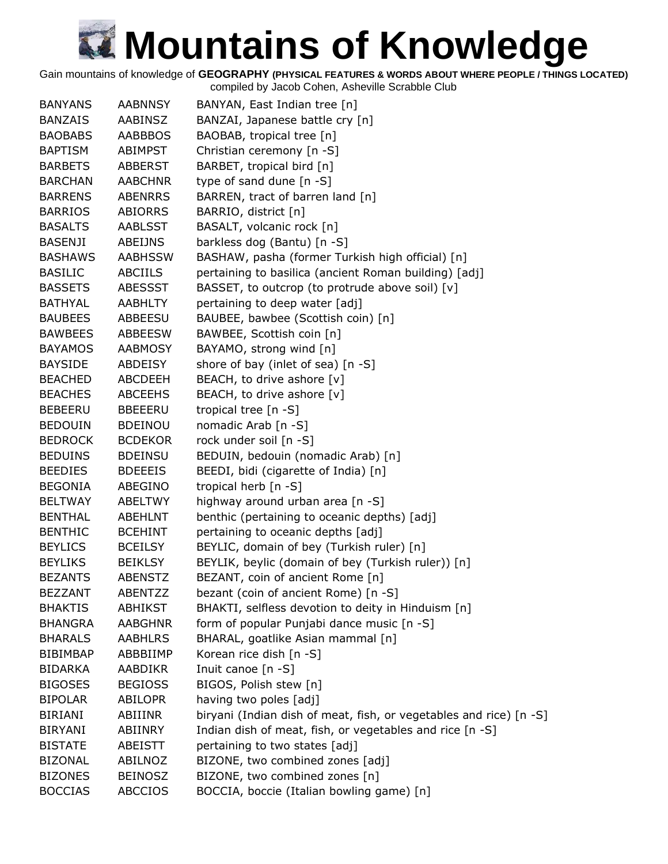Gain mountains of knowledge of **GEOGRAPHY (PHYSICAL FEATURES & WORDS ABOUT WHERE PEOPLE / THINGS LOCATED)**

| <b>BANYANS</b>  | <b>AABNNSY</b> | BANYAN, East Indian tree [n]                                       |
|-----------------|----------------|--------------------------------------------------------------------|
| <b>BANZAIS</b>  | <b>AABINSZ</b> | BANZAI, Japanese battle cry [n]                                    |
| <b>BAOBABS</b>  | <b>AABBBOS</b> | BAOBAB, tropical tree [n]                                          |
| <b>BAPTISM</b>  | ABIMPST        | Christian ceremony [n -S]                                          |
| <b>BARBETS</b>  | ABBERST        | BARBET, tropical bird [n]                                          |
| <b>BARCHAN</b>  | <b>AABCHNR</b> | type of sand dune [n -S]                                           |
| <b>BARRENS</b>  | <b>ABENRRS</b> | BARREN, tract of barren land [n]                                   |
| <b>BARRIOS</b>  | <b>ABIORRS</b> | BARRIO, district [n]                                               |
| <b>BASALTS</b>  | <b>AABLSST</b> | BASALT, volcanic rock [n]                                          |
| <b>BASENJI</b>  | ABEIJNS        | barkless dog (Bantu) [n -S]                                        |
| <b>BASHAWS</b>  | <b>AABHSSW</b> | BASHAW, pasha (former Turkish high official) [n]                   |
| <b>BASILIC</b>  | ABCIILS        | pertaining to basilica (ancient Roman building) [adj]              |
| <b>BASSETS</b>  | <b>ABESSST</b> | BASSET, to outcrop (to protrude above soil) [v]                    |
| <b>BATHYAL</b>  | <b>AABHLTY</b> | pertaining to deep water [adj]                                     |
| <b>BAUBEES</b>  | ABBEESU        | BAUBEE, bawbee (Scottish coin) [n]                                 |
| <b>BAWBEES</b>  | ABBEESW        | BAWBEE, Scottish coin [n]                                          |
| <b>BAYAMOS</b>  | <b>AABMOSY</b> | BAYAMO, strong wind [n]                                            |
| <b>BAYSIDE</b>  | <b>ABDEISY</b> | shore of bay (inlet of sea) [n -S]                                 |
| <b>BEACHED</b>  | <b>ABCDEEH</b> | BEACH, to drive ashore [v]                                         |
| <b>BEACHES</b>  | <b>ABCEEHS</b> | BEACH, to drive ashore [v]                                         |
| <b>BEBEERU</b>  | <b>BBEEERU</b> | tropical tree [n -S]                                               |
| <b>BEDOUIN</b>  | <b>BDEINOU</b> | nomadic Arab [n -S]                                                |
| <b>BEDROCK</b>  | <b>BCDEKOR</b> | rock under soil [n -S]                                             |
| <b>BEDUINS</b>  | <b>BDEINSU</b> | BEDUIN, bedouin (nomadic Arab) [n]                                 |
| <b>BEEDIES</b>  | <b>BDEEEIS</b> | BEEDI, bidi (cigarette of India) [n]                               |
| <b>BEGONIA</b>  | ABEGINO        | tropical herb [n -S]                                               |
| <b>BELTWAY</b>  | <b>ABELTWY</b> | highway around urban area [n -S]                                   |
| <b>BENTHAL</b>  | <b>ABEHLNT</b> | benthic (pertaining to oceanic depths) [adj]                       |
| <b>BENTHIC</b>  | <b>BCEHINT</b> | pertaining to oceanic depths [adj]                                 |
| <b>BEYLICS</b>  | <b>BCEILSY</b> | BEYLIC, domain of bey (Turkish ruler) [n]                          |
| <b>BEYLIKS</b>  | <b>BEIKLSY</b> | BEYLIK, beylic (domain of bey (Turkish ruler)) [n]                 |
| <b>BEZANTS</b>  | <b>ABENSTZ</b> | BEZANT, coin of ancient Rome [n]                                   |
| <b>BEZZANT</b>  | ABENTZZ        | bezant (coin of ancient Rome) [n -S]                               |
| <b>BHAKTIS</b>  | <b>ABHIKST</b> | BHAKTI, selfless devotion to deity in Hinduism [n]                 |
| <b>BHANGRA</b>  | <b>AABGHNR</b> | form of popular Punjabi dance music [n -S]                         |
| <b>BHARALS</b>  | <b>AABHLRS</b> | BHARAL, goatlike Asian mammal [n]                                  |
| <b>BIBIMBAP</b> | ABBBIIMP       | Korean rice dish [n -S]                                            |
| <b>BIDARKA</b>  | AABDIKR        | Inuit canoe [n -S]                                                 |
| <b>BIGOSES</b>  | <b>BEGIOSS</b> | BIGOS, Polish stew [n]                                             |
| <b>BIPOLAR</b>  | <b>ABILOPR</b> | having two poles [adj]                                             |
| <b>BIRIANI</b>  | ABIIINR        | biryani (Indian dish of meat, fish, or vegetables and rice) [n -S] |
| <b>BIRYANI</b>  | ABIINRY        | Indian dish of meat, fish, or vegetables and rice [n -S]           |
| <b>BISTATE</b>  | ABEISTT        | pertaining to two states [adj]                                     |
| <b>BIZONAL</b>  | ABILNOZ        | BIZONE, two combined zones [adj]                                   |
| <b>BIZONES</b>  | <b>BEINOSZ</b> | BIZONE, two combined zones [n]                                     |
| <b>BOCCIAS</b>  | <b>ABCCIOS</b> | BOCCIA, boccie (Italian bowling game) [n]                          |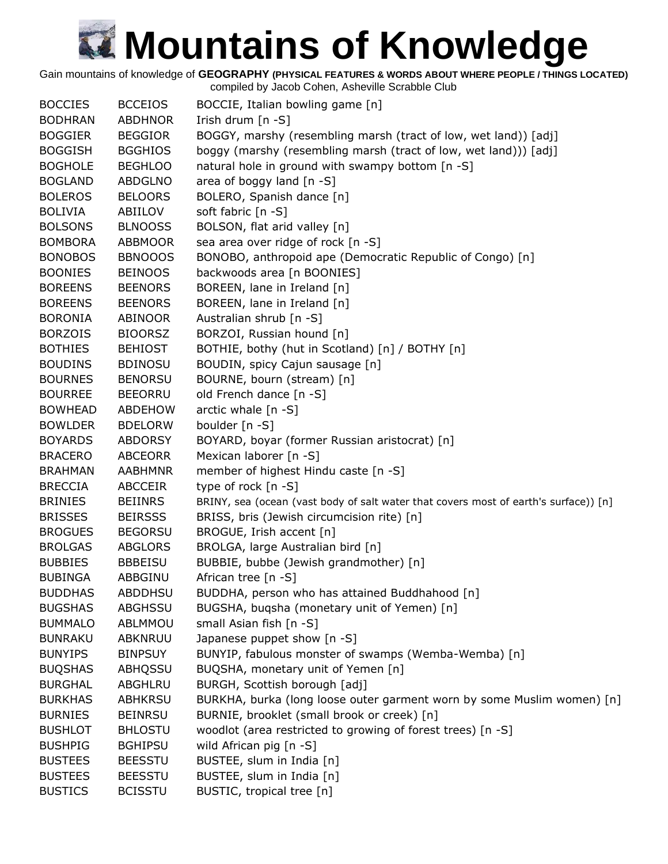Gain mountains of knowledge of **GEOGRAPHY (PHYSICAL FEATURES & WORDS ABOUT WHERE PEOPLE / THINGS LOCATED)**

| <b>BOCCIES</b> | <b>BCCEIOS</b> | BOCCIE, Italian bowling game [n]                                                     |
|----------------|----------------|--------------------------------------------------------------------------------------|
| <b>BODHRAN</b> | <b>ABDHNOR</b> | Irish drum [n -S]                                                                    |
| <b>BOGGIER</b> | <b>BEGGIOR</b> | BOGGY, marshy (resembling marsh (tract of low, wet land)) [adj]                      |
| <b>BOGGISH</b> | <b>BGGHIOS</b> | boggy (marshy (resembling marsh (tract of low, wet land))) [adj]                     |
| <b>BOGHOLE</b> | <b>BEGHLOO</b> | natural hole in ground with swampy bottom [n -S]                                     |
| <b>BOGLAND</b> | <b>ABDGLNO</b> | area of boggy land [n -S]                                                            |
| <b>BOLEROS</b> | <b>BELOORS</b> | BOLERO, Spanish dance [n]                                                            |
| <b>BOLIVIA</b> | ABIILOV        | soft fabric [n -S]                                                                   |
| <b>BOLSONS</b> | <b>BLNOOSS</b> | BOLSON, flat arid valley [n]                                                         |
| <b>BOMBORA</b> | <b>ABBMOOR</b> | sea area over ridge of rock [n -S]                                                   |
| <b>BONOBOS</b> | <b>BBNOOOS</b> | BONOBO, anthropoid ape (Democratic Republic of Congo) [n]                            |
| <b>BOONIES</b> | <b>BEINOOS</b> | backwoods area [n BOONIES]                                                           |
| <b>BOREENS</b> | <b>BEENORS</b> | BOREEN, lane in Ireland [n]                                                          |
| <b>BOREENS</b> | <b>BEENORS</b> | BOREEN, lane in Ireland [n]                                                          |
| <b>BORONIA</b> | ABINOOR        | Australian shrub [n -S]                                                              |
| <b>BORZOIS</b> | <b>BIOORSZ</b> | BORZOI, Russian hound [n]                                                            |
| <b>BOTHIES</b> | <b>BEHIOST</b> | BOTHIE, bothy (hut in Scotland) [n] / BOTHY [n]                                      |
| <b>BOUDINS</b> | <b>BDINOSU</b> | BOUDIN, spicy Cajun sausage [n]                                                      |
| <b>BOURNES</b> | <b>BENORSU</b> | BOURNE, bourn (stream) [n]                                                           |
| <b>BOURREE</b> | <b>BEEORRU</b> | old French dance [n -S]                                                              |
| <b>BOWHEAD</b> | <b>ABDEHOW</b> | arctic whale $[n -S]$                                                                |
| <b>BOWLDER</b> | <b>BDELORW</b> | boulder [n -S]                                                                       |
| <b>BOYARDS</b> | <b>ABDORSY</b> | BOYARD, boyar (former Russian aristocrat) [n]                                        |
| <b>BRACERO</b> | <b>ABCEORR</b> | Mexican laborer [n -S]                                                               |
| <b>BRAHMAN</b> | <b>AABHMNR</b> | member of highest Hindu caste [n -S]                                                 |
| <b>BRECCIA</b> | <b>ABCCEIR</b> | type of rock [n -S]                                                                  |
| <b>BRINIES</b> | <b>BEIINRS</b> | BRINY, sea (ocean (vast body of salt water that covers most of earth's surface)) [n] |
| <b>BRISSES</b> | <b>BEIRSSS</b> | BRISS, bris (Jewish circumcision rite) [n]                                           |
| <b>BROGUES</b> | <b>BEGORSU</b> | BROGUE, Irish accent [n]                                                             |
| <b>BROLGAS</b> | <b>ABGLORS</b> | BROLGA, large Australian bird [n]                                                    |
| <b>BUBBIES</b> | <b>BBBEISU</b> | BUBBIE, bubbe (Jewish grandmother) [n]                                               |
| <b>BUBINGA</b> | ABBGINU        | African tree [n -S]                                                                  |
| <b>BUDDHAS</b> | <b>ABDDHSU</b> | BUDDHA, person who has attained Buddhahood [n]                                       |
| <b>BUGSHAS</b> | ABGHSSU        | BUGSHA, buqsha (monetary unit of Yemen) [n]                                          |
| <b>BUMMALO</b> | ABLMMOU        | small Asian fish [n -S]                                                              |
| <b>BUNRAKU</b> | <b>ABKNRUU</b> | Japanese puppet show [n -S]                                                          |
| <b>BUNYIPS</b> | <b>BINPSUY</b> | BUNYIP, fabulous monster of swamps (Wemba-Wemba) [n]                                 |
| <b>BUQSHAS</b> | ABHQSSU        | BUQSHA, monetary unit of Yemen [n]                                                   |
| <b>BURGHAL</b> | ABGHLRU        | BURGH, Scottish borough [adj]                                                        |
| <b>BURKHAS</b> | <b>ABHKRSU</b> | BURKHA, burka (long loose outer garment worn by some Muslim women) [n]               |
| <b>BURNIES</b> | <b>BEINRSU</b> | BURNIE, brooklet (small brook or creek) [n]                                          |
| <b>BUSHLOT</b> | <b>BHLOSTU</b> | woodlot (area restricted to growing of forest trees) [n -S]                          |
| <b>BUSHPIG</b> | <b>BGHIPSU</b> | wild African pig [n -S]                                                              |
| <b>BUSTEES</b> | <b>BEESSTU</b> | BUSTEE, slum in India [n]                                                            |
| <b>BUSTEES</b> | <b>BEESSTU</b> | BUSTEE, slum in India [n]                                                            |
| <b>BUSTICS</b> | <b>BCISSTU</b> | BUSTIC, tropical tree [n]                                                            |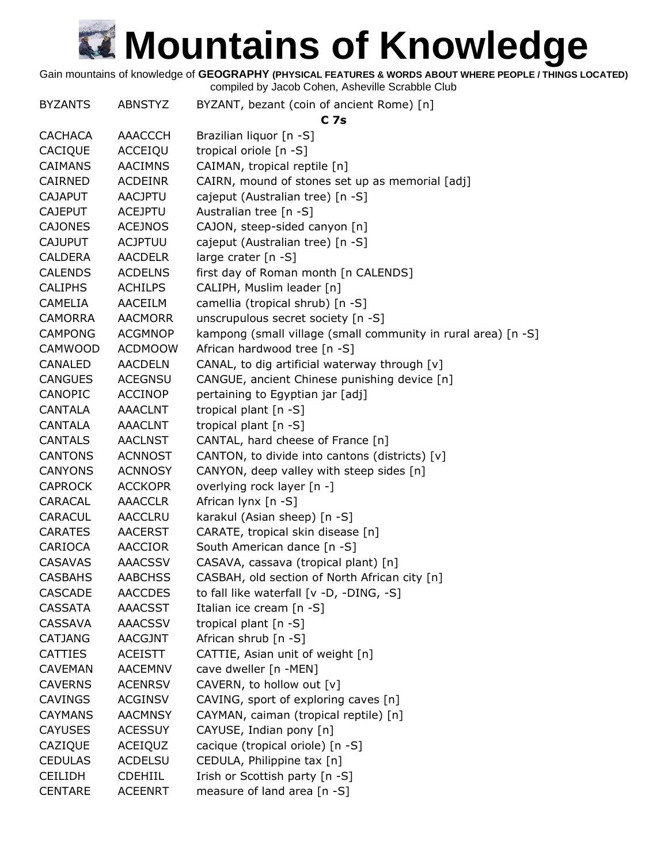Gain mountains of knowledge of **GEOGRAPHY (PHYSICAL FEATURES & WORDS ABOUT WHERE PEOPLE / THINGS LOCATED)**

| <b>BYZANTS</b> | <b>ABNSTYZ</b> | BYZANT, bezant (coin of ancient Rome) [n]                     |
|----------------|----------------|---------------------------------------------------------------|
|                |                | C <sub>7s</sub>                                               |
| <b>CACHACA</b> | AAACCCH        | Brazilian liquor [n -S]                                       |
| CACIQUE        | ACCEIQU        | tropical oriole [n -S]                                        |
| <b>CAIMANS</b> | <b>AACIMNS</b> | CAIMAN, tropical reptile [n]                                  |
| CAIRNED        | <b>ACDEINR</b> | CAIRN, mound of stones set up as memorial [adj]               |
| <b>CAJAPUT</b> | <b>AACJPTU</b> | cajeput (Australian tree) [n -S]                              |
| <b>CAJEPUT</b> | <b>ACEJPTU</b> | Australian tree [n -S]                                        |
| <b>CAJONES</b> | <b>ACEJNOS</b> | CAJON, steep-sided canyon [n]                                 |
| <b>CAJUPUT</b> | <b>ACJPTUU</b> | cajeput (Australian tree) [n -S]                              |
| <b>CALDERA</b> | <b>AACDELR</b> | large crater [n -S]                                           |
| <b>CALENDS</b> | <b>ACDELNS</b> | first day of Roman month [n CALENDS]                          |
| <b>CALIPHS</b> | <b>ACHILPS</b> | CALIPH, Muslim leader [n]                                     |
| CAMELIA        | AACEILM        | camellia (tropical shrub) [n -S]                              |
| <b>CAMORRA</b> | <b>AACMORR</b> | unscrupulous secret society [n -S]                            |
| <b>CAMPONG</b> | <b>ACGMNOP</b> | kampong (small village (small community in rural area) [n -S] |
| <b>CAMWOOD</b> | <b>ACDMOOW</b> | African hardwood tree [n -S]                                  |
| CANALED        | <b>AACDELN</b> | CANAL, to dig artificial waterway through [v]                 |
| <b>CANGUES</b> | <b>ACEGNSU</b> | CANGUE, ancient Chinese punishing device [n]                  |
| <b>CANOPIC</b> | <b>ACCINOP</b> | pertaining to Egyptian jar [adj]                              |
| <b>CANTALA</b> | <b>AAACLNT</b> | tropical plant [n -S]                                         |
| <b>CANTALA</b> | <b>AAACLNT</b> | tropical plant [n -S]                                         |
| <b>CANTALS</b> | <b>AACLNST</b> | CANTAL, hard cheese of France [n]                             |
| <b>CANTONS</b> | <b>ACNNOST</b> | CANTON, to divide into cantons (districts) [v]                |
| <b>CANYONS</b> | <b>ACNNOSY</b> | CANYON, deep valley with steep sides [n]                      |
| <b>CAPROCK</b> | <b>ACCKOPR</b> | overlying rock layer [n -]                                    |
| CARACAL        | <b>AAACCLR</b> | African lynx [n -S]                                           |
| <b>CARACUL</b> | <b>AACCLRU</b> | karakul (Asian sheep) [n -S]                                  |
| <b>CARATES</b> | <b>AACERST</b> | CARATE, tropical skin disease [n]                             |
| CARIOCA        | AACCIOR        | South American dance [n -S]                                   |
| <b>CASAVAS</b> | <b>AAACSSV</b> | CASAVA, cassava (tropical plant) [n]                          |
| <b>CASBAHS</b> | <b>AABCHSS</b> | CASBAH, old section of North African city [n]                 |
| <b>CASCADE</b> | <b>AACCDES</b> | to fall like waterfall [v -D, -DING, -S]                      |
| <b>CASSATA</b> | <b>AAACSST</b> | Italian ice cream [n -S]                                      |
| <b>CASSAVA</b> | <b>AAACSSV</b> | tropical plant [n -S]                                         |
| <b>CATJANG</b> | AACGJNT        | African shrub [n -S]                                          |
| <b>CATTIES</b> | <b>ACEISTT</b> | CATTIE, Asian unit of weight [n]                              |
| <b>CAVEMAN</b> | <b>AACEMNV</b> | cave dweller [n -MEN]                                         |
| <b>CAVERNS</b> | <b>ACENRSV</b> | CAVERN, to hollow out [v]                                     |
| <b>CAVINGS</b> | <b>ACGINSV</b> | CAVING, sport of exploring caves [n]                          |
| <b>CAYMANS</b> | <b>AACMNSY</b> | CAYMAN, caiman (tropical reptile) [n]                         |
| <b>CAYUSES</b> | <b>ACESSUY</b> | CAYUSE, Indian pony [n]                                       |
| CAZIQUE        | ACEIQUZ        | cacique (tropical oriole) [n -S]                              |
| <b>CEDULAS</b> | <b>ACDELSU</b> | CEDULA, Philippine tax [n]                                    |
| <b>CEILIDH</b> | CDEHIIL        | Irish or Scottish party [n -S]                                |
| <b>CENTARE</b> | <b>ACEENRT</b> | measure of land area [n -S]                                   |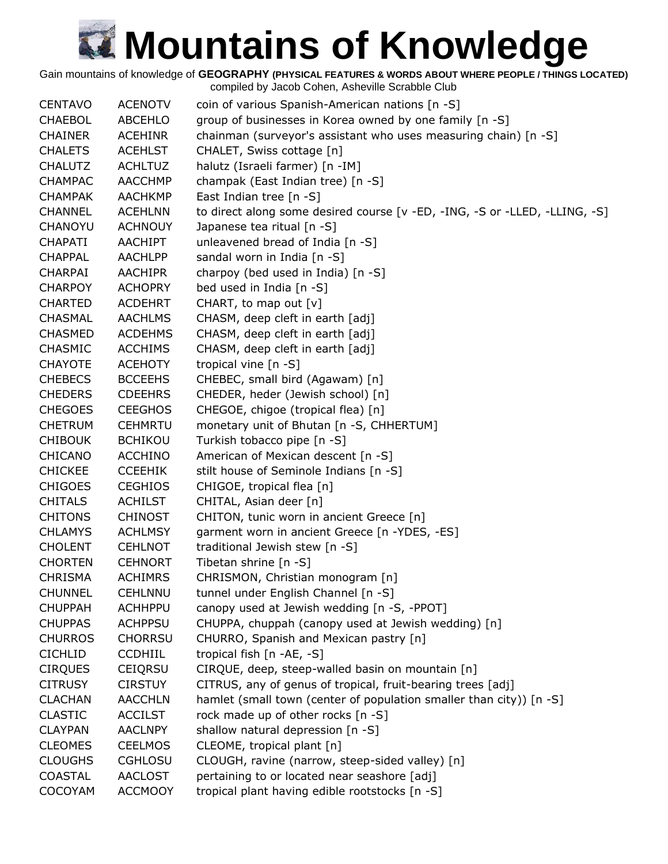Gain mountains of knowledge of **GEOGRAPHY (PHYSICAL FEATURES & WORDS ABOUT WHERE PEOPLE / THINGS LOCATED)**

| <b>CENTAVO</b> | <b>ACENOTV</b> | coin of various Spanish-American nations [n -S]                            |
|----------------|----------------|----------------------------------------------------------------------------|
| <b>CHAEBOL</b> | ABCEHLO        | group of businesses in Korea owned by one family [n -S]                    |
| <b>CHAINER</b> | <b>ACEHINR</b> | chainman (surveyor's assistant who uses measuring chain) [n -S]            |
| <b>CHALETS</b> | <b>ACEHLST</b> | CHALET, Swiss cottage [n]                                                  |
| <b>CHALUTZ</b> | <b>ACHLTUZ</b> | halutz (Israeli farmer) [n -IM]                                            |
| <b>CHAMPAC</b> | <b>AACCHMP</b> | champak (East Indian tree) [n -S]                                          |
| <b>CHAMPAK</b> | <b>AACHKMP</b> | East Indian tree [n -S]                                                    |
| <b>CHANNEL</b> | <b>ACEHLNN</b> | to direct along some desired course [v -ED, -ING, -S or -LLED, -LLING, -S] |
| CHANOYU        | <b>ACHNOUY</b> | Japanese tea ritual [n -S]                                                 |
| <b>CHAPATI</b> | <b>AACHIPT</b> | unleavened bread of India [n -S]                                           |
| <b>CHAPPAL</b> | <b>AACHLPP</b> | sandal worn in India [n -S]                                                |
| <b>CHARPAI</b> | <b>AACHIPR</b> | charpoy (bed used in India) [n -S]                                         |
| <b>CHARPOY</b> | <b>ACHOPRY</b> | bed used in India [n -S]                                                   |
| <b>CHARTED</b> | <b>ACDEHRT</b> | CHART, to map out [v]                                                      |
| <b>CHASMAL</b> | <b>AACHLMS</b> | CHASM, deep cleft in earth [adj]                                           |
| <b>CHASMED</b> | <b>ACDEHMS</b> | CHASM, deep cleft in earth [adj]                                           |
| <b>CHASMIC</b> | <b>ACCHIMS</b> | CHASM, deep cleft in earth [adj]                                           |
| <b>CHAYOTE</b> | <b>ACEHOTY</b> | tropical vine [n -S]                                                       |
| <b>CHEBECS</b> | <b>BCCEEHS</b> | CHEBEC, small bird (Agawam) [n]                                            |
| <b>CHEDERS</b> | <b>CDEEHRS</b> | CHEDER, heder (Jewish school) [n]                                          |
| <b>CHEGOES</b> | <b>CEEGHOS</b> | CHEGOE, chigoe (tropical flea) [n]                                         |
| <b>CHETRUM</b> | <b>CEHMRTU</b> | monetary unit of Bhutan [n -S, CHHERTUM]                                   |
| <b>CHIBOUK</b> | <b>BCHIKOU</b> | Turkish tobacco pipe [n -S]                                                |
| CHICANO        | <b>ACCHINO</b> | American of Mexican descent [n -S]                                         |
| <b>CHICKEE</b> | <b>CCEEHIK</b> | stilt house of Seminole Indians [n -S]                                     |
| <b>CHIGOES</b> | <b>CEGHIOS</b> | CHIGOE, tropical flea [n]                                                  |
| <b>CHITALS</b> | <b>ACHILST</b> | CHITAL, Asian deer [n]                                                     |
| <b>CHITONS</b> | <b>CHINOST</b> | CHITON, tunic worn in ancient Greece [n]                                   |
| <b>CHLAMYS</b> | <b>ACHLMSY</b> | garment worn in ancient Greece [n -YDES, -ES]                              |
| <b>CHOLENT</b> | <b>CEHLNOT</b> | traditional Jewish stew [n -S]                                             |
| <b>CHORTEN</b> | <b>CEHNORT</b> | Tibetan shrine $[n -S]$                                                    |
| <b>CHRISMA</b> | <b>ACHIMRS</b> | CHRISMON, Christian monogram [n]                                           |
| <b>CHUNNEL</b> | CEHLNNU        | tunnel under English Channel [n -S]                                        |
| <b>CHUPPAH</b> | <b>ACHHPPU</b> | canopy used at Jewish wedding [n -S, -PPOT]                                |
| <b>CHUPPAS</b> | <b>ACHPPSU</b> | CHUPPA, chuppah (canopy used at Jewish wedding) [n]                        |
| <b>CHURROS</b> | <b>CHORRSU</b> | CHURRO, Spanish and Mexican pastry [n]                                     |
| <b>CICHLID</b> | <b>CCDHIIL</b> | tropical fish [n -AE, -S]                                                  |
| <b>CIRQUES</b> | <b>CEIQRSU</b> | CIRQUE, deep, steep-walled basin on mountain [n]                           |
| <b>CITRUSY</b> | <b>CIRSTUY</b> | CITRUS, any of genus of tropical, fruit-bearing trees [adj]                |
| <b>CLACHAN</b> | <b>AACCHLN</b> | hamlet (small town (center of population smaller than city)) [n -S]        |
| <b>CLASTIC</b> | <b>ACCILST</b> | rock made up of other rocks [n -S]                                         |
| <b>CLAYPAN</b> | <b>AACLNPY</b> | shallow natural depression [n -S]                                          |
| <b>CLEOMES</b> | <b>CEELMOS</b> | CLEOME, tropical plant [n]                                                 |
| <b>CLOUGHS</b> | <b>CGHLOSU</b> | CLOUGH, ravine (narrow, steep-sided valley) [n]                            |
| <b>COASTAL</b> | <b>AACLOST</b> | pertaining to or located near seashore [adj]                               |
| COCOYAM        | <b>ACCMOOY</b> | tropical plant having edible rootstocks [n -S]                             |
|                |                |                                                                            |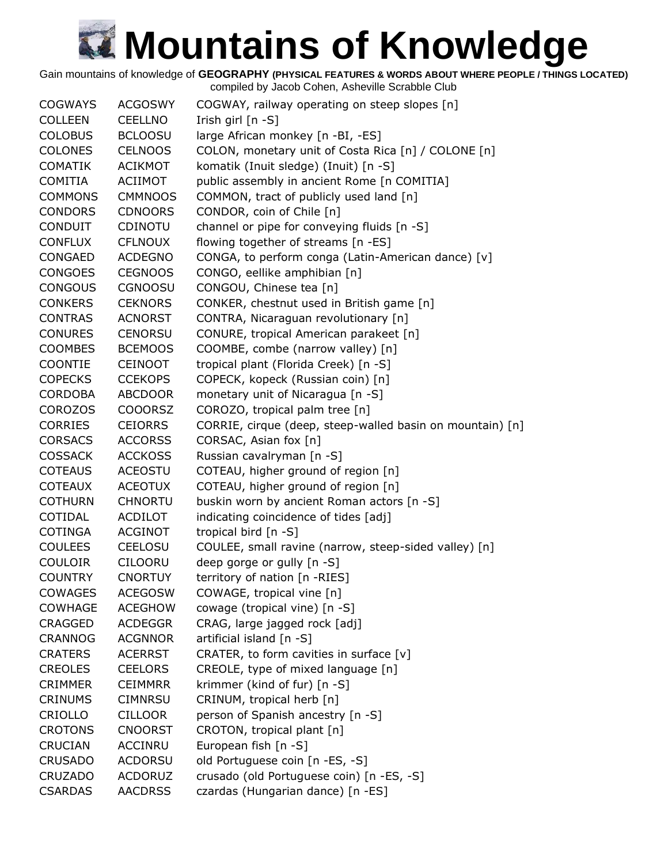Gain mountains of knowledge of **GEOGRAPHY (PHYSICAL FEATURES & WORDS ABOUT WHERE PEOPLE / THINGS LOCATED)**

| <b>COGWAYS</b> | <b>ACGOSWY</b> | COGWAY, railway operating on steep slopes [n]             |
|----------------|----------------|-----------------------------------------------------------|
| <b>COLLEEN</b> | <b>CEELLNO</b> | Irish girl [n -S]                                         |
| <b>COLOBUS</b> | <b>BCLOOSU</b> | large African monkey [n -BI, -ES]                         |
| <b>COLONES</b> | <b>CELNOOS</b> | COLON, monetary unit of Costa Rica [n] / COLONE [n]       |
| <b>COMATIK</b> | <b>ACIKMOT</b> | komatik (Inuit sledge) (Inuit) [n -S]                     |
| <b>COMITIA</b> | <b>ACIIMOT</b> | public assembly in ancient Rome [n COMITIA]               |
| <b>COMMONS</b> | <b>CMMNOOS</b> | COMMON, tract of publicly used land [n]                   |
| <b>CONDORS</b> | <b>CDNOORS</b> | CONDOR, coin of Chile [n]                                 |
| <b>CONDUIT</b> | <b>CDINOTU</b> | channel or pipe for conveying fluids [n -S]               |
| <b>CONFLUX</b> | <b>CFLNOUX</b> | flowing together of streams [n -ES]                       |
| <b>CONGAED</b> | <b>ACDEGNO</b> | CONGA, to perform conga (Latin-American dance) [v]        |
| <b>CONGOES</b> | <b>CEGNOOS</b> | CONGO, eellike amphibian [n]                              |
| <b>CONGOUS</b> | <b>CGNOOSU</b> | CONGOU, Chinese tea [n]                                   |
| <b>CONKERS</b> | <b>CEKNORS</b> | CONKER, chestnut used in British game [n]                 |
| <b>CONTRAS</b> | <b>ACNORST</b> | CONTRA, Nicaraguan revolutionary [n]                      |
| <b>CONURES</b> | <b>CENORSU</b> | CONURE, tropical American parakeet [n]                    |
| <b>COOMBES</b> | <b>BCEMOOS</b> | COOMBE, combe (narrow valley) [n]                         |
| <b>COONTIE</b> | <b>CEINOOT</b> | tropical plant (Florida Creek) [n -S]                     |
| <b>COPECKS</b> | <b>CCEKOPS</b> | COPECK, kopeck (Russian coin) [n]                         |
| <b>CORDOBA</b> | <b>ABCDOOR</b> | monetary unit of Nicaragua [n -S]                         |
| <b>COROZOS</b> | <b>COOORSZ</b> | COROZO, tropical palm tree [n]                            |
| <b>CORRIES</b> | <b>CEIORRS</b> | CORRIE, cirque (deep, steep-walled basin on mountain) [n] |
| <b>CORSACS</b> | <b>ACCORSS</b> | CORSAC, Asian fox [n]                                     |
| <b>COSSACK</b> | <b>ACCKOSS</b> | Russian cavalryman [n -S]                                 |
| <b>COTEAUS</b> | <b>ACEOSTU</b> | COTEAU, higher ground of region [n]                       |
| <b>COTEAUX</b> | <b>ACEOTUX</b> | COTEAU, higher ground of region [n]                       |
| <b>COTHURN</b> | <b>CHNORTU</b> | buskin worn by ancient Roman actors [n -S]                |
| COTIDAL        | <b>ACDILOT</b> | indicating coincidence of tides [adj]                     |
| <b>COTINGA</b> | <b>ACGINOT</b> | tropical bird [n -S]                                      |
| <b>COULEES</b> | <b>CEELOSU</b> | COULEE, small ravine (narrow, steep-sided valley) [n]     |
| <b>COULOIR</b> | <b>CILOORU</b> | deep gorge or gully [n -S]                                |
| <b>COUNTRY</b> | <b>CNORTUY</b> | territory of nation [n -RIES]                             |
| <b>COWAGES</b> | <b>ACEGOSW</b> | COWAGE, tropical vine [n]                                 |
| <b>COWHAGE</b> | <b>ACEGHOW</b> | cowage (tropical vine) [n -S]                             |
| <b>CRAGGED</b> | <b>ACDEGGR</b> | CRAG, large jagged rock [adj]                             |
| <b>CRANNOG</b> | <b>ACGNNOR</b> | artificial island [n -S]                                  |
| <b>CRATERS</b> | <b>ACERRST</b> | CRATER, to form cavities in surface [v]                   |
| <b>CREOLES</b> | <b>CEELORS</b> | CREOLE, type of mixed language [n]                        |
| <b>CRIMMER</b> | <b>CEIMMRR</b> | krimmer (kind of fur) [n -S]                              |
| <b>CRINUMS</b> | <b>CIMNRSU</b> | CRINUM, tropical herb [n]                                 |
| CRIOLLO        | <b>CILLOOR</b> | person of Spanish ancestry [n -S]                         |
| <b>CROTONS</b> | <b>CNOORST</b> | CROTON, tropical plant [n]                                |
| CRUCIAN        | <b>ACCINRU</b> | European fish [n -S]                                      |
| <b>CRUSADO</b> | <b>ACDORSU</b> | old Portuguese coin [n -ES, -S]                           |
| <b>CRUZADO</b> | <b>ACDORUZ</b> | crusado (old Portuguese coin) [n -ES, -S]                 |
| <b>CSARDAS</b> | <b>AACDRSS</b> | czardas (Hungarian dance) [n -ES]                         |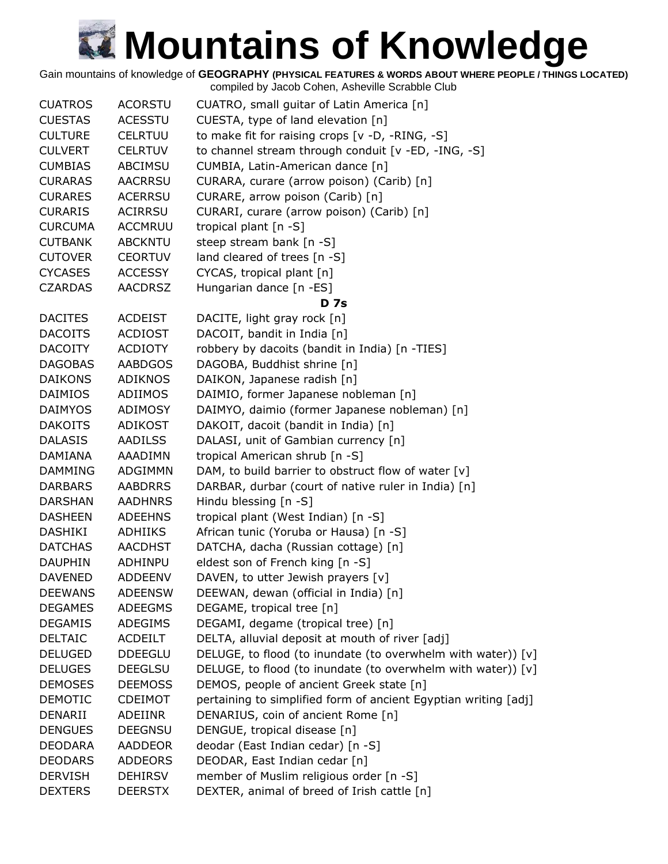Gain mountains of knowledge of **GEOGRAPHY (PHYSICAL FEATURES & WORDS ABOUT WHERE PEOPLE / THINGS LOCATED)**

| <b>CUATROS</b> | <b>ACORSTU</b> | CUATRO, small guitar of Latin America [n]                       |
|----------------|----------------|-----------------------------------------------------------------|
| <b>CUESTAS</b> | <b>ACESSTU</b> | CUESTA, type of land elevation [n]                              |
| <b>CULTURE</b> | <b>CELRTUU</b> | to make fit for raising crops $[v -D, -RING, -S]$               |
| <b>CULVERT</b> | <b>CELRTUV</b> | to channel stream through conduit [v -ED, -ING, -S]             |
| <b>CUMBIAS</b> | <b>ABCIMSU</b> | CUMBIA, Latin-American dance [n]                                |
| <b>CURARAS</b> | <b>AACRRSU</b> | CURARA, curare (arrow poison) (Carib) [n]                       |
| <b>CURARES</b> | <b>ACERRSU</b> | CURARE, arrow poison (Carib) [n]                                |
| <b>CURARIS</b> | <b>ACIRRSU</b> | CURARI, curare (arrow poison) (Carib) [n]                       |
| <b>CURCUMA</b> | <b>ACCMRUU</b> | tropical plant [n -S]                                           |
| <b>CUTBANK</b> | <b>ABCKNTU</b> | steep stream bank [n -S]                                        |
| <b>CUTOVER</b> | <b>CEORTUV</b> | land cleared of trees [n -S]                                    |
| <b>CYCASES</b> | <b>ACCESSY</b> | CYCAS, tropical plant [n]                                       |
| <b>CZARDAS</b> | <b>AACDRSZ</b> | Hungarian dance [n -ES]                                         |
|                |                | <b>D</b> 7s                                                     |
| <b>DACITES</b> | <b>ACDEIST</b> | DACITE, light gray rock [n]                                     |
| <b>DACOITS</b> | <b>ACDIOST</b> | DACOIT, bandit in India [n]                                     |
| <b>DACOITY</b> | <b>ACDIOTY</b> | robbery by dacoits (bandit in India) [n -TIES]                  |
| <b>DAGOBAS</b> | <b>AABDGOS</b> | DAGOBA, Buddhist shrine [n]                                     |
| <b>DAIKONS</b> | <b>ADIKNOS</b> | DAIKON, Japanese radish [n]                                     |
| <b>DAIMIOS</b> | ADIIMOS        | DAIMIO, former Japanese nobleman [n]                            |
| <b>DAIMYOS</b> | <b>ADIMOSY</b> | DAIMYO, daimio (former Japanese nobleman) [n]                   |
|                |                |                                                                 |
| <b>DAKOITS</b> | <b>ADIKOST</b> | DAKOIT, dacoit (bandit in India) [n]                            |
| <b>DALASIS</b> | <b>AADILSS</b> | DALASI, unit of Gambian currency [n]                            |
| DAMIANA        | AAADIMN        | tropical American shrub [n -S]                                  |
| <b>DAMMING</b> | <b>ADGIMMN</b> | DAM, to build barrier to obstruct flow of water [v]             |
| <b>DARBARS</b> | <b>AABDRRS</b> | DARBAR, durbar (court of native ruler in India) [n]             |
| <b>DARSHAN</b> | <b>AADHNRS</b> | Hindu blessing [n -S]                                           |
| <b>DASHEEN</b> | <b>ADEEHNS</b> | tropical plant (West Indian) [n -S]                             |
| DASHIKI        | <b>ADHIIKS</b> | African tunic (Yoruba or Hausa) [n -S]                          |
| <b>DATCHAS</b> | <b>AACDHST</b> | DATCHA, dacha (Russian cottage) [n]                             |
| <b>DAUPHIN</b> | ADHINPU        | eldest son of French king [n -S]                                |
| <b>DAVENED</b> | <b>ADDEENV</b> | DAVEN, to utter Jewish prayers [v]                              |
| <b>DEEWANS</b> | <b>ADEENSW</b> | DEEWAN, dewan (official in India) [n]                           |
| <b>DEGAMES</b> | ADEEGMS        | DEGAME, tropical tree [n]                                       |
| <b>DEGAMIS</b> | ADEGIMS        | DEGAMI, degame (tropical tree) [n]                              |
| <b>DELTAIC</b> | <b>ACDEILT</b> | DELTA, alluvial deposit at mouth of river [adj]                 |
| <b>DELUGED</b> | <b>DDEEGLU</b> | DELUGE, to flood (to inundate (to overwhelm with water)) [v]    |
| <b>DELUGES</b> | <b>DEEGLSU</b> | DELUGE, to flood (to inundate (to overwhelm with water)) [v]    |
| <b>DEMOSES</b> | <b>DEEMOSS</b> | DEMOS, people of ancient Greek state [n]                        |
| <b>DEMOTIC</b> | CDEIMOT        | pertaining to simplified form of ancient Egyptian writing [adj] |
| DENARII        | ADEIINR        | DENARIUS, coin of ancient Rome [n]                              |
| <b>DENGUES</b> | <b>DEEGNSU</b> | DENGUE, tropical disease [n]                                    |
| <b>DEODARA</b> | <b>AADDEOR</b> | deodar (East Indian cedar) [n -S]                               |
| <b>DEODARS</b> | <b>ADDEORS</b> | DEODAR, East Indian cedar [n]                                   |
| <b>DERVISH</b> | <b>DEHIRSV</b> | member of Muslim religious order [n -S]                         |
| <b>DEXTERS</b> | <b>DEERSTX</b> | DEXTER, animal of breed of Irish cattle [n]                     |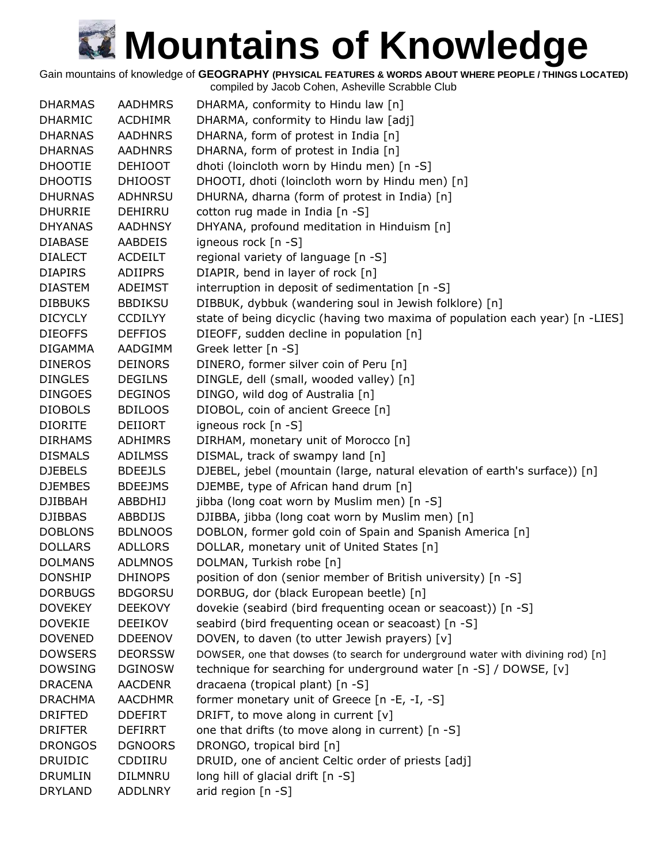Gain mountains of knowledge of **GEOGRAPHY (PHYSICAL FEATURES & WORDS ABOUT WHERE PEOPLE / THINGS LOCATED)**

| <b>DHARMAS</b> | <b>AADHMRS</b> | DHARMA, conformity to Hindu law [n]                                             |
|----------------|----------------|---------------------------------------------------------------------------------|
| <b>DHARMIC</b> | <b>ACDHIMR</b> | DHARMA, conformity to Hindu law [adj]                                           |
| <b>DHARNAS</b> | <b>AADHNRS</b> | DHARNA, form of protest in India [n]                                            |
| <b>DHARNAS</b> | <b>AADHNRS</b> | DHARNA, form of protest in India [n]                                            |
| <b>DHOOTIE</b> | <b>DEHIOOT</b> | dhoti (loincloth worn by Hindu men) [n -S]                                      |
| <b>DHOOTIS</b> | <b>DHIOOST</b> | DHOOTI, dhoti (loincloth worn by Hindu men) [n]                                 |
| <b>DHURNAS</b> | <b>ADHNRSU</b> | DHURNA, dharna (form of protest in India) [n]                                   |
| <b>DHURRIE</b> | DEHIRRU        | cotton rug made in India [n -S]                                                 |
| <b>DHYANAS</b> | <b>AADHNSY</b> | DHYANA, profound meditation in Hinduism [n]                                     |
| <b>DIABASE</b> | AABDEIS        | igneous rock [n -S]                                                             |
| <b>DIALECT</b> | <b>ACDEILT</b> | regional variety of language [n -S]                                             |
| <b>DIAPIRS</b> | ADIIPRS        | DIAPIR, bend in layer of rock [n]                                               |
| <b>DIASTEM</b> | ADEIMST        | interruption in deposit of sedimentation [n -S]                                 |
| <b>DIBBUKS</b> | <b>BBDIKSU</b> | DIBBUK, dybbuk (wandering soul in Jewish folklore) [n]                          |
| <b>DICYCLY</b> | <b>CCDILYY</b> | state of being dicyclic (having two maxima of population each year) [n -LIES]   |
| <b>DIEOFFS</b> | <b>DEFFIOS</b> | DIEOFF, sudden decline in population [n]                                        |
| <b>DIGAMMA</b> | AADGIMM        | Greek letter [n -S]                                                             |
| <b>DINEROS</b> | <b>DEINORS</b> | DINERO, former silver coin of Peru [n]                                          |
| <b>DINGLES</b> | <b>DEGILNS</b> | DINGLE, dell (small, wooded valley) [n]                                         |
| <b>DINGOES</b> | <b>DEGINOS</b> | DINGO, wild dog of Australia [n]                                                |
| <b>DIOBOLS</b> | <b>BDILOOS</b> | DIOBOL, coin of ancient Greece [n]                                              |
| <b>DIORITE</b> | DEIIORT        | igneous rock [n -S]                                                             |
| <b>DIRHAMS</b> | <b>ADHIMRS</b> | DIRHAM, monetary unit of Morocco [n]                                            |
| <b>DISMALS</b> | <b>ADILMSS</b> | DISMAL, track of swampy land [n]                                                |
| <b>DJEBELS</b> | <b>BDEEJLS</b> | DJEBEL, jebel (mountain (large, natural elevation of earth's surface)) [n]      |
| <b>DJEMBES</b> | <b>BDEEJMS</b> | DJEMBE, type of African hand drum [n]                                           |
| <b>DJIBBAH</b> | <b>ABBDHIJ</b> | jibba (long coat worn by Muslim men) [n -S]                                     |
| <b>DJIBBAS</b> | ABBDIJS        | DJIBBA, jibba (long coat worn by Muslim men) [n]                                |
| <b>DOBLONS</b> | <b>BDLNOOS</b> | DOBLON, former gold coin of Spain and Spanish America [n]                       |
| <b>DOLLARS</b> | <b>ADLLORS</b> | DOLLAR, monetary unit of United States [n]                                      |
| <b>DOLMANS</b> | <b>ADLMNOS</b> | DOLMAN, Turkish robe [n]                                                        |
| <b>DONSHIP</b> | <b>DHINOPS</b> | position of don (senior member of British university) [n -S]                    |
| <b>DORBUGS</b> | <b>BDGORSU</b> | DORBUG, dor (black European beetle) [n]                                         |
| <b>DOVEKEY</b> | <b>DEEKOVY</b> | dovekie (seabird (bird frequenting ocean or seacoast)) [n -S]                   |
| <b>DOVEKIE</b> | <b>DEEIKOV</b> | seabird (bird frequenting ocean or seacoast) [n -S]                             |
| <b>DOVENED</b> | <b>DDEENOV</b> | DOVEN, to daven (to utter Jewish prayers) [v]                                   |
| <b>DOWSERS</b> | <b>DEORSSW</b> | DOWSER, one that dowses (to search for underground water with divining rod) [n] |
| <b>DOWSING</b> | <b>DGINOSW</b> | technique for searching for underground water [n -S] / DOWSE, [v]               |
| <b>DRACENA</b> | <b>AACDENR</b> | dracaena (tropical plant) [n -S]                                                |
| <b>DRACHMA</b> | AACDHMR        | former monetary unit of Greece [n -E, -I, -S]                                   |
| <b>DRIFTED</b> | <b>DDEFIRT</b> | DRIFT, to move along in current [v]                                             |
| <b>DRIFTER</b> | <b>DEFIRRT</b> | one that drifts (to move along in current) [n -S]                               |
| <b>DRONGOS</b> | <b>DGNOORS</b> | DRONGO, tropical bird [n]                                                       |
| <b>DRUIDIC</b> | CDDIIRU        | DRUID, one of ancient Celtic order of priests [adj]                             |
| <b>DRUMLIN</b> | <b>DILMNRU</b> | long hill of glacial drift [n -S]                                               |
| <b>DRYLAND</b> | <b>ADDLNRY</b> | arid region [n -S]                                                              |
|                |                |                                                                                 |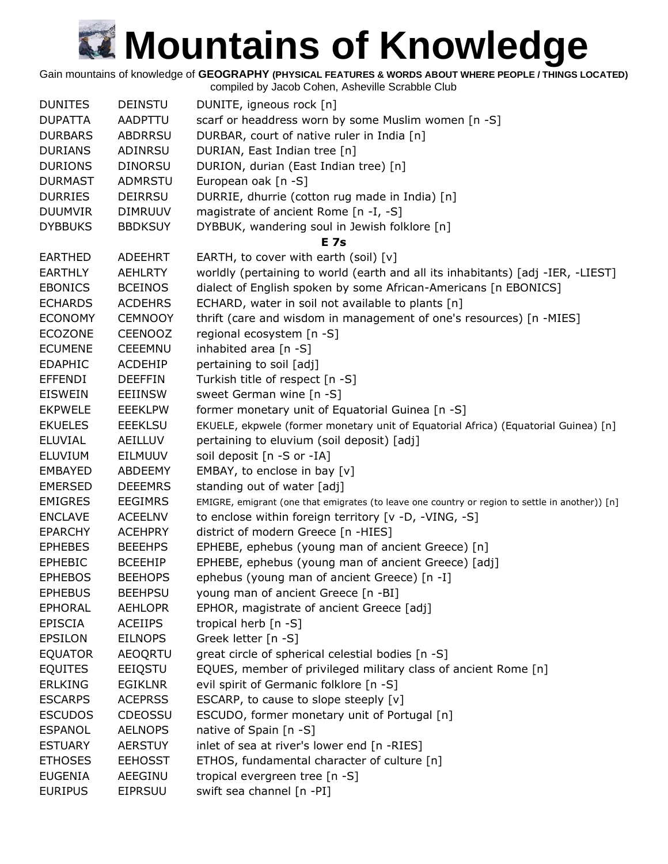Gain mountains of knowledge of **GEOGRAPHY (PHYSICAL FEATURES & WORDS ABOUT WHERE PEOPLE / THINGS LOCATED)**

| <b>DUNITES</b> | <b>DEINSTU</b> | DUNITE, igneous rock [n]                                                                        |
|----------------|----------------|-------------------------------------------------------------------------------------------------|
| <b>DUPATTA</b> | <b>AADPTTU</b> | scarf or headdress worn by some Muslim women [n -S]                                             |
| <b>DURBARS</b> | <b>ABDRRSU</b> | DURBAR, court of native ruler in India [n]                                                      |
| <b>DURIANS</b> | ADINRSU        | DURIAN, East Indian tree [n]                                                                    |
| <b>DURIONS</b> | <b>DINORSU</b> | DURION, durian (East Indian tree) [n]                                                           |
| <b>DURMAST</b> | <b>ADMRSTU</b> | European oak [n -S]                                                                             |
| <b>DURRIES</b> | <b>DEIRRSU</b> | DURRIE, dhurrie (cotton rug made in India) [n]                                                  |
| <b>DUUMVIR</b> | <b>DIMRUUV</b> | magistrate of ancient Rome [n -I, -S]                                                           |
| <b>DYBBUKS</b> | <b>BBDKSUY</b> | DYBBUK, wandering soul in Jewish folklore [n]                                                   |
|                |                | <b>E</b> 7s                                                                                     |
| <b>EARTHED</b> | <b>ADEEHRT</b> | EARTH, to cover with earth (soil) $[v]$                                                         |
| <b>EARTHLY</b> | <b>AEHLRTY</b> | worldly (pertaining to world (earth and all its inhabitants) [adj -IER, -LIEST]                 |
| <b>EBONICS</b> | <b>BCEINOS</b> | dialect of English spoken by some African-Americans [n EBONICS]                                 |
| <b>ECHARDS</b> | <b>ACDEHRS</b> | ECHARD, water in soil not available to plants [n]                                               |
| <b>ECONOMY</b> | <b>CEMNOOY</b> | thrift (care and wisdom in management of one's resources) [n -MIES]                             |
| <b>ECOZONE</b> | <b>CEENOOZ</b> | regional ecosystem [n -S]                                                                       |
| <b>ECUMENE</b> | <b>CEEEMNU</b> | inhabited area [n -S]                                                                           |
| <b>EDAPHIC</b> | <b>ACDEHIP</b> | pertaining to soil [adj]                                                                        |
| <b>EFFENDI</b> | <b>DEEFFIN</b> | Turkish title of respect [n -S]                                                                 |
| <b>EISWEIN</b> | <b>EEIINSW</b> | sweet German wine [n -S]                                                                        |
| <b>EKPWELE</b> | <b>EEEKLPW</b> | former monetary unit of Equatorial Guinea [n -S]                                                |
| <b>EKUELES</b> | <b>EEEKLSU</b> | EKUELE, ekpwele (former monetary unit of Equatorial Africa) (Equatorial Guinea) [n]             |
| <b>ELUVIAL</b> | AEILLUV        | pertaining to eluvium (soil deposit) [adj]                                                      |
| <b>ELUVIUM</b> | <b>EILMUUV</b> | soil deposit [n -S or -IA]                                                                      |
| <b>EMBAYED</b> | ABDEEMY        | EMBAY, to enclose in bay [v]                                                                    |
| <b>EMERSED</b> | <b>DEEEMRS</b> | standing out of water [adj]                                                                     |
| <b>EMIGRES</b> | <b>EEGIMRS</b> | EMIGRE, emigrant (one that emigrates (to leave one country or region to settle in another)) [n] |
| <b>ENCLAVE</b> | <b>ACEELNV</b> | to enclose within foreign territory [v -D, -VING, -S]                                           |
| <b>EPARCHY</b> | <b>ACEHPRY</b> | district of modern Greece [n -HIES]                                                             |
| <b>EPHEBES</b> | <b>BEEEHPS</b> | EPHEBE, ephebus (young man of ancient Greece) [n]                                               |
| <b>EPHEBIC</b> | <b>BCEEHIP</b> | EPHEBE, ephebus (young man of ancient Greece) [adj]                                             |
| <b>EPHEBOS</b> | <b>BEEHOPS</b> | ephebus (young man of ancient Greece) [n -I]                                                    |
| <b>EPHEBUS</b> | <b>BEEHPSU</b> | young man of ancient Greece [n -BI]                                                             |
| <b>EPHORAL</b> | <b>AEHLOPR</b> | EPHOR, magistrate of ancient Greece [adj]                                                       |
| <b>EPISCIA</b> | <b>ACEIIPS</b> | tropical herb [n -S]                                                                            |
| <b>EPSILON</b> | <b>EILNOPS</b> | Greek letter [n -S]                                                                             |
| <b>EQUATOR</b> | <b>AEOQRTU</b> | great circle of spherical celestial bodies [n -S]                                               |
| <b>EQUITES</b> | EEIQSTU        | EQUES, member of privileged military class of ancient Rome [n]                                  |
| <b>ERLKING</b> | <b>EGIKLNR</b> | evil spirit of Germanic folklore [n -S]                                                         |
| <b>ESCARPS</b> | <b>ACEPRSS</b> | ESCARP, to cause to slope steeply [v]                                                           |
| <b>ESCUDOS</b> | <b>CDEOSSU</b> | ESCUDO, former monetary unit of Portugal [n]                                                    |
| <b>ESPANOL</b> | <b>AELNOPS</b> | native of Spain [n -S]                                                                          |
| <b>ESTUARY</b> | <b>AERSTUY</b> | inlet of sea at river's lower end [n -RIES]                                                     |
| <b>ETHOSES</b> | <b>EEHOSST</b> | ETHOS, fundamental character of culture [n]                                                     |
| <b>EUGENIA</b> | AEEGINU        | tropical evergreen tree [n -S]                                                                  |
| <b>EURIPUS</b> | <b>EIPRSUU</b> | swift sea channel [n -PI]                                                                       |
|                |                |                                                                                                 |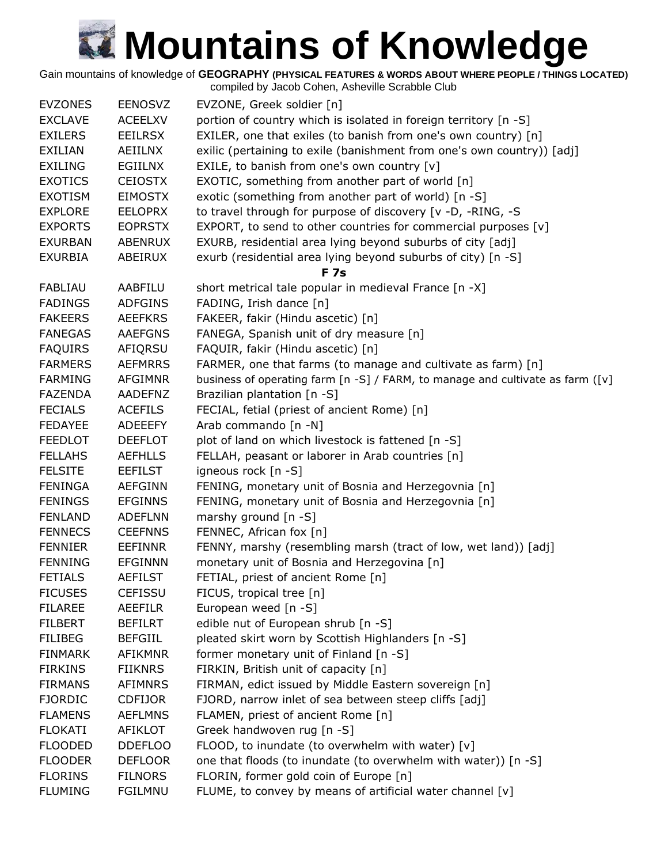Gain mountains of knowledge of **GEOGRAPHY (PHYSICAL FEATURES & WORDS ABOUT WHERE PEOPLE / THINGS LOCATED)** compiled by Jacob Cohen, Asheville Scrabble Club

|                |                | complied by Jacob Coriem, Asheville Scrapple Club                              |
|----------------|----------------|--------------------------------------------------------------------------------|
| <b>EVZONES</b> | <b>EENOSVZ</b> | EVZONE, Greek soldier [n]                                                      |
| <b>EXCLAVE</b> | <b>ACEELXV</b> | portion of country which is isolated in foreign territory [n -S]               |
| <b>EXILERS</b> | <b>EEILRSX</b> | EXILER, one that exiles (to banish from one's own country) [n]                 |
| <b>EXILIAN</b> | AEIILNX        | exilic (pertaining to exile (banishment from one's own country)) [adj]         |
| EXILING        | EGIILNX        | EXILE, to banish from one's own country [v]                                    |
| <b>EXOTICS</b> | <b>CEIOSTX</b> | EXOTIC, something from another part of world [n]                               |
| <b>EXOTISM</b> | <b>EIMOSTX</b> | exotic (something from another part of world) [n -S]                           |
| <b>EXPLORE</b> | <b>EELOPRX</b> | to travel through for purpose of discovery [v -D, -RING, -S                    |
| <b>EXPORTS</b> | <b>EOPRSTX</b> | EXPORT, to send to other countries for commercial purposes [v]                 |
| <b>EXURBAN</b> | ABENRUX        | EXURB, residential area lying beyond suburbs of city [adj]                     |
| <b>EXURBIA</b> | ABEIRUX        | exurb (residential area lying beyond suburbs of city) [n -S]                   |
|                |                | <b>F7s</b>                                                                     |
| <b>FABLIAU</b> | AABFILU        | short metrical tale popular in medieval France [n -X]                          |
| <b>FADINGS</b> | <b>ADFGINS</b> | FADING, Irish dance [n]                                                        |
| <b>FAKEERS</b> | <b>AEEFKRS</b> | FAKEER, fakir (Hindu ascetic) [n]                                              |
| <b>FANEGAS</b> | <b>AAEFGNS</b> | FANEGA, Spanish unit of dry measure [n]                                        |
| <b>FAQUIRS</b> | AFIQRSU        | FAQUIR, fakir (Hindu ascetic) [n]                                              |
| <b>FARMERS</b> | <b>AEFMRRS</b> | FARMER, one that farms (to manage and cultivate as farm) [n]                   |
| <b>FARMING</b> | <b>AFGIMNR</b> | business of operating farm [n -S] / FARM, to manage and cultivate as farm ([v] |
| <b>FAZENDA</b> | AADEFNZ        | Brazilian plantation [n -S]                                                    |
| <b>FECIALS</b> | <b>ACEFILS</b> | FECIAL, fetial (priest of ancient Rome) [n]                                    |
| <b>FEDAYEE</b> | <b>ADEEEFY</b> | Arab commando [n -N]                                                           |
| <b>FEEDLOT</b> | <b>DEEFLOT</b> | plot of land on which livestock is fattened [n -S]                             |
| <b>FELLAHS</b> | <b>AEFHLLS</b> | FELLAH, peasant or laborer in Arab countries [n]                               |
| <b>FELSITE</b> | <b>EEFILST</b> | igneous rock [n -S]                                                            |
| <b>FENINGA</b> | <b>AEFGINN</b> | FENING, monetary unit of Bosnia and Herzegovnia [n]                            |
| <b>FENINGS</b> | <b>EFGINNS</b> | FENING, monetary unit of Bosnia and Herzegovnia [n]                            |
| <b>FENLAND</b> | <b>ADEFLNN</b> | marshy ground $[n - S]$                                                        |
| <b>FENNECS</b> | <b>CEEFNNS</b> | FENNEC, African fox [n]                                                        |
| <b>FENNIER</b> | <b>EEFINNR</b> | FENNY, marshy (resembling marsh (tract of low, wet land)) [adj]                |
| <b>FENNING</b> | <b>EFGINNN</b> | monetary unit of Bosnia and Herzegovina [n]                                    |
| <b>FETIALS</b> | <b>AEFILST</b> | FETIAL, priest of ancient Rome [n]                                             |
| <b>FICUSES</b> | <b>CEFISSU</b> | FICUS, tropical tree [n]                                                       |
| <b>FILAREE</b> | AEEFILR        | European weed [n -S]                                                           |
| <b>FILBERT</b> | <b>BEFILRT</b> | edible nut of European shrub [n -S]                                            |
| <b>FILIBEG</b> | <b>BEFGIIL</b> | pleated skirt worn by Scottish Highlanders [n -S]                              |
| <b>FINMARK</b> | <b>AFIKMNR</b> | former monetary unit of Finland [n -S]                                         |
| <b>FIRKINS</b> | <b>FIIKNRS</b> | FIRKIN, British unit of capacity [n]                                           |
| <b>FIRMANS</b> | <b>AFIMNRS</b> | FIRMAN, edict issued by Middle Eastern sovereign [n]                           |
| <b>FJORDIC</b> | <b>CDFIJOR</b> | FJORD, narrow inlet of sea between steep cliffs [adj]                          |
| <b>FLAMENS</b> | <b>AEFLMNS</b> | FLAMEN, priest of ancient Rome [n]                                             |
| <b>FLOKATI</b> | <b>AFIKLOT</b> | Greek handwoven rug [n -S]                                                     |
| <b>FLOODED</b> | <b>DDEFLOO</b> | FLOOD, to inundate (to overwhelm with water) [v]                               |
| <b>FLOODER</b> | <b>DEFLOOR</b> | one that floods (to inundate (to overwhelm with water)) [n -S]                 |
| <b>FLORINS</b> | <b>FILNORS</b> | FLORIN, former gold coin of Europe [n]                                         |
| <b>FLUMING</b> | <b>FGILMNU</b> | FLUME, to convey by means of artificial water channel [v]                      |
|                |                |                                                                                |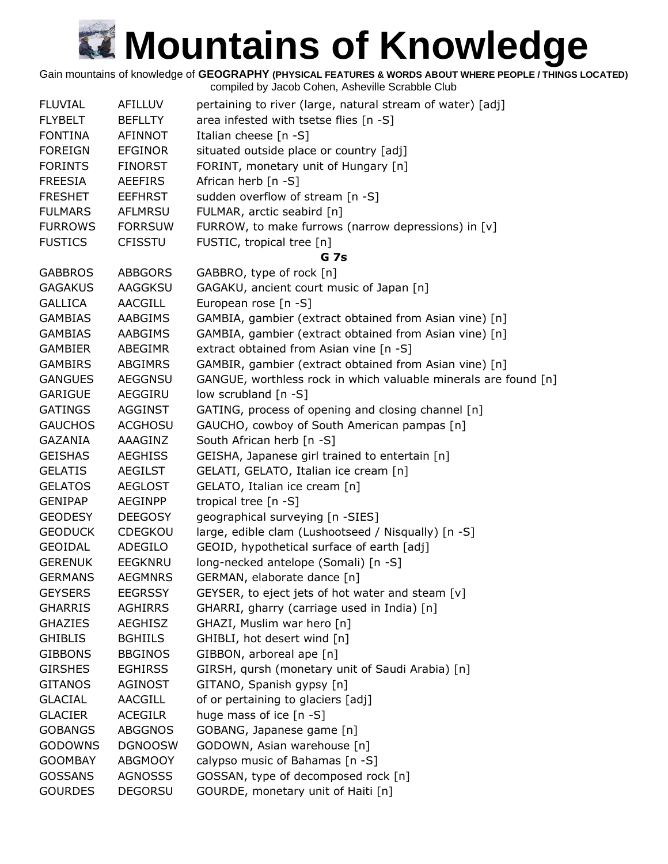Gain mountains of knowledge of **GEOGRAPHY (PHYSICAL FEATURES & WORDS ABOUT WHERE PEOPLE / THINGS LOCATED)**

| <b>FLUVIAL</b> | AFILLUV        | pertaining to river (large, natural stream of water) [adj]      |
|----------------|----------------|-----------------------------------------------------------------|
| <b>FLYBELT</b> | <b>BEFLLTY</b> | area infested with tsetse flies [n -S]                          |
| <b>FONTINA</b> | <b>AFINNOT</b> | Italian cheese [n -S]                                           |
| <b>FOREIGN</b> | <b>EFGINOR</b> | situated outside place or country [adj]                         |
| <b>FORINTS</b> | <b>FINORST</b> | FORINT, monetary unit of Hungary [n]                            |
| <b>FREESIA</b> | <b>AEEFIRS</b> | African herb [n -S]                                             |
| <b>FRESHET</b> | <b>EEFHRST</b> | sudden overflow of stream [n -S]                                |
| <b>FULMARS</b> | <b>AFLMRSU</b> | FULMAR, arctic seabird [n]                                      |
| <b>FURROWS</b> | <b>FORRSUW</b> | FURROW, to make furrows (narrow depressions) in [v]             |
| <b>FUSTICS</b> | <b>CFISSTU</b> | FUSTIC, tropical tree [n]                                       |
|                |                | G <sub>7s</sub>                                                 |
| <b>GABBROS</b> | <b>ABBGORS</b> | GABBRO, type of rock [n]                                        |
| <b>GAGAKUS</b> | AAGGKSU        | GAGAKU, ancient court music of Japan [n]                        |
| <b>GALLICA</b> | <b>AACGILL</b> | European rose [n -S]                                            |
| <b>GAMBIAS</b> | AABGIMS        | GAMBIA, gambier (extract obtained from Asian vine) [n]          |
| <b>GAMBIAS</b> | <b>AABGIMS</b> | GAMBIA, gambier (extract obtained from Asian vine) [n]          |
| <b>GAMBIER</b> | ABEGIMR        | extract obtained from Asian vine [n -S]                         |
| <b>GAMBIRS</b> | <b>ABGIMRS</b> | GAMBIR, gambier (extract obtained from Asian vine) [n]          |
| <b>GANGUES</b> | <b>AEGGNSU</b> | GANGUE, worthless rock in which valuable minerals are found [n] |
| GARIGUE        | AEGGIRU        | low scrubland [n -S]                                            |
| <b>GATINGS</b> | <b>AGGINST</b> | GATING, process of opening and closing channel [n]              |
| <b>GAUCHOS</b> | <b>ACGHOSU</b> | GAUCHO, cowboy of South American pampas [n]                     |
| <b>GAZANIA</b> | AAAGINZ        | South African herb [n -S]                                       |
| <b>GEISHAS</b> | <b>AEGHISS</b> | GEISHA, Japanese girl trained to entertain [n]                  |
| <b>GELATIS</b> | <b>AEGILST</b> | GELATI, GELATO, Italian ice cream [n]                           |
| <b>GELATOS</b> | <b>AEGLOST</b> | GELATO, Italian ice cream [n]                                   |
| <b>GENIPAP</b> | AEGINPP        | tropical tree [n -S]                                            |
| <b>GEODESY</b> | <b>DEEGOSY</b> | geographical surveying [n -SIES]                                |
| <b>GEODUCK</b> | CDEGKOU        | large, edible clam (Lushootseed / Nisqually) [n -S]             |
| GEOIDAL        | ADEGILO        | GEOID, hypothetical surface of earth [adj]                      |
| <b>GERENUK</b> | <b>EEGKNRU</b> | long-necked antelope (Somali) [n -S]                            |
| <b>GERMANS</b> | <b>AEGMNRS</b> | GERMAN, elaborate dance [n]                                     |
| <b>GEYSERS</b> | <b>EEGRSSY</b> | GEYSER, to eject jets of hot water and steam [v]                |
| <b>GHARRIS</b> | <b>AGHIRRS</b> | GHARRI, gharry (carriage used in India) [n]                     |
| <b>GHAZIES</b> | <b>AEGHISZ</b> | GHAZI, Muslim war hero [n]                                      |
| <b>GHIBLIS</b> | <b>BGHIILS</b> | GHIBLI, hot desert wind [n]                                     |
| <b>GIBBONS</b> | <b>BBGINOS</b> | GIBBON, arboreal ape [n]                                        |
| <b>GIRSHES</b> | <b>EGHIRSS</b> | GIRSH, qursh (monetary unit of Saudi Arabia) [n]                |
| <b>GITANOS</b> | <b>AGINOST</b> | GITANO, Spanish gypsy [n]                                       |
| <b>GLACIAL</b> | <b>AACGILL</b> | of or pertaining to glaciers [adj]                              |
| <b>GLACIER</b> | <b>ACEGILR</b> | huge mass of ice [n -S]                                         |
| <b>GOBANGS</b> | <b>ABGGNOS</b> | GOBANG, Japanese game [n]                                       |
| <b>GODOWNS</b> | <b>DGNOOSW</b> | GODOWN, Asian warehouse [n]                                     |
| <b>GOOMBAY</b> | <b>ABGMOOY</b> | calypso music of Bahamas [n -S]                                 |
| <b>GOSSANS</b> | <b>AGNOSSS</b> | GOSSAN, type of decomposed rock [n]                             |
| <b>GOURDES</b> | <b>DEGORSU</b> | GOURDE, monetary unit of Haiti [n]                              |
|                |                |                                                                 |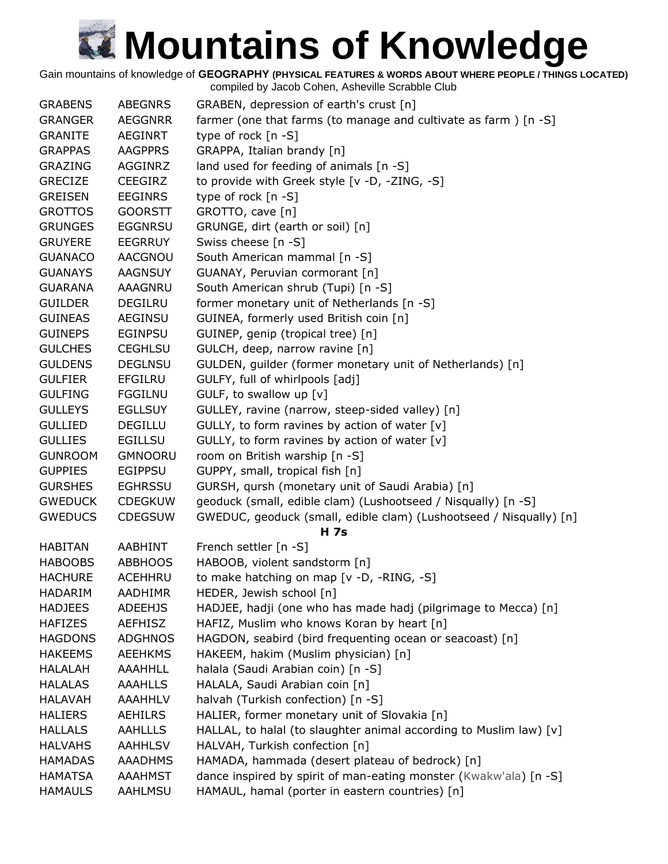Gain mountains of knowledge of **GEOGRAPHY (PHYSICAL FEATURES & WORDS ABOUT WHERE PEOPLE / THINGS LOCATED)**

| <b>GRABENS</b> | <b>ABEGNRS</b> | GRABEN, depression of earth's crust [n]                                           |
|----------------|----------------|-----------------------------------------------------------------------------------|
| <b>GRANGER</b> | <b>AEGGNRR</b> | farmer (one that farms (to manage and cultivate as farm ) $[n -S]$                |
| <b>GRANITE</b> | AEGINRT        | type of rock [n -S]                                                               |
| <b>GRAPPAS</b> | <b>AAGPPRS</b> | GRAPPA, Italian brandy [n]                                                        |
| <b>GRAZING</b> | <b>AGGINRZ</b> | land used for feeding of animals [n -S]                                           |
| <b>GRECIZE</b> | <b>CEEGIRZ</b> | to provide with Greek style [v -D, -ZING, -S]                                     |
| <b>GREISEN</b> | <b>EEGINRS</b> | type of rock [n -S]                                                               |
| <b>GROTTOS</b> | <b>GOORSTT</b> | GROTTO, cave [n]                                                                  |
| <b>GRUNGES</b> | <b>EGGNRSU</b> | GRUNGE, dirt (earth or soil) [n]                                                  |
| <b>GRUYERE</b> | <b>EEGRRUY</b> | Swiss cheese [n -S]                                                               |
| <b>GUANACO</b> | AACGNOU        | South American mammal [n -S]                                                      |
| <b>GUANAYS</b> | <b>AAGNSUY</b> | GUANAY, Peruvian cormorant [n]                                                    |
| <b>GUARANA</b> | AAAGNRU        | South American shrub (Tupi) [n -S]                                                |
| <b>GUILDER</b> | DEGILRU        | former monetary unit of Netherlands [n -S]                                        |
| <b>GUINEAS</b> | <b>AEGINSU</b> | GUINEA, formerly used British coin [n]                                            |
| <b>GUINEPS</b> | <b>EGINPSU</b> | GUINEP, genip (tropical tree) [n]                                                 |
| <b>GULCHES</b> | <b>CEGHLSU</b> | GULCH, deep, narrow ravine [n]                                                    |
| <b>GULDENS</b> | <b>DEGLNSU</b> | GULDEN, guilder (former monetary unit of Netherlands) [n]                         |
| <b>GULFIER</b> | <b>EFGILRU</b> | GULFY, full of whirlpools [adj]                                                   |
| <b>GULFING</b> | <b>FGGILNU</b> | GULF, to swallow up [v]                                                           |
| <b>GULLEYS</b> | <b>EGLLSUY</b> | GULLEY, ravine (narrow, steep-sided valley) [n]                                   |
| <b>GULLIED</b> | <b>DEGILLU</b> | GULLY, to form ravines by action of water [v]                                     |
| <b>GULLIES</b> |                |                                                                                   |
|                | <b>EGILLSU</b> | GULLY, to form ravines by action of water [v]                                     |
| <b>GUNROOM</b> | <b>GMNOORU</b> | room on British warship [n -S]                                                    |
| <b>GUPPIES</b> | <b>EGIPPSU</b> | GUPPY, small, tropical fish [n]                                                   |
| <b>GURSHES</b> | <b>EGHRSSU</b> | GURSH, qursh (monetary unit of Saudi Arabia) [n]                                  |
| <b>GWEDUCK</b> | <b>CDEGKUW</b> | geoduck (small, edible clam) (Lushootseed / Nisqually) [n -S]                     |
| <b>GWEDUCS</b> | <b>CDEGSUW</b> | GWEDUC, geoduck (small, edible clam) (Lushootseed / Nisqually) [n]<br><b>H</b> 7s |
| <b>HABITAN</b> | AABHINT        | French settler [n -S]                                                             |
| <b>HABOOBS</b> | <b>ABBHOOS</b> | HABOOB, violent sandstorm [n]                                                     |
| <b>HACHURE</b> | ACEHHRU        | to make hatching on map [v -D, -RING, -S]                                         |
| <b>HADARIM</b> | <b>AADHIMR</b> | HEDER, Jewish school [n]                                                          |
| <b>HADJEES</b> | <b>ADEEHJS</b> | HADJEE, hadji (one who has made hadj (pilgrimage to Mecca) [n]                    |
| <b>HAFIZES</b> | <b>AEFHISZ</b> | HAFIZ, Muslim who knows Koran by heart [n]                                        |
| <b>HAGDONS</b> | <b>ADGHNOS</b> | HAGDON, seabird (bird frequenting ocean or seacoast) [n]                          |
| <b>HAKEEMS</b> | <b>AEEHKMS</b> | HAKEEM, hakim (Muslim physician) [n]                                              |
| <b>HALALAH</b> | <b>AAAHHLL</b> | halala (Saudi Arabian coin) [n -S]                                                |
| <b>HALALAS</b> | <b>AAAHLLS</b> | HALALA, Saudi Arabian coin [n]                                                    |
| <b>HALAVAH</b> | AAAHHLV        | halvah (Turkish confection) [n -S]                                                |
| <b>HALIERS</b> | AEHILRS        | HALIER, former monetary unit of Slovakia [n]                                      |
| <b>HALLALS</b> | <b>AAHLLLS</b> | HALLAL, to halal (to slaughter animal according to Muslim law) [v]                |
| <b>HALVAHS</b> | <b>AAHHLSV</b> | HALVAH, Turkish confection [n]                                                    |
|                |                |                                                                                   |
| <b>HAMADAS</b> | <b>AAADHMS</b> | HAMADA, hammada (desert plateau of bedrock) [n]                                   |
| <b>HAMATSA</b> | <b>AAAHMST</b> | dance inspired by spirit of man-eating monster (Kwakw'ala) [n -S]                 |
| <b>HAMAULS</b> | AAHLMSU        | HAMAUL, hamal (porter in eastern countries) [n]                                   |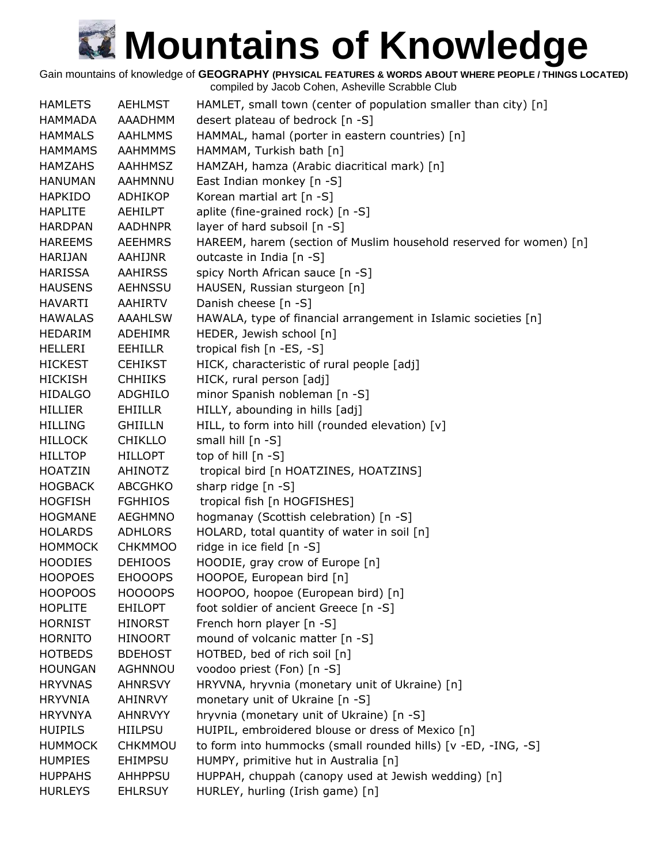Gain mountains of knowledge of **GEOGRAPHY (PHYSICAL FEATURES & WORDS ABOUT WHERE PEOPLE / THINGS LOCATED)**

| <b>HAMLETS</b> | <b>AEHLMST</b> | HAMLET, small town (center of population smaller than city) [n]    |
|----------------|----------------|--------------------------------------------------------------------|
| HAMMADA        | AAADHMM        | desert plateau of bedrock [n -S]                                   |
| <b>HAMMALS</b> | <b>AAHLMMS</b> | HAMMAL, hamal (porter in eastern countries) [n]                    |
| <b>HAMMAMS</b> | <b>AAHMMMS</b> | HAMMAM, Turkish bath [n]                                           |
| <b>HAMZAHS</b> | <b>AAHHMSZ</b> | HAMZAH, hamza (Arabic diacritical mark) [n]                        |
| <b>HANUMAN</b> | AAHMNNU        | East Indian monkey [n -S]                                          |
| <b>HAPKIDO</b> | ADHIKOP        | Korean martial art [n -S]                                          |
| <b>HAPLITE</b> | AEHILPT        | aplite (fine-grained rock) [n -S]                                  |
| <b>HARDPAN</b> | <b>AADHNPR</b> | layer of hard subsoil [n -S]                                       |
| <b>HAREEMS</b> | <b>AEEHMRS</b> | HAREEM, harem (section of Muslim household reserved for women) [n] |
| <b>HARIJAN</b> | AAHIJNR        | outcaste in India [n -S]                                           |
| HARISSA        | <b>AAHIRSS</b> | spicy North African sauce [n -S]                                   |
| <b>HAUSENS</b> | AEHNSSU        | HAUSEN, Russian sturgeon [n]                                       |
| <b>HAVARTI</b> | AAHIRTV        | Danish cheese [n -S]                                               |
| <b>HAWALAS</b> | <b>AAAHLSW</b> | HAWALA, type of financial arrangement in Islamic societies [n]     |
| HEDARIM        | <b>ADEHIMR</b> | HEDER, Jewish school [n]                                           |
| <b>HELLERI</b> | <b>EEHILLR</b> | tropical fish [n -ES, -S]                                          |
| <b>HICKEST</b> | <b>CEHIKST</b> | HICK, characteristic of rural people [adj]                         |
| <b>HICKISH</b> | <b>CHHIIKS</b> | HICK, rural person [adj]                                           |
| <b>HIDALGO</b> | ADGHILO        | minor Spanish nobleman [n -S]                                      |
| <b>HILLIER</b> | <b>EHIILLR</b> | HILLY, abounding in hills [adj]                                    |
| <b>HILLING</b> | <b>GHIILLN</b> | HILL, to form into hill (rounded elevation) [v]                    |
| <b>HILLOCK</b> | <b>CHIKLLO</b> | small hill [n -S]                                                  |
| <b>HILLTOP</b> | <b>HILLOPT</b> | top of hill [n -S]                                                 |
| <b>HOATZIN</b> | AHINOTZ        | tropical bird [n HOATZINES, HOATZINS]                              |
| <b>HOGBACK</b> | ABCGHKO        | sharp ridge [n -S]                                                 |
| <b>HOGFISH</b> | <b>FGHHIOS</b> | tropical fish [n HOGFISHES]                                        |
| <b>HOGMANE</b> | <b>AEGHMNO</b> | hogmanay (Scottish celebration) [n -S]                             |
| <b>HOLARDS</b> | <b>ADHLORS</b> | HOLARD, total quantity of water in soil [n]                        |
| <b>HOMMOCK</b> | <b>CHKMMOO</b> | ridge in ice field [n -S]                                          |
| <b>HOODIES</b> | <b>DEHIOOS</b> | HOODIE, gray crow of Europe [n]                                    |
| <b>HOOPOES</b> | <b>EHOOOPS</b> | HOOPOE, European bird [n]                                          |
| <b>HOOPOOS</b> | <b>HOOOOPS</b> | HOOPOO, hoopoe (European bird) [n]                                 |
| <b>HOPLITE</b> | <b>EHILOPT</b> | foot soldier of ancient Greece [n -S]                              |
| <b>HORNIST</b> | <b>HINORST</b> | French horn player [n -S]                                          |
| <b>HORNITO</b> | <b>HINOORT</b> | mound of volcanic matter [n -S]                                    |
| <b>HOTBEDS</b> | <b>BDEHOST</b> | HOTBED, bed of rich soil [n]                                       |
| <b>HOUNGAN</b> | <b>AGHNNOU</b> | voodoo priest (Fon) [n -S]                                         |
| <b>HRYVNAS</b> | <b>AHNRSVY</b> | HRYVNA, hryvnia (monetary unit of Ukraine) [n]                     |
| <b>HRYVNIA</b> | AHINRVY        | monetary unit of Ukraine [n -S]                                    |
| <b>HRYVNYA</b> | AHNRVYY        | hryvnia (monetary unit of Ukraine) [n -S]                          |
| <b>HUIPILS</b> | <b>HIILPSU</b> | HUIPIL, embroidered blouse or dress of Mexico [n]                  |
| <b>HUMMOCK</b> | <b>CHKMMOU</b> | to form into hummocks (small rounded hills) [v -ED, -ING, -S]      |
| <b>HUMPIES</b> | <b>EHIMPSU</b> | HUMPY, primitive hut in Australia [n]                              |
| <b>HUPPAHS</b> | <b>AHHPPSU</b> | HUPPAH, chuppah (canopy used at Jewish wedding) [n]                |
| <b>HURLEYS</b> | <b>EHLRSUY</b> | HURLEY, hurling (Irish game) [n]                                   |
|                |                |                                                                    |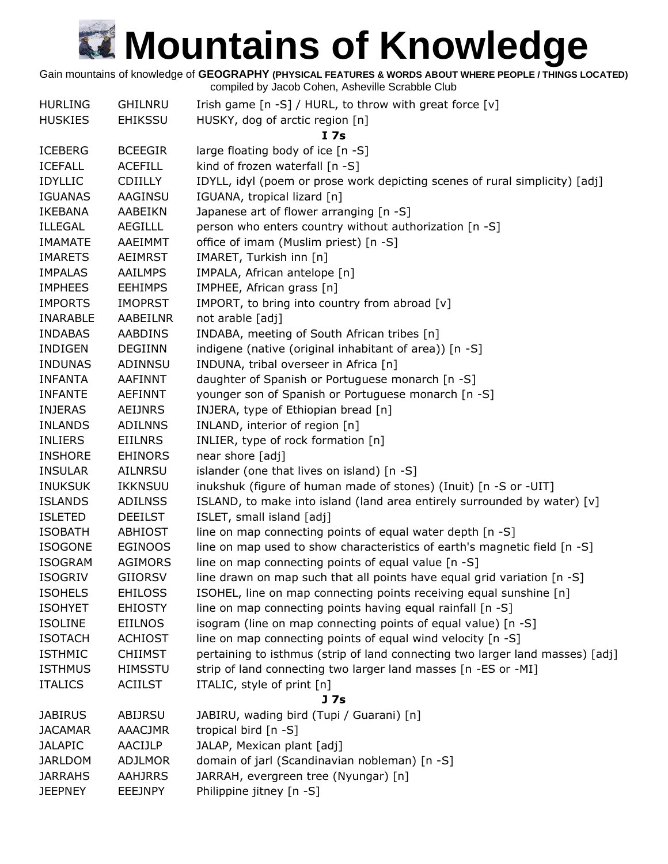Gain mountains of knowledge of **GEOGRAPHY (PHYSICAL FEATURES & WORDS ABOUT WHERE PEOPLE / THINGS LOCATED)**

| <b>HURLING</b>  | <b>GHILNRU</b> | Irish game [n -S] / HURL, to throw with great force [v]                       |
|-----------------|----------------|-------------------------------------------------------------------------------|
| <b>HUSKIES</b>  | <b>EHIKSSU</b> | HUSKY, dog of arctic region [n]                                               |
|                 |                | I 7s                                                                          |
| <b>ICEBERG</b>  | <b>BCEEGIR</b> | large floating body of ice [n -S]                                             |
| <b>ICEFALL</b>  | <b>ACEFILL</b> | kind of frozen waterfall [n -S]                                               |
| <b>IDYLLIC</b>  | <b>CDIILLY</b> | IDYLL, idyl (poem or prose work depicting scenes of rural simplicity) [adj]   |
| <b>IGUANAS</b>  | AAGINSU        | IGUANA, tropical lizard [n]                                                   |
| <b>IKEBANA</b>  | AABEIKN        | Japanese art of flower arranging [n -S]                                       |
| <b>ILLEGAL</b>  | AEGILLL        | person who enters country without authorization [n -S]                        |
| <b>IMAMATE</b>  | AAEIMMT        | office of imam (Muslim priest) [n -S]                                         |
| <b>IMARETS</b>  | <b>AEIMRST</b> | IMARET, Turkish inn [n]                                                       |
| <b>IMPALAS</b>  | AAILMPS        | IMPALA, African antelope [n]                                                  |
| <b>IMPHEES</b>  | <b>EEHIMPS</b> | IMPHEE, African grass [n]                                                     |
| <b>IMPORTS</b>  | <b>IMOPRST</b> | IMPORT, to bring into country from abroad [v]                                 |
| <b>INARABLE</b> | AABEILNR       | not arable [adj]                                                              |
| <b>INDABAS</b>  | <b>AABDINS</b> | INDABA, meeting of South African tribes [n]                                   |
| <b>INDIGEN</b>  | <b>DEGIINN</b> | indigene (native (original inhabitant of area)) [n -S]                        |
| <b>INDUNAS</b>  | ADINNSU        | INDUNA, tribal overseer in Africa [n]                                         |
| <b>INFANTA</b>  | AAFINNT        | daughter of Spanish or Portuguese monarch [n -S]                              |
| <b>INFANTE</b>  | <b>AEFINNT</b> | younger son of Spanish or Portuguese monarch [n -S]                           |
| <b>INJERAS</b>  | <b>AEIJNRS</b> | INJERA, type of Ethiopian bread [n]                                           |
| <b>INLANDS</b>  | <b>ADILNNS</b> | INLAND, interior of region [n]                                                |
| <b>INLIERS</b>  | <b>EIILNRS</b> | INLIER, type of rock formation [n]                                            |
| <b>INSHORE</b>  | <b>EHINORS</b> | near shore [adj]                                                              |
| <b>INSULAR</b>  | AILNRSU        | islander (one that lives on island) [n -S]                                    |
| <b>INUKSUK</b>  | IKKNSUU        | inukshuk (figure of human made of stones) (Inuit) [n -S or -UIT]              |
| <b>ISLANDS</b>  | <b>ADILNSS</b> | ISLAND, to make into island (land area entirely surrounded by water) [v]      |
| <b>ISLETED</b>  | <b>DEEILST</b> | ISLET, small island [adj]                                                     |
| <b>ISOBATH</b>  | <b>ABHIOST</b> | line on map connecting points of equal water depth [n -S]                     |
| <b>ISOGONE</b>  | <b>EGINOOS</b> | line on map used to show characteristics of earth's magnetic field [n -S]     |
| <b>ISOGRAM</b>  | <b>AGIMORS</b> | line on map connecting points of equal value [n -S]                           |
|                 |                |                                                                               |
| <b>ISOGRIV</b>  | <b>GIIORSV</b> | line drawn on map such that all points have equal grid variation [n -S]       |
| <b>ISOHELS</b>  | <b>EHILOSS</b> | ISOHEL, line on map connecting points receiving equal sunshine [n]            |
| <b>ISOHYET</b>  | <b>EHIOSTY</b> | line on map connecting points having equal rainfall [n -S]                    |
| <b>ISOLINE</b>  | <b>EIILNOS</b> | isogram (line on map connecting points of equal value) [n -S]                 |
| <b>ISOTACH</b>  | <b>ACHIOST</b> | line on map connecting points of equal wind velocity [n -S]                   |
| <b>ISTHMIC</b>  | <b>CHIIMST</b> | pertaining to isthmus (strip of land connecting two larger land masses) [adj] |
| <b>ISTHMUS</b>  | <b>HIMSSTU</b> | strip of land connecting two larger land masses [n -ES or -MI]                |
| <b>ITALICS</b>  | <b>ACIILST</b> | ITALIC, style of print [n]                                                    |
|                 |                | J 7s                                                                          |
| <b>JABIRUS</b>  | ABIJRSU        | JABIRU, wading bird (Tupi / Guarani) [n]                                      |
| <b>JACAMAR</b>  | <b>AAACJMR</b> | tropical bird $[n - S]$                                                       |
| <b>JALAPIC</b>  | AACIJLP        | JALAP, Mexican plant [adj]                                                    |
| <b>JARLDOM</b>  | <b>ADJLMOR</b> | domain of jarl (Scandinavian nobleman) [n -S]                                 |
| <b>JARRAHS</b>  | <b>AAHJRRS</b> | JARRAH, evergreen tree (Nyungar) [n]                                          |
| <b>JEEPNEY</b>  | <b>EEEJNPY</b> | Philippine jitney [n -S]                                                      |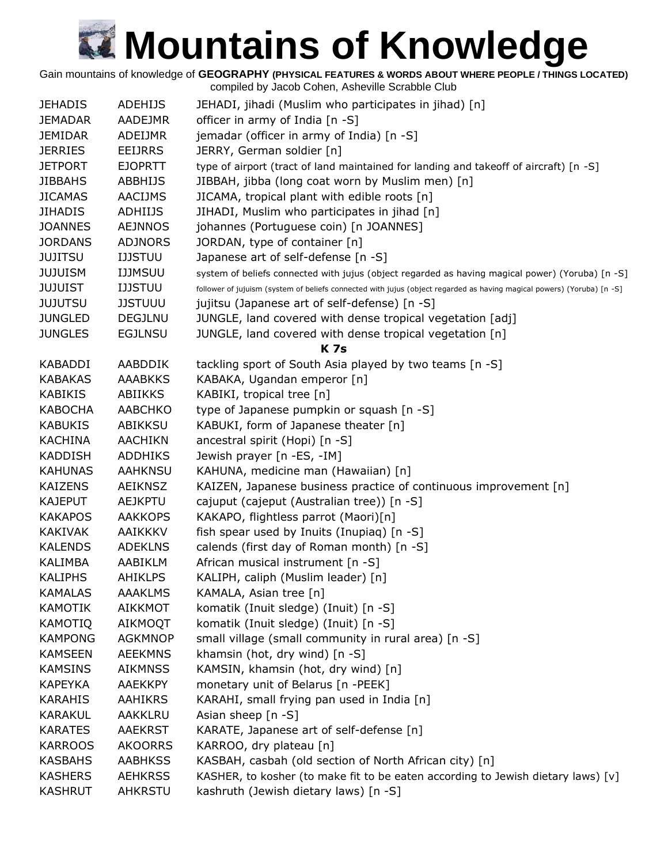Gain mountains of knowledge of **GEOGRAPHY (PHYSICAL FEATURES & WORDS ABOUT WHERE PEOPLE / THINGS LOCATED)**

| <b>JEHADIS</b> | <b>ADEHIJS</b> | JEHADI, jihadi (Muslim who participates in jihad) [n]                                                                  |
|----------------|----------------|------------------------------------------------------------------------------------------------------------------------|
| <b>JEMADAR</b> | AADEJMR        | officer in army of India [n -S]                                                                                        |
| JEMIDAR        | ADEIJMR        | jemadar (officer in army of India) [n -S]                                                                              |
| <b>JERRIES</b> | <b>EEIJRRS</b> | JERRY, German soldier [n]                                                                                              |
| JETPORT        | <b>EJOPRTT</b> | type of airport (tract of land maintained for landing and takeoff of aircraft) [n -S]                                  |
| <b>JIBBAHS</b> | <b>ABBHIJS</b> | JIBBAH, jibba (long coat worn by Muslim men) [n]                                                                       |
| <b>JICAMAS</b> | <b>AACIJMS</b> | JICAMA, tropical plant with edible roots [n]                                                                           |
| <b>JIHADIS</b> | <b>ADHIIJS</b> | JIHADI, Muslim who participates in jihad [n]                                                                           |
| <b>JOANNES</b> | <b>AEJNNOS</b> | johannes (Portuguese coin) [n JOANNES]                                                                                 |
| <b>JORDANS</b> | <b>ADJNORS</b> | JORDAN, type of container [n]                                                                                          |
| JUJITSU        | <b>IJJSTUU</b> | Japanese art of self-defense [n -S]                                                                                    |
| JUJUISM        | <b>IJJMSUU</b> | system of beliefs connected with jujus (object regarded as having magical power) (Yoruba) [n -S]                       |
| <b>JUJUIST</b> | <b>IJJSTUU</b> | follower of jujuism (system of beliefs connected with jujus (object regarded as having magical powers) (Yoruba) [n -S] |
| <b>JUJUTSU</b> | <b>JJSTUUU</b> | jujitsu (Japanese art of self-defense) [n -S]                                                                          |
| <b>JUNGLED</b> | <b>DEGJLNU</b> | JUNGLE, land covered with dense tropical vegetation [adj]                                                              |
| <b>JUNGLES</b> | <b>EGJLNSU</b> | JUNGLE, land covered with dense tropical vegetation [n]                                                                |
|                |                | <b>K7s</b>                                                                                                             |
| KABADDI        | AABDDIK        | tackling sport of South Asia played by two teams [n -S]                                                                |
| <b>KABAKAS</b> | <b>AAABKKS</b> | KABAKA, Ugandan emperor [n]                                                                                            |
| <b>KABIKIS</b> | ABIIKKS        | KABIKI, tropical tree [n]                                                                                              |
| KABOCHA        | <b>AABCHKO</b> | type of Japanese pumpkin or squash [n -S]                                                                              |
| <b>KABUKIS</b> | ABIKKSU        | KABUKI, form of Japanese theater [n]                                                                                   |
| <b>KACHINA</b> | <b>AACHIKN</b> | ancestral spirit (Hopi) [n -S]                                                                                         |
| <b>KADDISH</b> | <b>ADDHIKS</b> | Jewish prayer [n -ES, -IM]                                                                                             |
| <b>KAHUNAS</b> | <b>AAHKNSU</b> | KAHUNA, medicine man (Hawaiian) [n]                                                                                    |
| <b>KAIZENS</b> | AEIKNSZ        | KAIZEN, Japanese business practice of continuous improvement [n]                                                       |
| <b>KAJEPUT</b> | <b>AEJKPTU</b> | cajuput (cajeput (Australian tree)) [n -S]                                                                             |
| <b>KAKAPOS</b> | <b>AAKKOPS</b> | KAKAPO, flightless parrot (Maori)[n]                                                                                   |
| <b>KAKIVAK</b> | <b>AAIKKKV</b> | fish spear used by Inuits (Inupiaq) [n -S]                                                                             |
| <b>KALENDS</b> | <b>ADEKLNS</b> | calends (first day of Roman month) [n -S]                                                                              |
| KALIMBA        | AABIKLM        | African musical instrument [n -S]                                                                                      |
| <b>KALIPHS</b> | <b>AHIKLPS</b> | KALIPH, caliph (Muslim leader) [n]                                                                                     |
| KAMALAS        | <b>AAAKLMS</b> | KAMALA, Asian tree [n]                                                                                                 |
| <b>KAMOTIK</b> | <b>AIKKMOT</b> | komatik (Inuit sledge) (Inuit) [n -S]                                                                                  |
| <b>KAMOTIQ</b> | <b>AIKMOQT</b> | komatik (Inuit sledge) (Inuit) [n -S]                                                                                  |
| <b>KAMPONG</b> | <b>AGKMNOP</b> | small village (small community in rural area) [n -S]                                                                   |
| <b>KAMSEEN</b> | <b>AEEKMNS</b> | khamsin (hot, dry wind) [n -S]                                                                                         |
| <b>KAMSINS</b> | <b>AIKMNSS</b> | KAMSIN, khamsin (hot, dry wind) [n]                                                                                    |
| <b>KAPEYKA</b> | <b>AAEKKPY</b> | monetary unit of Belarus [n -PEEK]                                                                                     |
| <b>KARAHIS</b> | AAHIKRS        | KARAHI, small frying pan used in India [n]                                                                             |
| <b>KARAKUL</b> | AAKKLRU        | Asian sheep [n -S]                                                                                                     |
| <b>KARATES</b> | <b>AAEKRST</b> | KARATE, Japanese art of self-defense [n]                                                                               |
| <b>KARROOS</b> | <b>AKOORRS</b> | KARROO, dry plateau [n]                                                                                                |
| <b>KASBAHS</b> | <b>AABHKSS</b> | KASBAH, casbah (old section of North African city) [n]                                                                 |
| <b>KASHERS</b> | <b>AEHKRSS</b> | KASHER, to kosher (to make fit to be eaten according to Jewish dietary laws) [v]                                       |
| <b>KASHRUT</b> | <b>AHKRSTU</b> | kashruth (Jewish dietary laws) [n -S]                                                                                  |
|                |                |                                                                                                                        |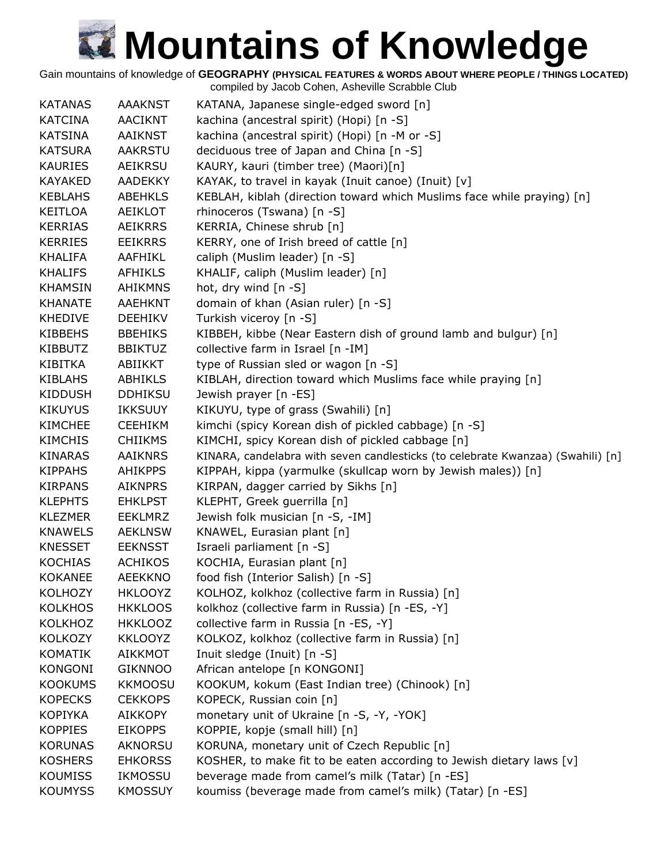Gain mountains of knowledge of **GEOGRAPHY (PHYSICAL FEATURES & WORDS ABOUT WHERE PEOPLE / THINGS LOCATED)**

| <b>KATANAS</b> | <b>AAAKNST</b> | KATANA, Japanese single-edged sword [n]                                         |
|----------------|----------------|---------------------------------------------------------------------------------|
| <b>KATCINA</b> | AACIKNT        | kachina (ancestral spirit) (Hopi) [n -S]                                        |
| <b>KATSINA</b> | <b>AAIKNST</b> | kachina (ancestral spirit) (Hopi) [n -M or -S]                                  |
| <b>KATSURA</b> | <b>AAKRSTU</b> | deciduous tree of Japan and China [n -S]                                        |
| <b>KAURIES</b> | AEIKRSU        | KAURY, kauri (timber tree) (Maori)[n]                                           |
| <b>KAYAKED</b> | <b>AADEKKY</b> | KAYAK, to travel in kayak (Inuit canoe) (Inuit) [v]                             |
| <b>KEBLAHS</b> | <b>ABEHKLS</b> | KEBLAH, kiblah (direction toward which Muslims face while praying) [n]          |
| KEITLOA        | AEIKLOT        | rhinoceros (Tswana) [n -S]                                                      |
| <b>KERRIAS</b> | <b>AEIKRRS</b> | KERRIA, Chinese shrub [n]                                                       |
| <b>KERRIES</b> | <b>EEIKRRS</b> | KERRY, one of Irish breed of cattle [n]                                         |
| <b>KHALIFA</b> | AAFHIKL        | caliph (Muslim leader) [n -S]                                                   |
| KHALIFS        | <b>AFHIKLS</b> | KHALIF, caliph (Muslim leader) [n]                                              |
| <b>KHAMSIN</b> | <b>AHIKMNS</b> | hot, dry wind $[n -S]$                                                          |
| <b>KHANATE</b> | AAEHKNT        | domain of khan (Asian ruler) [n -S]                                             |
| <b>KHEDIVE</b> | <b>DEEHIKV</b> | Turkish viceroy [n -S]                                                          |
| <b>KIBBEHS</b> | <b>BBEHIKS</b> | KIBBEH, kibbe (Near Eastern dish of ground lamb and bulgur) [n]                 |
| <b>KIBBUTZ</b> | <b>BBIKTUZ</b> | collective farm in Israel [n -IM]                                               |
| KIBITKA        | ABIIKKT        | type of Russian sled or wagon [n -S]                                            |
| <b>KIBLAHS</b> | ABHIKLS        | KIBLAH, direction toward which Muslims face while praying [n]                   |
| <b>KIDDUSH</b> | <b>DDHIKSU</b> | Jewish prayer [n -ES]                                                           |
| <b>KIKUYUS</b> | <b>IKKSUUY</b> | KIKUYU, type of grass (Swahili) [n]                                             |
| <b>KIMCHEE</b> | <b>CEEHIKM</b> | kimchi (spicy Korean dish of pickled cabbage) [n -S]                            |
| <b>KIMCHIS</b> | <b>CHIIKMS</b> | KIMCHI, spicy Korean dish of pickled cabbage [n]                                |
| <b>KINARAS</b> | <b>AAIKNRS</b> | KINARA, candelabra with seven candlesticks (to celebrate Kwanzaa) (Swahili) [n] |
| <b>KIPPAHS</b> | <b>AHIKPPS</b> | KIPPAH, kippa (yarmulke (skullcap worn by Jewish males)) [n]                    |
| <b>KIRPANS</b> | <b>AIKNPRS</b> | KIRPAN, dagger carried by Sikhs [n]                                             |
| <b>KLEPHTS</b> | <b>EHKLPST</b> | KLEPHT, Greek guerrilla [n]                                                     |
| <b>KLEZMER</b> | <b>EEKLMRZ</b> | Jewish folk musician [n -S, -IM]                                                |
| <b>KNAWELS</b> | <b>AEKLNSW</b> | KNAWEL, Eurasian plant [n]                                                      |
| <b>KNESSET</b> | <b>EEKNSST</b> | Israeli parliament [n -S]                                                       |
| <b>KOCHIAS</b> | <b>ACHIKOS</b> | KOCHIA, Eurasian plant [n]                                                      |
| <b>KOKANEE</b> | <b>AEEKKNO</b> | food fish (Interior Salish) [n -S]                                              |
| <b>KOLHOZY</b> | <b>HKLOOYZ</b> | KOLHOZ, kolkhoz (collective farm in Russia) [n]                                 |
| <b>KOLKHOS</b> | <b>HKKLOOS</b> | kolkhoz (collective farm in Russia) [n -ES, -Y]                                 |
| <b>KOLKHOZ</b> | <b>HKKLOOZ</b> | collective farm in Russia [n -ES, -Y]                                           |
| <b>KOLKOZY</b> | <b>KKLOOYZ</b> | KOLKOZ, kolkhoz (collective farm in Russia) [n]                                 |
| <b>KOMATIK</b> | <b>AIKKMOT</b> | Inuit sledge (Inuit) [n -S]                                                     |
| <b>KONGONI</b> | <b>GIKNNOO</b> | African antelope [n KONGONI]                                                    |
| <b>KOOKUMS</b> | <b>KKMOOSU</b> | KOOKUM, kokum (East Indian tree) (Chinook) [n]                                  |
| <b>KOPECKS</b> | <b>CEKKOPS</b> | KOPECK, Russian coin [n]                                                        |
| <b>KOPIYKA</b> | <b>AIKKOPY</b> | monetary unit of Ukraine [n -S, -Y, -YOK]                                       |
| <b>KOPPIES</b> | <b>EIKOPPS</b> | KOPPIE, kopje (small hill) [n]                                                  |
| <b>KORUNAS</b> | <b>AKNORSU</b> | KORUNA, monetary unit of Czech Republic [n]                                     |
| <b>KOSHERS</b> | <b>EHKORSS</b> | KOSHER, to make fit to be eaten according to Jewish dietary laws [v]            |
| <b>KOUMISS</b> | <b>IKMOSSU</b> | beverage made from camel's milk (Tatar) [n -ES]                                 |
| <b>KOUMYSS</b> | <b>KMOSSUY</b> | koumiss (beverage made from camel's milk) (Tatar) [n -ES]                       |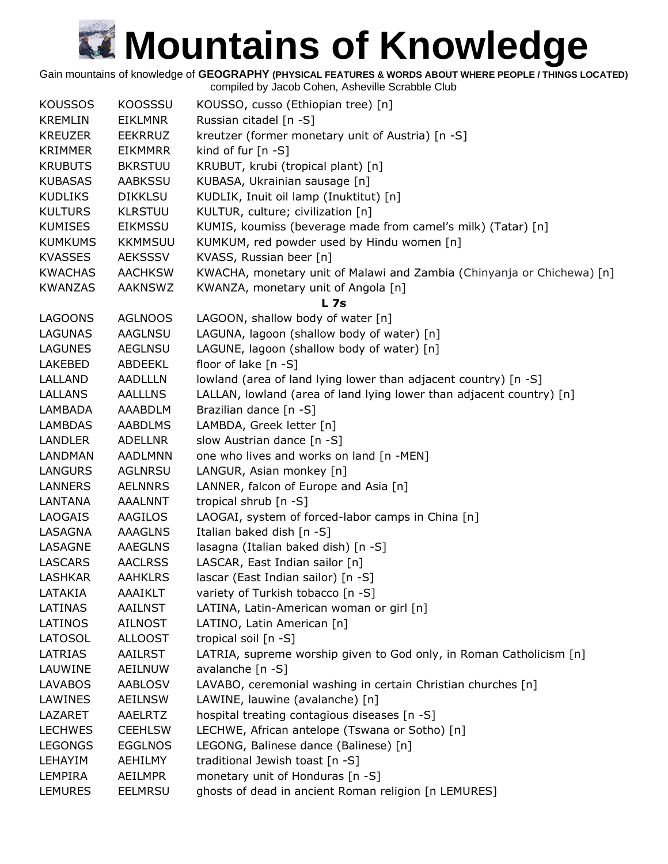Gain mountains of knowledge of **GEOGRAPHY (PHYSICAL FEATURES & WORDS ABOUT WHERE PEOPLE / THINGS LOCATED)**

| <b>KOUSSOS</b> | <b>KOOSSSU</b> | KOUSSO, cusso (Ethiopian tree) [n]                                     |
|----------------|----------------|------------------------------------------------------------------------|
| <b>KREMLIN</b> | <b>EIKLMNR</b> | Russian citadel [n -S]                                                 |
| <b>KREUZER</b> | <b>EEKRRUZ</b> | kreutzer (former monetary unit of Austria) [n -S]                      |
| <b>KRIMMER</b> | <b>EIKMMRR</b> | kind of fur $[n - S]$                                                  |
| <b>KRUBUTS</b> | <b>BKRSTUU</b> | KRUBUT, krubi (tropical plant) [n]                                     |
| <b>KUBASAS</b> | <b>AABKSSU</b> | KUBASA, Ukrainian sausage [n]                                          |
| <b>KUDLIKS</b> | <b>DIKKLSU</b> | KUDLIK, Inuit oil lamp (Inuktitut) [n]                                 |
| <b>KULTURS</b> | <b>KLRSTUU</b> | KULTUR, culture; civilization [n]                                      |
| <b>KUMISES</b> | <b>EIKMSSU</b> | KUMIS, koumiss (beverage made from camel's milk) (Tatar) [n]           |
| <b>KUMKUMS</b> | <b>KKMMSUU</b> | KUMKUM, red powder used by Hindu women [n]                             |
| <b>KVASSES</b> | <b>AEKSSSV</b> | KVASS, Russian beer [n]                                                |
| <b>KWACHAS</b> | <b>AACHKSW</b> | KWACHA, monetary unit of Malawi and Zambia (Chinyanja or Chichewa) [n] |
| <b>KWANZAS</b> | <b>AAKNSWZ</b> | KWANZA, monetary unit of Angola [n]                                    |
|                |                | <b>L</b> 7s                                                            |
| <b>LAGOONS</b> | <b>AGLNOOS</b> | LAGOON, shallow body of water [n]                                      |
| <b>LAGUNAS</b> | <b>AAGLNSU</b> | LAGUNA, lagoon (shallow body of water) [n]                             |
| <b>LAGUNES</b> | <b>AEGLNSU</b> | LAGUNE, lagoon (shallow body of water) [n]                             |
| LAKEBED        | ABDEEKL        | floor of lake $[n - S]$                                                |
| LALLAND        | <b>AADLLLN</b> | lowland (area of land lying lower than adjacent country) [n -S]        |
| LALLANS        | <b>AALLLNS</b> | LALLAN, lowland (area of land lying lower than adjacent country) [n]   |
| LAMBADA        | AAABDLM        | Brazilian dance [n -S]                                                 |
| <b>LAMBDAS</b> | <b>AABDLMS</b> | LAMBDA, Greek letter [n]                                               |
| <b>LANDLER</b> | <b>ADELLNR</b> | slow Austrian dance [n -S]                                             |
| <b>LANDMAN</b> | <b>AADLMNN</b> | one who lives and works on land [n -MEN]                               |
| <b>LANGURS</b> | <b>AGLNRSU</b> | LANGUR, Asian monkey [n]                                               |
| LANNERS        | <b>AELNNRS</b> | LANNER, falcon of Europe and Asia [n]                                  |
| LANTANA        | <b>AAALNNT</b> | tropical shrub [n -S]                                                  |
| <b>LAOGAIS</b> | <b>AAGILOS</b> | LAOGAI, system of forced-labor camps in China [n]                      |
| LASAGNA        | <b>AAAGLNS</b> | Italian baked dish [n -S]                                              |
| LASAGNE        | <b>AAEGLNS</b> | lasagna (Italian baked dish) [n -S]                                    |
| <b>LASCARS</b> | <b>AACLRSS</b> | LASCAR, East Indian sailor [n]                                         |
| <b>LASHKAR</b> | <b>AAHKLRS</b> | lascar (East Indian sailor) [n -S]                                     |
| LATAKIA        | <b>AAAIKLT</b> | variety of Turkish tobacco [n -S]                                      |
| LATINAS        | <b>AAILNST</b> | LATINA, Latin-American woman or girl [n]                               |
| LATINOS        | <b>AILNOST</b> | LATINO, Latin American [n]                                             |
| LATOSOL        | <b>ALLOOST</b> | tropical soil [n -S]                                                   |
| <b>LATRIAS</b> | <b>AAILRST</b> | LATRIA, supreme worship given to God only, in Roman Catholicism [n]    |
| LAUWINE        | AEILNUW        | avalanche [n -S]                                                       |
| <b>LAVABOS</b> | <b>AABLOSV</b> | LAVABO, ceremonial washing in certain Christian churches [n]           |
| LAWINES        | <b>AEILNSW</b> | LAWINE, lauwine (avalanche) [n]                                        |
| LAZARET        | AAELRTZ        | hospital treating contagious diseases [n -S]                           |
| <b>LECHWES</b> | <b>CEEHLSW</b> | LECHWE, African antelope (Tswana or Sotho) [n]                         |
| <b>LEGONGS</b> | <b>EGGLNOS</b> | LEGONG, Balinese dance (Balinese) [n]                                  |
| LEHAYIM        | <b>AEHILMY</b> | traditional Jewish toast [n -S]                                        |
| LEMPIRA        | <b>AEILMPR</b> | monetary unit of Honduras [n -S]                                       |
| <b>LEMURES</b> | <b>EELMRSU</b> | ghosts of dead in ancient Roman religion [n LEMURES]                   |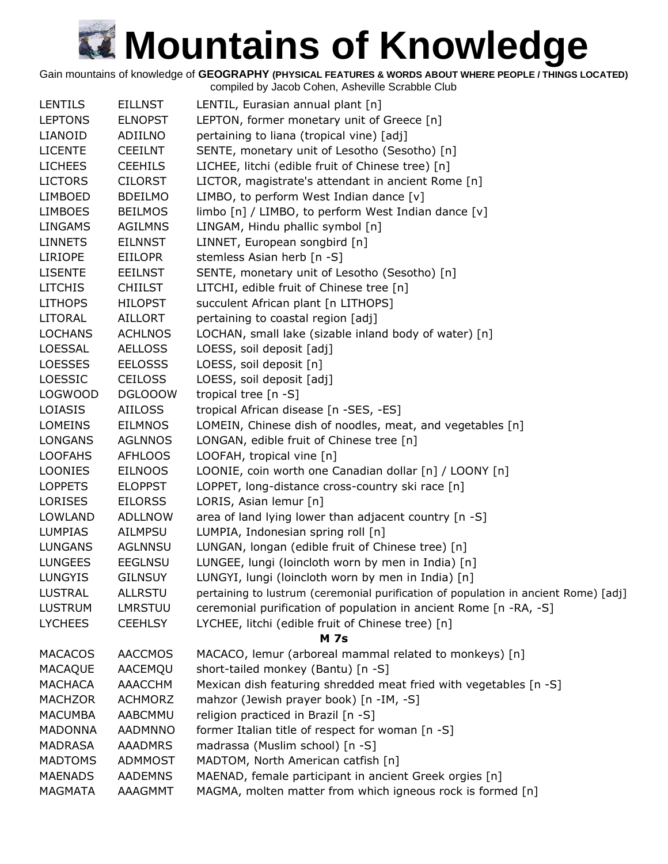Gain mountains of knowledge of **GEOGRAPHY (PHYSICAL FEATURES & WORDS ABOUT WHERE PEOPLE / THINGS LOCATED)**

compiled by Jacob Cohen, Asheville Scrabble Club LENTILS EILLNST LENTIL, Eurasian annual plant [n] LEPTONS ELNOPST LEPTON, former monetary unit of Greece [n] LIANOID ADIILNO pertaining to liana (tropical vine) [adj] LICENTE CEEILNT SENTE, monetary unit of Lesotho (Sesotho) [n] LICHEES CEEHILS LICHEE, litchi (edible fruit of Chinese tree) [n] LICTORS CILORST LICTOR, magistrate's attendant in ancient Rome [n] LIMBOED BDEILMO LIMBO, to perform West Indian dance [v] LIMBOES BEILMOS limbo  $[n]$  / LIMBO, to perform West Indian dance  $[v]$ LINGAMS AGILMNS LINGAM, Hindu phallic symbol [n] LINNETS EILNNST LINNET, European songbird [n] LIRIOPE EIILOPR stemless Asian herb [n -S] LISENTE EEILNST SENTE, monetary unit of Lesotho (Sesotho) [n] LITCHIS CHIILST LITCHI, edible fruit of Chinese tree [n] LITHOPS HILOPST succulent African plant [n LITHOPS] LITORAL AILLORT pertaining to coastal region [adj] LOCHANS ACHLNOS LOCHAN, small lake (sizable inland body of water) [n] LOESSAL AELLOSS LOESS, soil deposit [adj] LOESSES EELOSSS LOESS, soil deposit [n] LOESSIC CEILOSS LOESS, soil deposit [adj] LOGWOOD DGLOOOW tropical tree [n -S] LOIASIS AIILOSS tropical African disease [n -SES, -ES] LOMEINS EILMNOS LOMEIN, Chinese dish of noodles, meat, and vegetables [n] LONGANS AGLNNOS LONGAN, edible fruit of Chinese tree [n] LOOFAHS AFHLOOS LOOFAH, tropical vine [n] LOONIES EILNOOS LOONIE, coin worth one Canadian dollar [n] / LOONY [n] LOPPETS ELOPPST LOPPET, long-distance cross-country ski race [n] LORISES EILORSS LORIS, Asian lemur [n] LOWLAND ADLLNOW area of land lying lower than adjacent country [n -S] LUMPIAS AILMPSU LUMPIA, Indonesian spring roll [n] LUNGANS AGLNNSU LUNGAN, longan (edible fruit of Chinese tree) [n] LUNGEES EEGLNSU LUNGEE, lungi (loincloth worn by men in India) [n] LUNGYIS GILNSUY LUNGYI, lungi (loincloth worn by men in India) [n] LUSTRAL ALLRSTU pertaining to lustrum (ceremonial purification of population in ancient Rome) [adj] LUSTRUM LMRSTUU ceremonial purification of population in ancient Rome [n -RA, -S] LYCHEES CEEHLSY LYCHEE, litchi (edible fruit of Chinese tree) [n] **M 7s** MACACOS AACCMOS MACACO, lemur (arboreal mammal related to monkeys) [n] MACAQUE AACEMQU short-tailed monkey (Bantu) [n -S] MACHACA AAACCHM Mexican dish featuring shredded meat fried with vegetables [n -S] MACHZOR ACHMORZ mahzor (Jewish prayer book) [n -IM, -S] MACUMBA AABCMMU religion practiced in Brazil [n -S] MADONNA AADMNNO former Italian title of respect for woman [n -S] MADRASA AAADMRS madrassa (Muslim school) [n -S] MADTOMS ADMMOST MADTOM, North American catfish [n] MAENADS AADEMNS MAENAD, female participant in ancient Greek orgies [n] MAGMATA AAAGMMT MAGMA, molten matter from which igneous rock is formed [n]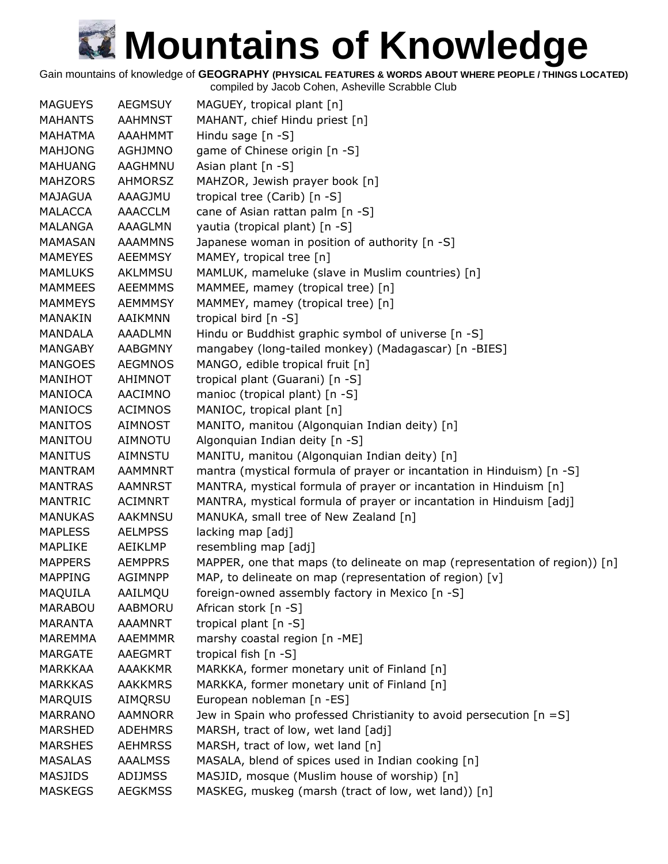Gain mountains of knowledge of **GEOGRAPHY (PHYSICAL FEATURES & WORDS ABOUT WHERE PEOPLE / THINGS LOCATED)**

| <b>MAGUEYS</b> | <b>AEGMSUY</b> | MAGUEY, tropical plant [n]                                                 |
|----------------|----------------|----------------------------------------------------------------------------|
| <b>MAHANTS</b> | <b>AAHMNST</b> | MAHANT, chief Hindu priest [n]                                             |
| MAHATMA        | <b>AAAHMMT</b> | Hindu sage $[n - S]$                                                       |
| <b>MAHJONG</b> | <b>AGHJMNO</b> | game of Chinese origin [n -S]                                              |
| <b>MAHUANG</b> | AAGHMNU        | Asian plant [n -S]                                                         |
| <b>MAHZORS</b> | <b>AHMORSZ</b> | MAHZOR, Jewish prayer book [n]                                             |
| <b>MAJAGUA</b> | AAAGJMU        | tropical tree (Carib) [n -S]                                               |
| <b>MALACCA</b> | <b>AAACCLM</b> | cane of Asian rattan palm [n -S]                                           |
| MALANGA        | AAAGLMN        | yautia (tropical plant) [n -S]                                             |
| MAMASAN        | <b>AAAMMNS</b> | Japanese woman in position of authority [n -S]                             |
| <b>MAMEYES</b> | <b>AEEMMSY</b> | MAMEY, tropical tree [n]                                                   |
| <b>MAMLUKS</b> | AKLMMSU        | MAMLUK, mameluke (slave in Muslim countries) [n]                           |
| <b>MAMMEES</b> | <b>AEEMMMS</b> | MAMMEE, mamey (tropical tree) [n]                                          |
| <b>MAMMEYS</b> | <b>AEMMMSY</b> | MAMMEY, mamey (tropical tree) [n]                                          |
| <b>MANAKIN</b> | AAIKMNN        | tropical bird [n -S]                                                       |
| <b>MANDALA</b> | <b>AAADLMN</b> | Hindu or Buddhist graphic symbol of universe [n -S]                        |
| <b>MANGABY</b> | <b>AABGMNY</b> | mangabey (long-tailed monkey) (Madagascar) [n -BIES]                       |
| <b>MANGOES</b> | <b>AEGMNOS</b> | MANGO, edible tropical fruit [n]                                           |
| MANIHOT        | AHIMNOT        | tropical plant (Guarani) [n -S]                                            |
| <b>MANIOCA</b> | AACIMNO        | manioc (tropical plant) [n -S]                                             |
| <b>MANIOCS</b> | <b>ACIMNOS</b> | MANIOC, tropical plant [n]                                                 |
| <b>MANITOS</b> | <b>AIMNOST</b> | MANITO, manitou (Algonquian Indian deity) [n]                              |
| MANITOU        | <b>AIMNOTU</b> | Algonquian Indian deity [n -S]                                             |
| <b>MANITUS</b> | <b>AIMNSTU</b> | MANITU, manitou (Algonquian Indian deity) [n]                              |
| <b>MANTRAM</b> | <b>AAMMNRT</b> | mantra (mystical formula of prayer or incantation in Hinduism) [n -S]      |
| <b>MANTRAS</b> | <b>AAMNRST</b> | MANTRA, mystical formula of prayer or incantation in Hinduism [n]          |
| <b>MANTRIC</b> | <b>ACIMNRT</b> | MANTRA, mystical formula of prayer or incantation in Hinduism [adj]        |
| <b>MANUKAS</b> | <b>AAKMNSU</b> | MANUKA, small tree of New Zealand [n]                                      |
| <b>MAPLESS</b> | <b>AELMPSS</b> | lacking map [adj]                                                          |
| <b>MAPLIKE</b> | AEIKLMP        | resembling map [adj]                                                       |
| <b>MAPPERS</b> | <b>AEMPPRS</b> | MAPPER, one that maps (to delineate on map (representation of region)) [n] |
| <b>MAPPING</b> | <b>AGIMNPP</b> | MAP, to delineate on map (representation of region) [v]                    |
| MAQUILA        | AAILMQU        | foreign-owned assembly factory in Mexico [n -S]                            |
| <b>MARABOU</b> | <b>AABMORU</b> | African stork [n -S]                                                       |
| <b>MARANTA</b> | <b>AAAMNRT</b> | tropical plant $[n -S]$                                                    |
| <b>MAREMMA</b> | AAEMMMR        | marshy coastal region [n -ME]                                              |
| <b>MARGATE</b> | <b>AAEGMRT</b> | tropical fish [n -S]                                                       |
| <b>MARKKAA</b> | <b>AAAKKMR</b> | MARKKA, former monetary unit of Finland [n]                                |
| <b>MARKKAS</b> | <b>AAKKMRS</b> | MARKKA, former monetary unit of Finland [n]                                |
| <b>MARQUIS</b> | AIMQRSU        | European nobleman [n -ES]                                                  |
| <b>MARRANO</b> | <b>AAMNORR</b> | Jew in Spain who professed Christianity to avoid persecution $[n = S]$     |
| <b>MARSHED</b> | <b>ADEHMRS</b> | MARSH, tract of low, wet land [adj]                                        |
| <b>MARSHES</b> | <b>AEHMRSS</b> | MARSH, tract of low, wet land [n]                                          |
| <b>MASALAS</b> | <b>AAALMSS</b> | MASALA, blend of spices used in Indian cooking [n]                         |
| <b>MASJIDS</b> | <b>ADIJMSS</b> | MASJID, mosque (Muslim house of worship) [n]                               |
| <b>MASKEGS</b> | <b>AEGKMSS</b> | MASKEG, muskeg (marsh (tract of low, wet land)) [n]                        |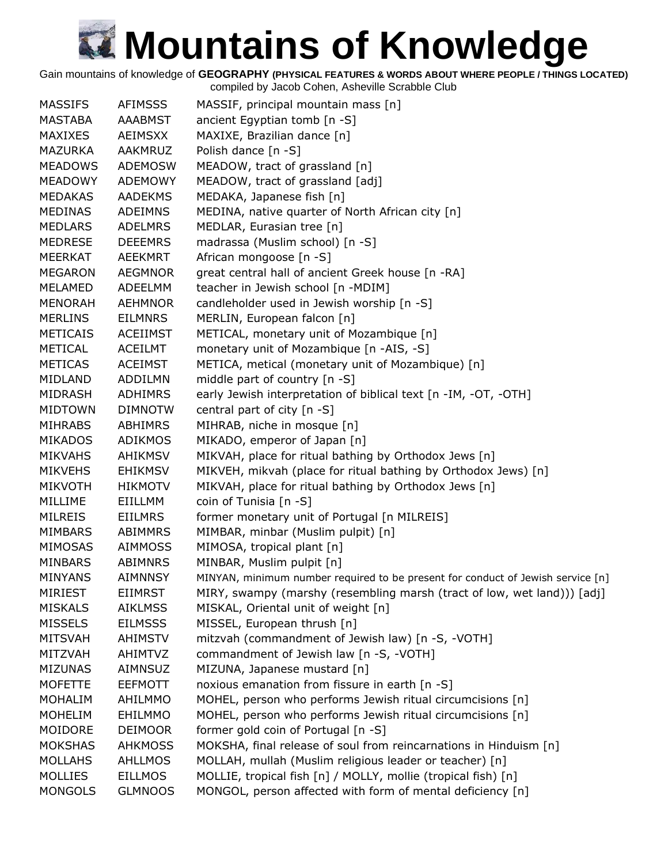Gain mountains of knowledge of **GEOGRAPHY (PHYSICAL FEATURES & WORDS ABOUT WHERE PEOPLE / THINGS LOCATED)**

| <b>MASSIFS</b><br><b>AFIMSSS</b><br>MASSIF, principal mountain mass [n]<br>ancient Egyptian tomb [n -S]<br>MASTABA<br><b>AAABMST</b><br><b>MAXIXES</b><br><b>AEIMSXX</b><br>MAXIXE, Brazilian dance [n]<br>Polish dance [n -S]<br><b>MAZURKA</b><br><b>AAKMRUZ</b><br>MEADOW, tract of grassland [n]<br><b>MEADOWS</b><br><b>ADEMOSW</b><br>MEADOW, tract of grassland [adj]<br><b>MEADOWY</b><br>ADEMOWY<br>MEDAKA, Japanese fish [n]<br><b>MEDAKAS</b><br><b>AADEKMS</b><br><b>MEDINAS</b><br><b>ADEIMNS</b><br>MEDINA, native quarter of North African city [n]<br>MEDLAR, Eurasian tree [n]<br><b>MEDLARS</b><br><b>ADELMRS</b><br>madrassa (Muslim school) [n -S]<br><b>MEDRESE</b><br><b>DEEEMRS</b><br>African mongoose [n -S]<br><b>MEERKAT</b><br><b>AEEKMRT</b><br>great central hall of ancient Greek house [n -RA]<br><b>MEGARON</b><br><b>AEGMNOR</b><br>teacher in Jewish school [n -MDIM]<br><b>MELAMED</b><br>ADEELMM<br>candleholder used in Jewish worship [n -S]<br><b>MENORAH</b><br><b>AEHMNOR</b><br><b>MERLINS</b><br><b>EILMNRS</b><br>MERLIN, European falcon [n]<br>METICAL, monetary unit of Mozambique [n]<br><b>METICAIS</b><br><b>ACEIIMST</b><br><b>METICAL</b><br>monetary unit of Mozambique [n -AIS, -S]<br><b>ACEILMT</b><br>METICA, metical (monetary unit of Mozambique) [n]<br><b>METICAS</b><br><b>ACEIMST</b><br>middle part of country [n -S]<br>MIDLAND<br>ADDILMN<br>early Jewish interpretation of biblical text [n -IM, -OT, -OTH]<br><b>MIDRASH</b><br><b>ADHIMRS</b><br>central part of city [n -S]<br><b>MIDTOWN</b><br><b>DIMNOTW</b><br><b>ABHIMRS</b><br>MIHRAB, niche in mosque [n]<br><b>MIHRABS</b><br>MIKADO, emperor of Japan [n]<br><b>MIKADOS</b><br><b>ADIKMOS</b><br>MIKVAH, place for ritual bathing by Orthodox Jews [n]<br><b>MIKVAHS</b><br><b>AHIKMSV</b><br>MIKVEH, mikvah (place for ritual bathing by Orthodox Jews) [n]<br><b>MIKVEHS</b><br><b>EHIKMSV</b><br>MIKVAH, place for ritual bathing by Orthodox Jews [n]<br><b>MIKVOTH</b><br><b>HIKMOTV</b><br>coin of Tunisia [n -S]<br><b>MILLIME</b><br>EIILLMM<br>former monetary unit of Portugal [n MILREIS]<br><b>MILREIS</b><br><b>EIILMRS</b><br>MIMBAR, minbar (Muslim pulpit) [n]<br><b>MIMBARS</b><br>ABIMMRS<br>MIMOSA, tropical plant [n]<br><b>MIMOSAS</b><br><b>AIMMOSS</b><br>MINBAR, Muslim pulpit [n]<br><b>MINBARS</b><br>ABIMNRS<br><b>MINYANS</b><br><b>AIMNNSY</b><br>MINYAN, minimum number required to be present for conduct of Jewish service [n]<br><b>MIRIEST</b><br><b>EIIMRST</b><br>MIRY, swampy (marshy (resembling marsh (tract of low, wet land))) [adj]<br><b>MISKALS</b><br><b>AIKLMSS</b><br>MISKAL, Oriental unit of weight [n] |
|------------------------------------------------------------------------------------------------------------------------------------------------------------------------------------------------------------------------------------------------------------------------------------------------------------------------------------------------------------------------------------------------------------------------------------------------------------------------------------------------------------------------------------------------------------------------------------------------------------------------------------------------------------------------------------------------------------------------------------------------------------------------------------------------------------------------------------------------------------------------------------------------------------------------------------------------------------------------------------------------------------------------------------------------------------------------------------------------------------------------------------------------------------------------------------------------------------------------------------------------------------------------------------------------------------------------------------------------------------------------------------------------------------------------------------------------------------------------------------------------------------------------------------------------------------------------------------------------------------------------------------------------------------------------------------------------------------------------------------------------------------------------------------------------------------------------------------------------------------------------------------------------------------------------------------------------------------------------------------------------------------------------------------------------------------------------------------------------------------------------------------------------------------------------------------------------------------------------------------------------------------------------------------------------------------------------------------------------------------------------------------------------------------------------------------------------------------------------------------------------------------------------------------------------------------------------------------------------------------------------------------------------------------------------------------------|
|                                                                                                                                                                                                                                                                                                                                                                                                                                                                                                                                                                                                                                                                                                                                                                                                                                                                                                                                                                                                                                                                                                                                                                                                                                                                                                                                                                                                                                                                                                                                                                                                                                                                                                                                                                                                                                                                                                                                                                                                                                                                                                                                                                                                                                                                                                                                                                                                                                                                                                                                                                                                                                                                                          |
|                                                                                                                                                                                                                                                                                                                                                                                                                                                                                                                                                                                                                                                                                                                                                                                                                                                                                                                                                                                                                                                                                                                                                                                                                                                                                                                                                                                                                                                                                                                                                                                                                                                                                                                                                                                                                                                                                                                                                                                                                                                                                                                                                                                                                                                                                                                                                                                                                                                                                                                                                                                                                                                                                          |
|                                                                                                                                                                                                                                                                                                                                                                                                                                                                                                                                                                                                                                                                                                                                                                                                                                                                                                                                                                                                                                                                                                                                                                                                                                                                                                                                                                                                                                                                                                                                                                                                                                                                                                                                                                                                                                                                                                                                                                                                                                                                                                                                                                                                                                                                                                                                                                                                                                                                                                                                                                                                                                                                                          |
|                                                                                                                                                                                                                                                                                                                                                                                                                                                                                                                                                                                                                                                                                                                                                                                                                                                                                                                                                                                                                                                                                                                                                                                                                                                                                                                                                                                                                                                                                                                                                                                                                                                                                                                                                                                                                                                                                                                                                                                                                                                                                                                                                                                                                                                                                                                                                                                                                                                                                                                                                                                                                                                                                          |
|                                                                                                                                                                                                                                                                                                                                                                                                                                                                                                                                                                                                                                                                                                                                                                                                                                                                                                                                                                                                                                                                                                                                                                                                                                                                                                                                                                                                                                                                                                                                                                                                                                                                                                                                                                                                                                                                                                                                                                                                                                                                                                                                                                                                                                                                                                                                                                                                                                                                                                                                                                                                                                                                                          |
|                                                                                                                                                                                                                                                                                                                                                                                                                                                                                                                                                                                                                                                                                                                                                                                                                                                                                                                                                                                                                                                                                                                                                                                                                                                                                                                                                                                                                                                                                                                                                                                                                                                                                                                                                                                                                                                                                                                                                                                                                                                                                                                                                                                                                                                                                                                                                                                                                                                                                                                                                                                                                                                                                          |
|                                                                                                                                                                                                                                                                                                                                                                                                                                                                                                                                                                                                                                                                                                                                                                                                                                                                                                                                                                                                                                                                                                                                                                                                                                                                                                                                                                                                                                                                                                                                                                                                                                                                                                                                                                                                                                                                                                                                                                                                                                                                                                                                                                                                                                                                                                                                                                                                                                                                                                                                                                                                                                                                                          |
|                                                                                                                                                                                                                                                                                                                                                                                                                                                                                                                                                                                                                                                                                                                                                                                                                                                                                                                                                                                                                                                                                                                                                                                                                                                                                                                                                                                                                                                                                                                                                                                                                                                                                                                                                                                                                                                                                                                                                                                                                                                                                                                                                                                                                                                                                                                                                                                                                                                                                                                                                                                                                                                                                          |
|                                                                                                                                                                                                                                                                                                                                                                                                                                                                                                                                                                                                                                                                                                                                                                                                                                                                                                                                                                                                                                                                                                                                                                                                                                                                                                                                                                                                                                                                                                                                                                                                                                                                                                                                                                                                                                                                                                                                                                                                                                                                                                                                                                                                                                                                                                                                                                                                                                                                                                                                                                                                                                                                                          |
|                                                                                                                                                                                                                                                                                                                                                                                                                                                                                                                                                                                                                                                                                                                                                                                                                                                                                                                                                                                                                                                                                                                                                                                                                                                                                                                                                                                                                                                                                                                                                                                                                                                                                                                                                                                                                                                                                                                                                                                                                                                                                                                                                                                                                                                                                                                                                                                                                                                                                                                                                                                                                                                                                          |
|                                                                                                                                                                                                                                                                                                                                                                                                                                                                                                                                                                                                                                                                                                                                                                                                                                                                                                                                                                                                                                                                                                                                                                                                                                                                                                                                                                                                                                                                                                                                                                                                                                                                                                                                                                                                                                                                                                                                                                                                                                                                                                                                                                                                                                                                                                                                                                                                                                                                                                                                                                                                                                                                                          |
|                                                                                                                                                                                                                                                                                                                                                                                                                                                                                                                                                                                                                                                                                                                                                                                                                                                                                                                                                                                                                                                                                                                                                                                                                                                                                                                                                                                                                                                                                                                                                                                                                                                                                                                                                                                                                                                                                                                                                                                                                                                                                                                                                                                                                                                                                                                                                                                                                                                                                                                                                                                                                                                                                          |
|                                                                                                                                                                                                                                                                                                                                                                                                                                                                                                                                                                                                                                                                                                                                                                                                                                                                                                                                                                                                                                                                                                                                                                                                                                                                                                                                                                                                                                                                                                                                                                                                                                                                                                                                                                                                                                                                                                                                                                                                                                                                                                                                                                                                                                                                                                                                                                                                                                                                                                                                                                                                                                                                                          |
|                                                                                                                                                                                                                                                                                                                                                                                                                                                                                                                                                                                                                                                                                                                                                                                                                                                                                                                                                                                                                                                                                                                                                                                                                                                                                                                                                                                                                                                                                                                                                                                                                                                                                                                                                                                                                                                                                                                                                                                                                                                                                                                                                                                                                                                                                                                                                                                                                                                                                                                                                                                                                                                                                          |
|                                                                                                                                                                                                                                                                                                                                                                                                                                                                                                                                                                                                                                                                                                                                                                                                                                                                                                                                                                                                                                                                                                                                                                                                                                                                                                                                                                                                                                                                                                                                                                                                                                                                                                                                                                                                                                                                                                                                                                                                                                                                                                                                                                                                                                                                                                                                                                                                                                                                                                                                                                                                                                                                                          |
|                                                                                                                                                                                                                                                                                                                                                                                                                                                                                                                                                                                                                                                                                                                                                                                                                                                                                                                                                                                                                                                                                                                                                                                                                                                                                                                                                                                                                                                                                                                                                                                                                                                                                                                                                                                                                                                                                                                                                                                                                                                                                                                                                                                                                                                                                                                                                                                                                                                                                                                                                                                                                                                                                          |
|                                                                                                                                                                                                                                                                                                                                                                                                                                                                                                                                                                                                                                                                                                                                                                                                                                                                                                                                                                                                                                                                                                                                                                                                                                                                                                                                                                                                                                                                                                                                                                                                                                                                                                                                                                                                                                                                                                                                                                                                                                                                                                                                                                                                                                                                                                                                                                                                                                                                                                                                                                                                                                                                                          |
|                                                                                                                                                                                                                                                                                                                                                                                                                                                                                                                                                                                                                                                                                                                                                                                                                                                                                                                                                                                                                                                                                                                                                                                                                                                                                                                                                                                                                                                                                                                                                                                                                                                                                                                                                                                                                                                                                                                                                                                                                                                                                                                                                                                                                                                                                                                                                                                                                                                                                                                                                                                                                                                                                          |
|                                                                                                                                                                                                                                                                                                                                                                                                                                                                                                                                                                                                                                                                                                                                                                                                                                                                                                                                                                                                                                                                                                                                                                                                                                                                                                                                                                                                                                                                                                                                                                                                                                                                                                                                                                                                                                                                                                                                                                                                                                                                                                                                                                                                                                                                                                                                                                                                                                                                                                                                                                                                                                                                                          |
|                                                                                                                                                                                                                                                                                                                                                                                                                                                                                                                                                                                                                                                                                                                                                                                                                                                                                                                                                                                                                                                                                                                                                                                                                                                                                                                                                                                                                                                                                                                                                                                                                                                                                                                                                                                                                                                                                                                                                                                                                                                                                                                                                                                                                                                                                                                                                                                                                                                                                                                                                                                                                                                                                          |
|                                                                                                                                                                                                                                                                                                                                                                                                                                                                                                                                                                                                                                                                                                                                                                                                                                                                                                                                                                                                                                                                                                                                                                                                                                                                                                                                                                                                                                                                                                                                                                                                                                                                                                                                                                                                                                                                                                                                                                                                                                                                                                                                                                                                                                                                                                                                                                                                                                                                                                                                                                                                                                                                                          |
|                                                                                                                                                                                                                                                                                                                                                                                                                                                                                                                                                                                                                                                                                                                                                                                                                                                                                                                                                                                                                                                                                                                                                                                                                                                                                                                                                                                                                                                                                                                                                                                                                                                                                                                                                                                                                                                                                                                                                                                                                                                                                                                                                                                                                                                                                                                                                                                                                                                                                                                                                                                                                                                                                          |
|                                                                                                                                                                                                                                                                                                                                                                                                                                                                                                                                                                                                                                                                                                                                                                                                                                                                                                                                                                                                                                                                                                                                                                                                                                                                                                                                                                                                                                                                                                                                                                                                                                                                                                                                                                                                                                                                                                                                                                                                                                                                                                                                                                                                                                                                                                                                                                                                                                                                                                                                                                                                                                                                                          |
|                                                                                                                                                                                                                                                                                                                                                                                                                                                                                                                                                                                                                                                                                                                                                                                                                                                                                                                                                                                                                                                                                                                                                                                                                                                                                                                                                                                                                                                                                                                                                                                                                                                                                                                                                                                                                                                                                                                                                                                                                                                                                                                                                                                                                                                                                                                                                                                                                                                                                                                                                                                                                                                                                          |
|                                                                                                                                                                                                                                                                                                                                                                                                                                                                                                                                                                                                                                                                                                                                                                                                                                                                                                                                                                                                                                                                                                                                                                                                                                                                                                                                                                                                                                                                                                                                                                                                                                                                                                                                                                                                                                                                                                                                                                                                                                                                                                                                                                                                                                                                                                                                                                                                                                                                                                                                                                                                                                                                                          |
|                                                                                                                                                                                                                                                                                                                                                                                                                                                                                                                                                                                                                                                                                                                                                                                                                                                                                                                                                                                                                                                                                                                                                                                                                                                                                                                                                                                                                                                                                                                                                                                                                                                                                                                                                                                                                                                                                                                                                                                                                                                                                                                                                                                                                                                                                                                                                                                                                                                                                                                                                                                                                                                                                          |
|                                                                                                                                                                                                                                                                                                                                                                                                                                                                                                                                                                                                                                                                                                                                                                                                                                                                                                                                                                                                                                                                                                                                                                                                                                                                                                                                                                                                                                                                                                                                                                                                                                                                                                                                                                                                                                                                                                                                                                                                                                                                                                                                                                                                                                                                                                                                                                                                                                                                                                                                                                                                                                                                                          |
|                                                                                                                                                                                                                                                                                                                                                                                                                                                                                                                                                                                                                                                                                                                                                                                                                                                                                                                                                                                                                                                                                                                                                                                                                                                                                                                                                                                                                                                                                                                                                                                                                                                                                                                                                                                                                                                                                                                                                                                                                                                                                                                                                                                                                                                                                                                                                                                                                                                                                                                                                                                                                                                                                          |
|                                                                                                                                                                                                                                                                                                                                                                                                                                                                                                                                                                                                                                                                                                                                                                                                                                                                                                                                                                                                                                                                                                                                                                                                                                                                                                                                                                                                                                                                                                                                                                                                                                                                                                                                                                                                                                                                                                                                                                                                                                                                                                                                                                                                                                                                                                                                                                                                                                                                                                                                                                                                                                                                                          |
|                                                                                                                                                                                                                                                                                                                                                                                                                                                                                                                                                                                                                                                                                                                                                                                                                                                                                                                                                                                                                                                                                                                                                                                                                                                                                                                                                                                                                                                                                                                                                                                                                                                                                                                                                                                                                                                                                                                                                                                                                                                                                                                                                                                                                                                                                                                                                                                                                                                                                                                                                                                                                                                                                          |
|                                                                                                                                                                                                                                                                                                                                                                                                                                                                                                                                                                                                                                                                                                                                                                                                                                                                                                                                                                                                                                                                                                                                                                                                                                                                                                                                                                                                                                                                                                                                                                                                                                                                                                                                                                                                                                                                                                                                                                                                                                                                                                                                                                                                                                                                                                                                                                                                                                                                                                                                                                                                                                                                                          |
|                                                                                                                                                                                                                                                                                                                                                                                                                                                                                                                                                                                                                                                                                                                                                                                                                                                                                                                                                                                                                                                                                                                                                                                                                                                                                                                                                                                                                                                                                                                                                                                                                                                                                                                                                                                                                                                                                                                                                                                                                                                                                                                                                                                                                                                                                                                                                                                                                                                                                                                                                                                                                                                                                          |
|                                                                                                                                                                                                                                                                                                                                                                                                                                                                                                                                                                                                                                                                                                                                                                                                                                                                                                                                                                                                                                                                                                                                                                                                                                                                                                                                                                                                                                                                                                                                                                                                                                                                                                                                                                                                                                                                                                                                                                                                                                                                                                                                                                                                                                                                                                                                                                                                                                                                                                                                                                                                                                                                                          |
|                                                                                                                                                                                                                                                                                                                                                                                                                                                                                                                                                                                                                                                                                                                                                                                                                                                                                                                                                                                                                                                                                                                                                                                                                                                                                                                                                                                                                                                                                                                                                                                                                                                                                                                                                                                                                                                                                                                                                                                                                                                                                                                                                                                                                                                                                                                                                                                                                                                                                                                                                                                                                                                                                          |
| <b>MISSELS</b><br>MISSEL, European thrush [n]<br><b>EILMSSS</b>                                                                                                                                                                                                                                                                                                                                                                                                                                                                                                                                                                                                                                                                                                                                                                                                                                                                                                                                                                                                                                                                                                                                                                                                                                                                                                                                                                                                                                                                                                                                                                                                                                                                                                                                                                                                                                                                                                                                                                                                                                                                                                                                                                                                                                                                                                                                                                                                                                                                                                                                                                                                                          |
| mitzvah (commandment of Jewish law) [n -S, -VOTH]<br><b>MITSVAH</b><br><b>AHIMSTV</b>                                                                                                                                                                                                                                                                                                                                                                                                                                                                                                                                                                                                                                                                                                                                                                                                                                                                                                                                                                                                                                                                                                                                                                                                                                                                                                                                                                                                                                                                                                                                                                                                                                                                                                                                                                                                                                                                                                                                                                                                                                                                                                                                                                                                                                                                                                                                                                                                                                                                                                                                                                                                    |
| commandment of Jewish law [n -S, -VOTH]<br>MITZVAH<br><b>AHIMTVZ</b>                                                                                                                                                                                                                                                                                                                                                                                                                                                                                                                                                                                                                                                                                                                                                                                                                                                                                                                                                                                                                                                                                                                                                                                                                                                                                                                                                                                                                                                                                                                                                                                                                                                                                                                                                                                                                                                                                                                                                                                                                                                                                                                                                                                                                                                                                                                                                                                                                                                                                                                                                                                                                     |
| MIZUNA, Japanese mustard [n]<br><b>MIZUNAS</b><br><b>AIMNSUZ</b>                                                                                                                                                                                                                                                                                                                                                                                                                                                                                                                                                                                                                                                                                                                                                                                                                                                                                                                                                                                                                                                                                                                                                                                                                                                                                                                                                                                                                                                                                                                                                                                                                                                                                                                                                                                                                                                                                                                                                                                                                                                                                                                                                                                                                                                                                                                                                                                                                                                                                                                                                                                                                         |
| noxious emanation from fissure in earth [n -S]<br><b>MOFETTE</b><br><b>EEFMOTT</b>                                                                                                                                                                                                                                                                                                                                                                                                                                                                                                                                                                                                                                                                                                                                                                                                                                                                                                                                                                                                                                                                                                                                                                                                                                                                                                                                                                                                                                                                                                                                                                                                                                                                                                                                                                                                                                                                                                                                                                                                                                                                                                                                                                                                                                                                                                                                                                                                                                                                                                                                                                                                       |
| MOHEL, person who performs Jewish ritual circumcisions [n]<br><b>MOHALIM</b><br>AHILMMO                                                                                                                                                                                                                                                                                                                                                                                                                                                                                                                                                                                                                                                                                                                                                                                                                                                                                                                                                                                                                                                                                                                                                                                                                                                                                                                                                                                                                                                                                                                                                                                                                                                                                                                                                                                                                                                                                                                                                                                                                                                                                                                                                                                                                                                                                                                                                                                                                                                                                                                                                                                                  |
| MOHEL, person who performs Jewish ritual circumcisions [n]<br><b>MOHELIM</b><br><b>EHILMMO</b>                                                                                                                                                                                                                                                                                                                                                                                                                                                                                                                                                                                                                                                                                                                                                                                                                                                                                                                                                                                                                                                                                                                                                                                                                                                                                                                                                                                                                                                                                                                                                                                                                                                                                                                                                                                                                                                                                                                                                                                                                                                                                                                                                                                                                                                                                                                                                                                                                                                                                                                                                                                           |
| MOIDORE<br><b>DEIMOOR</b><br>former gold coin of Portugal [n -S]                                                                                                                                                                                                                                                                                                                                                                                                                                                                                                                                                                                                                                                                                                                                                                                                                                                                                                                                                                                                                                                                                                                                                                                                                                                                                                                                                                                                                                                                                                                                                                                                                                                                                                                                                                                                                                                                                                                                                                                                                                                                                                                                                                                                                                                                                                                                                                                                                                                                                                                                                                                                                         |
| <b>MOKSHAS</b><br>MOKSHA, final release of soul from reincarnations in Hinduism [n]<br><b>AHKMOSS</b>                                                                                                                                                                                                                                                                                                                                                                                                                                                                                                                                                                                                                                                                                                                                                                                                                                                                                                                                                                                                                                                                                                                                                                                                                                                                                                                                                                                                                                                                                                                                                                                                                                                                                                                                                                                                                                                                                                                                                                                                                                                                                                                                                                                                                                                                                                                                                                                                                                                                                                                                                                                    |
| MOLLAH, mullah (Muslim religious leader or teacher) [n]<br><b>MOLLAHS</b><br><b>AHLLMOS</b>                                                                                                                                                                                                                                                                                                                                                                                                                                                                                                                                                                                                                                                                                                                                                                                                                                                                                                                                                                                                                                                                                                                                                                                                                                                                                                                                                                                                                                                                                                                                                                                                                                                                                                                                                                                                                                                                                                                                                                                                                                                                                                                                                                                                                                                                                                                                                                                                                                                                                                                                                                                              |
| <b>MOLLIES</b><br><b>EILLMOS</b><br>MOLLIE, tropical fish [n] / MOLLY, mollie (tropical fish) [n]                                                                                                                                                                                                                                                                                                                                                                                                                                                                                                                                                                                                                                                                                                                                                                                                                                                                                                                                                                                                                                                                                                                                                                                                                                                                                                                                                                                                                                                                                                                                                                                                                                                                                                                                                                                                                                                                                                                                                                                                                                                                                                                                                                                                                                                                                                                                                                                                                                                                                                                                                                                        |
| MONGOL, person affected with form of mental deficiency [n]<br><b>MONGOLS</b><br><b>GLMNOOS</b>                                                                                                                                                                                                                                                                                                                                                                                                                                                                                                                                                                                                                                                                                                                                                                                                                                                                                                                                                                                                                                                                                                                                                                                                                                                                                                                                                                                                                                                                                                                                                                                                                                                                                                                                                                                                                                                                                                                                                                                                                                                                                                                                                                                                                                                                                                                                                                                                                                                                                                                                                                                           |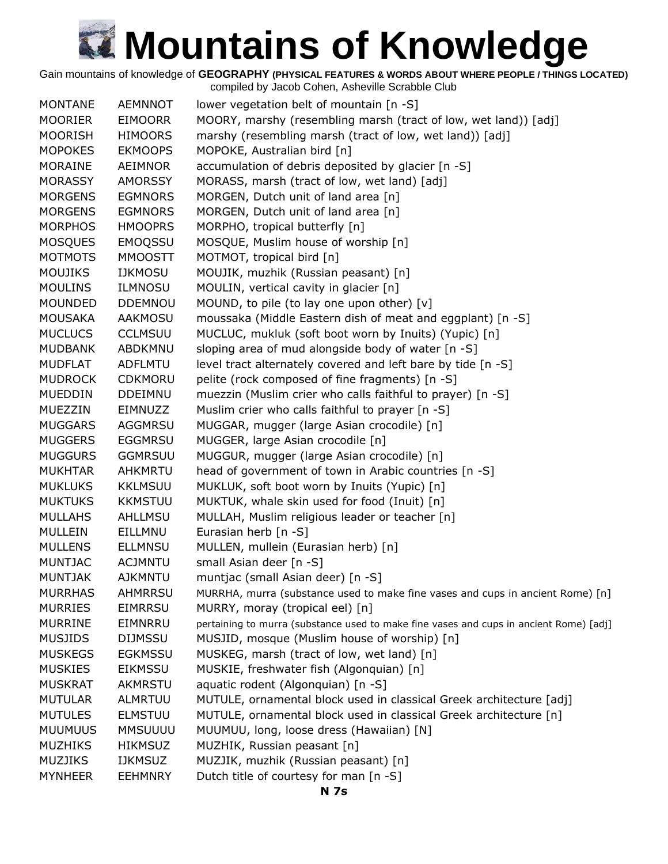Gain mountains of knowledge of **GEOGRAPHY (PHYSICAL FEATURES & WORDS ABOUT WHERE PEOPLE / THINGS LOCATED)**

compiled by Jacob Cohen, Asheville Scrabble Club MONTANE AEMNNOT lower vegetation belt of mountain [n -S] MOORIER EIMOORR MOORY, marshy (resembling marsh (tract of low, wet land)) [adj] MOORISH HIMOORS marshy (resembling marsh (tract of low, wet land)) [adj] MOPOKES EKMOOPS MOPOKE, Australian bird [n] MORAINE AEIMNOR accumulation of debris deposited by glacier [n -S] MORASSY AMORSSY MORASS, marsh (tract of low, wet land) [adj] MORGENS EGMNORS MORGEN, Dutch unit of land area [n] MORGENS EGMNORS MORGEN, Dutch unit of land area [n] MORPHOS HMOOPRS MORPHO, tropical butterfly [n] MOSQUES EMOQSSU MOSQUE, Muslim house of worship [n] MOTMOTS MMOOSTT MOTMOT, tropical bird [n] MOUJIKS IJKMOSU MOUJIK, muzhik (Russian peasant) [n] MOULINS ILMNOSU MOULIN, vertical cavity in glacier [n] MOUNDED DDEMNOU MOUND, to pile (to lay one upon other) [v] MOUSAKA AAKMOSU moussaka (Middle Eastern dish of meat and eggplant) [n -S] MUCLUCS CCLMSUU MUCLUC, mukluk (soft boot worn by Inuits) (Yupic) [n] MUDBANK ABDKMNU sloping area of mud alongside body of water [n -S] MUDFLAT ADFLMTU level tract alternately covered and left bare by tide [n -S] MUDROCK CDKMORU pelite (rock composed of fine fragments) [n -S] MUEDDIN DDEIMNU muezzin (Muslim crier who calls faithful to prayer) [n -S] MUEZZIN EIMNUZZ Muslim crier who calls faithful to prayer [n -S] MUGGARS AGGMRSU MUGGAR, mugger (large Asian crocodile) [n] MUGGERS EGGMRSU MUGGER, large Asian crocodile [n] MUGGURS GGMRSUU MUGGUR, mugger (large Asian crocodile) [n] MUKHTAR AHKMRTU head of government of town in Arabic countries [n -S] MUKLUKS KKLMSUU MUKLUK, soft boot worn by Inuits (Yupic) [n] MUKTUKS KKMSTUU MUKTUK, whale skin used for food (Inuit) [n] MULLAHS AHLLMSU MULLAH, Muslim religious leader or teacher [n] MULLEIN EILLMNU Eurasian herb [n -S] MULLENS ELLMNSU MULLEN, mullein (Eurasian herb) [n] MUNTJAC ACJMNTU small Asian deer [n -S]

- MUSJIDS DIJMSSU MUSJID, mosque (Muslim house of worship) [n] MUSKEGS EGKMSSU MUSKEG, marsh (tract of low, wet land) [n] MUSKIES EIKMSSU MUSKIE, freshwater fish (Algonquian) [n] MUSKRAT AKMRSTU aquatic rodent (Algonquian) [n -S]
	- MUTULAR ALMRTUU MUTULE, ornamental block used in classical Greek architecture [adj]

MURRHAS AHMRRSU MURRHA, murra (substance used to make fine vases and cups in ancient Rome) [n]

MURRINE EIMNRRU pertaining to murra (substance used to make fine vases and cups in ancient Rome) [adj]

- MUTULES ELMSTUU MUTULE, ornamental block used in classical Greek architecture [n]
- MUUMUUS MMSUUUU MUUMUU, long, loose dress (Hawaiian) [N]
- MUZHIKS HIKMSUZ MUZHIK, Russian peasant [n]

MUNTJAK AJKMNTU muntjac (small Asian deer) [n -S]

MURRIES EIMRRSU MURRY, moray (tropical eel) [n]

MUZJIKS IJKMSUZ MUZJIK, muzhik (Russian peasant) [n] MYNHEER EEHMNRY Dutch title of courtesy for man [n -S]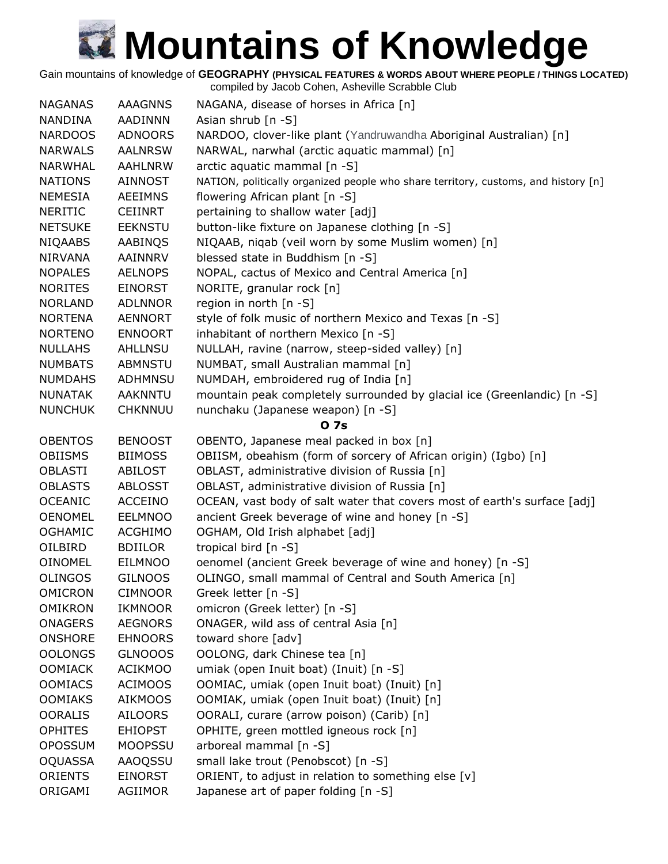Gain mountains of knowledge of **GEOGRAPHY (PHYSICAL FEATURES & WORDS ABOUT WHERE PEOPLE / THINGS LOCATED)** compiled by Jacob Cohen, Asheville Scrabble Club

| <b>NAGANAS</b> | <b>AAAGNNS</b> | NAGANA, disease of horses in Africa [n]                                            |
|----------------|----------------|------------------------------------------------------------------------------------|
| <b>NANDINA</b> | <b>AADINNN</b> | Asian shrub $[n -S]$                                                               |
| <b>NARDOOS</b> | <b>ADNOORS</b> | NARDOO, clover-like plant (Yandruwandha Aboriginal Australian) [n]                 |
| <b>NARWALS</b> | <b>AALNRSW</b> | NARWAL, narwhal (arctic aquatic mammal) [n]                                        |
| <b>NARWHAL</b> | <b>AAHLNRW</b> | arctic aquatic mammal [n -S]                                                       |
| <b>NATIONS</b> | <b>AINNOST</b> | NATION, politically organized people who share territory, customs, and history [n] |
| <b>NEMESIA</b> | <b>AEEIMNS</b> | flowering African plant [n -S]                                                     |
| <b>NERITIC</b> | <b>CEIINRT</b> | pertaining to shallow water [adj]                                                  |
| <b>NETSUKE</b> | <b>EEKNSTU</b> | button-like fixture on Japanese clothing [n -S]                                    |
| <b>NIQAABS</b> | AABINQS        | NIQAAB, niqab (veil worn by some Muslim women) [n]                                 |
| <b>NIRVANA</b> | <b>AAINNRV</b> | blessed state in Buddhism [n -S]                                                   |
| <b>NOPALES</b> | <b>AELNOPS</b> | NOPAL, cactus of Mexico and Central America [n]                                    |
| <b>NORITES</b> | <b>EINORST</b> | NORITE, granular rock [n]                                                          |
| <b>NORLAND</b> | <b>ADLNNOR</b> | region in north [n -S]                                                             |
| <b>NORTENA</b> | <b>AENNORT</b> | style of folk music of northern Mexico and Texas [n -S]                            |
| <b>NORTENO</b> | <b>ENNOORT</b> | inhabitant of northern Mexico [n -S]                                               |
| <b>NULLAHS</b> | AHLLNSU        | NULLAH, ravine (narrow, steep-sided valley) [n]                                    |
| <b>NUMBATS</b> | <b>ABMNSTU</b> | NUMBAT, small Australian mammal [n]                                                |
| <b>NUMDAHS</b> | <b>ADHMNSU</b> | NUMDAH, embroidered rug of India [n]                                               |
| <b>NUNATAK</b> | <b>AAKNNTU</b> | mountain peak completely surrounded by glacial ice (Greenlandic) [n -S]            |
| <b>NUNCHUK</b> | <b>CHKNNUU</b> | nunchaku (Japanese weapon) [n -S]                                                  |
|                |                | O <sub>7s</sub>                                                                    |
| <b>OBENTOS</b> | <b>BENOOST</b> | OBENTO, Japanese meal packed in box [n]                                            |
| <b>OBIISMS</b> | <b>BIIMOSS</b> | OBIISM, obeahism (form of sorcery of African origin) (Igbo) [n]                    |
| <b>OBLASTI</b> | <b>ABILOST</b> | OBLAST, administrative division of Russia [n]                                      |
| <b>OBLASTS</b> | <b>ABLOSST</b> | OBLAST, administrative division of Russia [n]                                      |
| <b>OCEANIC</b> | <b>ACCEINO</b> | OCEAN, vast body of salt water that covers most of earth's surface [adj]           |
| <b>OENOMEL</b> | <b>EELMNOO</b> | ancient Greek beverage of wine and honey [n -S]                                    |
| <b>OGHAMIC</b> | <b>ACGHIMO</b> | OGHAM, Old Irish alphabet [adj]                                                    |
| OILBIRD        | <b>BDIILOR</b> | tropical bird [n -S]                                                               |
| <b>OINOMEL</b> | <b>EILMNOO</b> | oenomel (ancient Greek beverage of wine and honey) [n -S]                          |
| <b>OLINGOS</b> | <b>GILNOOS</b> | OLINGO, small mammal of Central and South America [n]                              |
| <b>OMICRON</b> | <b>CIMNOOR</b> | Greek letter [n -S]                                                                |
| <b>OMIKRON</b> | <b>IKMNOOR</b> | omicron (Greek letter) [n -S]                                                      |
| <b>ONAGERS</b> | <b>AEGNORS</b> | ONAGER, wild ass of central Asia [n]                                               |
| <b>ONSHORE</b> | <b>EHNOORS</b> | toward shore [adv]                                                                 |
| <b>OOLONGS</b> | <b>GLNOOOS</b> | OOLONG, dark Chinese tea [n]                                                       |
| <b>OOMIACK</b> | <b>ACIKMOO</b> | umiak (open Inuit boat) (Inuit) [n -S]                                             |
| <b>OOMIACS</b> | <b>ACIMOOS</b> | OOMIAC, umiak (open Inuit boat) (Inuit) [n]                                        |
| <b>OOMIAKS</b> | <b>AIKMOOS</b> | OOMIAK, umiak (open Inuit boat) (Inuit) [n]                                        |
| <b>OORALIS</b> | <b>AILOORS</b> | OORALI, curare (arrow poison) (Carib) [n]                                          |
| <b>OPHITES</b> | <b>EHIOPST</b> | OPHITE, green mottled igneous rock [n]                                             |
| <b>OPOSSUM</b> | <b>MOOPSSU</b> | arboreal mammal [n -S]                                                             |
| <b>OQUASSA</b> | AAOQSSU        | small lake trout (Penobscot) [n -S]                                                |
| <b>ORIENTS</b> | <b>EINORST</b> | ORIENT, to adjust in relation to something else [v]                                |
| ORIGAMI        | AGIIMOR        | Japanese art of paper folding [n -S]                                               |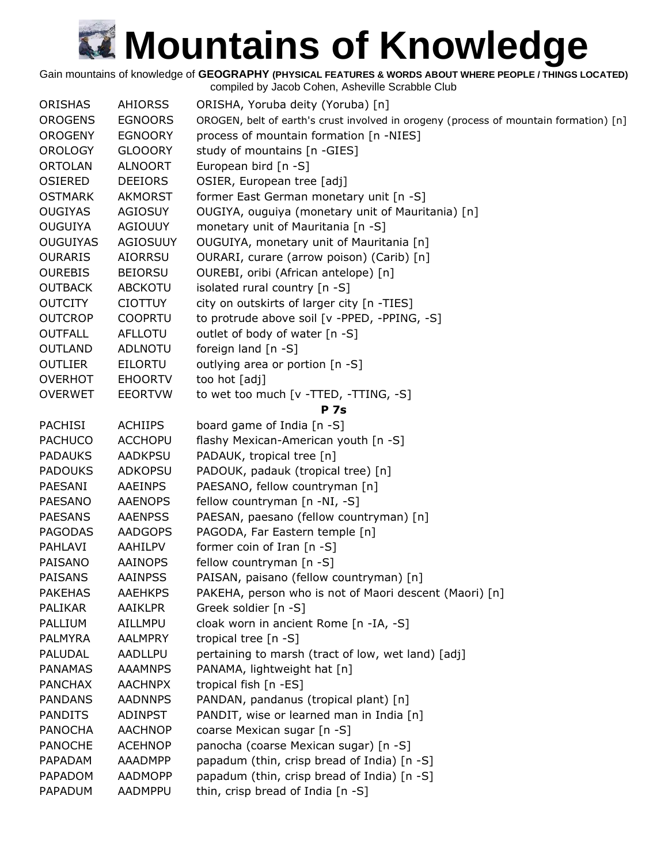Gain mountains of knowledge of **GEOGRAPHY (PHYSICAL FEATURES & WORDS ABOUT WHERE PEOPLE / THINGS LOCATED)**

| ORISHAS         | <b>AHIORSS</b> | ORISHA, Yoruba deity (Yoruba) [n]                                                     |
|-----------------|----------------|---------------------------------------------------------------------------------------|
| <b>OROGENS</b>  | <b>EGNOORS</b> | OROGEN, belt of earth's crust involved in orogeny (process of mountain formation) [n] |
| <b>OROGENY</b>  | <b>EGNOORY</b> | process of mountain formation [n -NIES]                                               |
| <b>OROLOGY</b>  | <b>GLOOORY</b> | study of mountains [n -GIES]                                                          |
| <b>ORTOLAN</b>  | <b>ALNOORT</b> | European bird [n -S]                                                                  |
| <b>OSIERED</b>  | <b>DEEIORS</b> | OSIER, European tree [adj]                                                            |
| <b>OSTMARK</b>  | <b>AKMORST</b> | former East German monetary unit [n -S]                                               |
| <b>OUGIYAS</b>  | <b>AGIOSUY</b> | OUGIYA, ouguiya (monetary unit of Mauritania) [n]                                     |
| <b>OUGUIYA</b>  | <b>AGIOUUY</b> | monetary unit of Mauritania [n -S]                                                    |
| <b>OUGUIYAS</b> | AGIOSUUY       | OUGUIYA, monetary unit of Mauritania [n]                                              |
| <b>OURARIS</b>  | <b>AIORRSU</b> | OURARI, curare (arrow poison) (Carib) [n]                                             |
| <b>OUREBIS</b>  | <b>BEIORSU</b> | OUREBI, oribi (African antelope) [n]                                                  |
| <b>OUTBACK</b>  | <b>ABCKOTU</b> | isolated rural country [n -S]                                                         |
| <b>OUTCITY</b>  | <b>CIOTTUY</b> | city on outskirts of larger city [n -TIES]                                            |
| <b>OUTCROP</b>  | <b>COOPRTU</b> | to protrude above soil [v -PPED, -PPING, -S]                                          |
| <b>OUTFALL</b>  | <b>AFLLOTU</b> | outlet of body of water [n -S]                                                        |
| <b>OUTLAND</b>  | <b>ADLNOTU</b> | foreign land [n -S]                                                                   |
| <b>OUTLIER</b>  | <b>EILORTU</b> | outlying area or portion [n -S]                                                       |
| <b>OVERHOT</b>  | <b>EHOORTV</b> | too hot [adj]                                                                         |
| <b>OVERWET</b>  | <b>EEORTVW</b> | to wet too much [v -TTED, -TTING, -S]                                                 |
|                 |                | <b>P</b> 7s                                                                           |
| <b>PACHISI</b>  | <b>ACHIIPS</b> | board game of India [n -S]                                                            |
| <b>PACHUCO</b>  | <b>ACCHOPU</b> | flashy Mexican-American youth [n -S]                                                  |
| <b>PADAUKS</b>  | <b>AADKPSU</b> | PADAUK, tropical tree [n]                                                             |
| <b>PADOUKS</b>  | <b>ADKOPSU</b> | PADOUK, padauk (tropical tree) [n]                                                    |
| PAESANI         | <b>AAEINPS</b> | PAESANO, fellow countryman [n]                                                        |
| <b>PAESANO</b>  | <b>AAENOPS</b> | fellow countryman [n -NI, -S]                                                         |
| <b>PAESANS</b>  | <b>AAENPSS</b> | PAESAN, paesano (fellow countryman) [n]                                               |
| <b>PAGODAS</b>  | <b>AADGOPS</b> | PAGODA, Far Eastern temple [n]                                                        |
| PAHLAVI         | AAHILPV        | former coin of Iran [n -S]                                                            |
| PAISANO         | <b>AAINOPS</b> | fellow countryman [n -S]                                                              |
| <b>PAISANS</b>  | <b>AAINPSS</b> | PAISAN, paisano (fellow countryman) [n]                                               |
| <b>PAKEHAS</b>  | <b>AAEHKPS</b> | PAKEHA, person who is not of Maori descent (Maori) [n]                                |
| PALIKAR         | AAIKLPR        | Greek soldier [n -S]                                                                  |
| PALLIUM         | AILLMPU        | cloak worn in ancient Rome [n -IA, -S]                                                |
| <b>PALMYRA</b>  | <b>AALMPRY</b> | tropical tree [n -S]                                                                  |
| PALUDAL         | <b>AADLLPU</b> | pertaining to marsh (tract of low, wet land) [adj]                                    |
| <b>PANAMAS</b>  | <b>AAAMNPS</b> | PANAMA, lightweight hat [n]                                                           |
| <b>PANCHAX</b>  | <b>AACHNPX</b> | tropical fish [n -ES]                                                                 |
| <b>PANDANS</b>  | <b>AADNNPS</b> | PANDAN, pandanus (tropical plant) [n]                                                 |
| <b>PANDITS</b>  | <b>ADINPST</b> | PANDIT, wise or learned man in India [n]                                              |
| <b>PANOCHA</b>  | <b>AACHNOP</b> | coarse Mexican sugar [n -S]                                                           |
| <b>PANOCHE</b>  | <b>ACEHNOP</b> | panocha (coarse Mexican sugar) [n -S]                                                 |
| PAPADAM         | AAADMPP        | papadum (thin, crisp bread of India) [n -S]                                           |
| PAPADOM         | <b>AADMOPP</b> | papadum (thin, crisp bread of India) [n -S]                                           |
| PAPADUM         | AADMPPU        | thin, crisp bread of India [n -S]                                                     |
|                 |                |                                                                                       |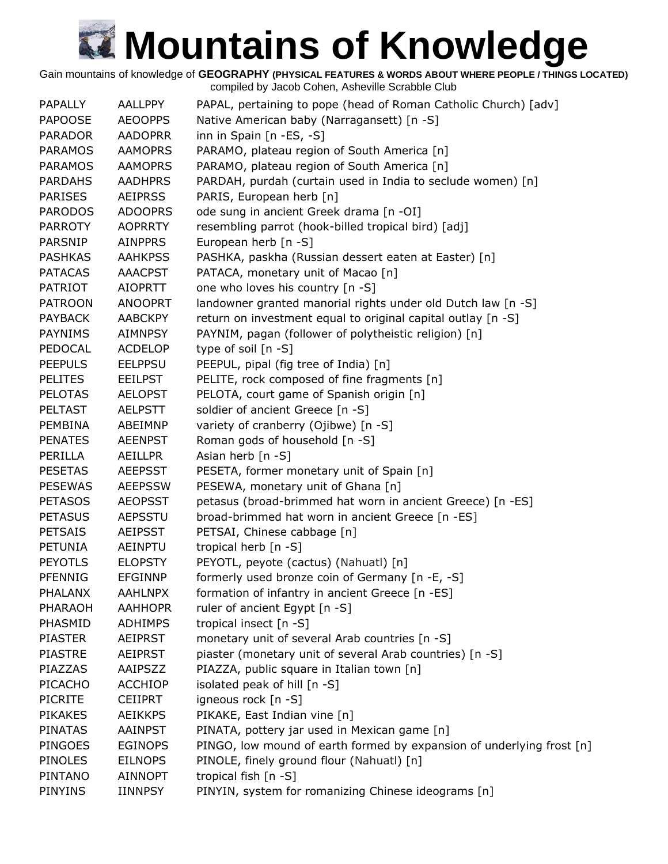Gain mountains of knowledge of **GEOGRAPHY (PHYSICAL FEATURES & WORDS ABOUT WHERE PEOPLE / THINGS LOCATED)**

| <b>PAPALLY</b> | <b>AALLPPY</b> | PAPAL, pertaining to pope (head of Roman Catholic Church) [adv]       |
|----------------|----------------|-----------------------------------------------------------------------|
| <b>PAPOOSE</b> | <b>AEOOPPS</b> | Native American baby (Narragansett) [n -S]                            |
| <b>PARADOR</b> | <b>AADOPRR</b> | inn in Spain [n -ES, -S]                                              |
| <b>PARAMOS</b> | <b>AAMOPRS</b> | PARAMO, plateau region of South America [n]                           |
| <b>PARAMOS</b> | <b>AAMOPRS</b> | PARAMO, plateau region of South America [n]                           |
| <b>PARDAHS</b> | <b>AADHPRS</b> | PARDAH, purdah (curtain used in India to seclude women) [n]           |
| <b>PARISES</b> | <b>AEIPRSS</b> | PARIS, European herb [n]                                              |
| <b>PARODOS</b> | <b>ADOOPRS</b> | ode sung in ancient Greek drama [n -OI]                               |
| <b>PARROTY</b> | <b>AOPRRTY</b> | resembling parrot (hook-billed tropical bird) [adj]                   |
| <b>PARSNIP</b> | <b>AINPPRS</b> | European herb [n -S]                                                  |
| <b>PASHKAS</b> | <b>AAHKPSS</b> | PASHKA, paskha (Russian dessert eaten at Easter) [n]                  |
| <b>PATACAS</b> | <b>AAACPST</b> | PATACA, monetary unit of Macao [n]                                    |
| <b>PATRIOT</b> | <b>AIOPRTT</b> | one who loves his country [n -S]                                      |
| <b>PATROON</b> | <b>ANOOPRT</b> | landowner granted manorial rights under old Dutch law [n -S]          |
| <b>PAYBACK</b> | <b>AABCKPY</b> | return on investment equal to original capital outlay [n -S]          |
| <b>PAYNIMS</b> | <b>AIMNPSY</b> | PAYNIM, pagan (follower of polytheistic religion) [n]                 |
| PEDOCAL        | <b>ACDELOP</b> | type of soil [n -S]                                                   |
| <b>PEEPULS</b> | <b>EELPPSU</b> | PEEPUL, pipal (fig tree of India) [n]                                 |
| <b>PELITES</b> | <b>EEILPST</b> | PELITE, rock composed of fine fragments [n]                           |
| <b>PELOTAS</b> | <b>AELOPST</b> | PELOTA, court game of Spanish origin [n]                              |
| <b>PELTAST</b> | <b>AELPSTT</b> | soldier of ancient Greece [n -S]                                      |
| <b>PEMBINA</b> | ABEIMNP        | variety of cranberry (Ojibwe) [n -S]                                  |
| <b>PENATES</b> | <b>AEENPST</b> | Roman gods of household [n -S]                                        |
| PERILLA        | AEILLPR        | Asian herb [n -S]                                                     |
| <b>PESETAS</b> | <b>AEEPSST</b> | PESETA, former monetary unit of Spain [n]                             |
| <b>PESEWAS</b> | <b>AEEPSSW</b> | PESEWA, monetary unit of Ghana [n]                                    |
| <b>PETASOS</b> | <b>AEOPSST</b> | petasus (broad-brimmed hat worn in ancient Greece) [n -ES]            |
| <b>PETASUS</b> | <b>AEPSSTU</b> | broad-brimmed hat worn in ancient Greece [n -ES]                      |
| <b>PETSAIS</b> | <b>AEIPSST</b> | PETSAI, Chinese cabbage [n]                                           |
| PETUNIA        | AEINPTU        | tropical herb [n -S]                                                  |
| <b>PEYOTLS</b> | <b>ELOPSTY</b> | PEYOTL, peyote (cactus) (Nahuatl) [n]                                 |
| PFENNIG        | <b>EFGINNP</b> | formerly used bronze coin of Germany [n -E, -S]                       |
| <b>PHALANX</b> | <b>AAHLNPX</b> | formation of infantry in ancient Greece [n -ES]                       |
| PHARAOH        | <b>AAHHOPR</b> | ruler of ancient Egypt [n -S]                                         |
| PHASMID        | <b>ADHIMPS</b> | tropical insect [n -S]                                                |
| <b>PIASTER</b> | <b>AEIPRST</b> | monetary unit of several Arab countries [n -S]                        |
| <b>PIASTRE</b> | <b>AEIPRST</b> | piaster (monetary unit of several Arab countries) [n -S]              |
| PIAZZAS        | AAIPSZZ        | PIAZZA, public square in Italian town [n]                             |
| PICACHO        | <b>ACCHIOP</b> | isolated peak of hill [n -S]                                          |
| <b>PICRITE</b> | <b>CEIIPRT</b> | igneous rock [n -S]                                                   |
| <b>PIKAKES</b> | <b>AEIKKPS</b> | PIKAKE, East Indian vine [n]                                          |
| <b>PINATAS</b> | <b>AAINPST</b> | PINATA, pottery jar used in Mexican game [n]                          |
| <b>PINGOES</b> | <b>EGINOPS</b> | PINGO, low mound of earth formed by expansion of underlying frost [n] |
| <b>PINOLES</b> | <b>EILNOPS</b> | PINOLE, finely ground flour (Nahuatl) [n]                             |
| PINTANO        | <b>AINNOPT</b> | tropical fish [n -S]                                                  |
| <b>PINYINS</b> | <b>IINNPSY</b> | PINYIN, system for romanizing Chinese ideograms [n]                   |
|                |                |                                                                       |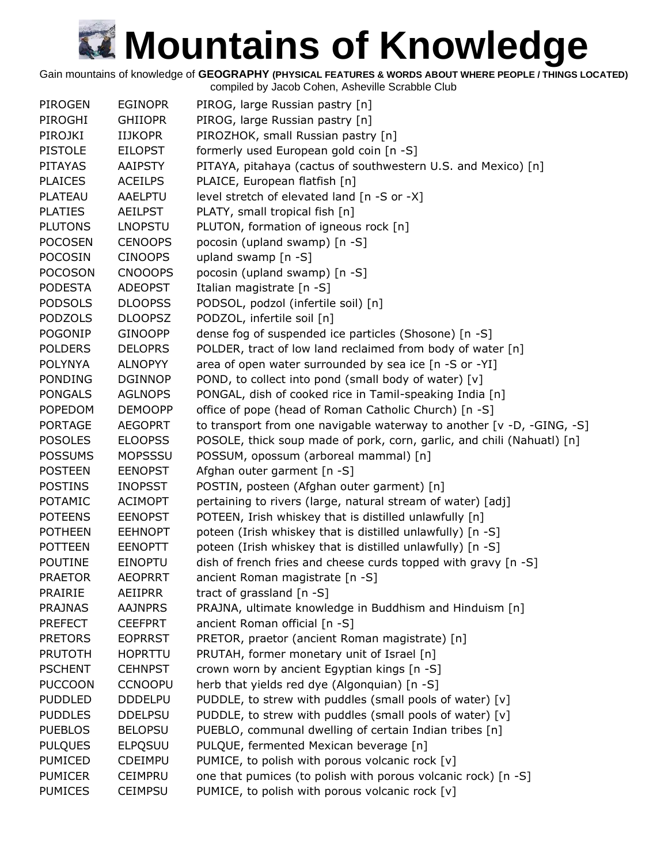Gain mountains of knowledge of **GEOGRAPHY (PHYSICAL FEATURES & WORDS ABOUT WHERE PEOPLE / THINGS LOCATED)**

| PIROGEN        | <b>EGINOPR</b> | PIROG, large Russian pastry [n]                                        |
|----------------|----------------|------------------------------------------------------------------------|
| PIROGHI        | <b>GHIIOPR</b> | PIROG, large Russian pastry [n]                                        |
| PIROJKI        | <b>IIJKOPR</b> | PIROZHOK, small Russian pastry [n]                                     |
| <b>PISTOLE</b> | <b>EILOPST</b> | formerly used European gold coin [n -S]                                |
| <b>PITAYAS</b> | <b>AAIPSTY</b> | PITAYA, pitahaya (cactus of southwestern U.S. and Mexico) [n]          |
| <b>PLAICES</b> | <b>ACEILPS</b> | PLAICE, European flatfish [n]                                          |
| <b>PLATEAU</b> | <b>AAELPTU</b> | level stretch of elevated land [n -S or -X]                            |
| <b>PLATIES</b> | <b>AEILPST</b> | PLATY, small tropical fish [n]                                         |
| <b>PLUTONS</b> | <b>LNOPSTU</b> | PLUTON, formation of igneous rock [n]                                  |
| <b>POCOSEN</b> | <b>CENOOPS</b> | pocosin (upland swamp) [n -S]                                          |
| <b>POCOSIN</b> | <b>CINOOPS</b> | upland swamp [n -S]                                                    |
| <b>POCOSON</b> | <b>CNOOOPS</b> | pocosin (upland swamp) [n -S]                                          |
| <b>PODESTA</b> | <b>ADEOPST</b> | Italian magistrate [n -S]                                              |
| <b>PODSOLS</b> | <b>DLOOPSS</b> | PODSOL, podzol (infertile soil) [n]                                    |
| <b>PODZOLS</b> | <b>DLOOPSZ</b> | PODZOL, infertile soil [n]                                             |
| <b>POGONIP</b> | <b>GINOOPP</b> | dense fog of suspended ice particles (Shosone) [n -S]                  |
| <b>POLDERS</b> | <b>DELOPRS</b> | POLDER, tract of low land reclaimed from body of water [n]             |
| <b>POLYNYA</b> | <b>ALNOPYY</b> | area of open water surrounded by sea ice [n -S or -YI]                 |
| <b>PONDING</b> | <b>DGINNOP</b> | POND, to collect into pond (small body of water) [v]                   |
| <b>PONGALS</b> | <b>AGLNOPS</b> | PONGAL, dish of cooked rice in Tamil-speaking India [n]                |
| <b>POPEDOM</b> | <b>DEMOOPP</b> | office of pope (head of Roman Catholic Church) [n -S]                  |
| <b>PORTAGE</b> | <b>AEGOPRT</b> | to transport from one navigable waterway to another [v -D, -GING, -S]  |
| <b>POSOLES</b> | <b>ELOOPSS</b> | POSOLE, thick soup made of pork, corn, garlic, and chili (Nahuatl) [n] |
| <b>POSSUMS</b> | <b>MOPSSSU</b> | POSSUM, opossum (arboreal mammal) [n]                                  |
| <b>POSTEEN</b> | <b>EENOPST</b> | Afghan outer garment [n -S]                                            |
| <b>POSTINS</b> | <b>INOPSST</b> | POSTIN, posteen (Afghan outer garment) [n]                             |
| POTAMIC        | <b>ACIMOPT</b> | pertaining to rivers (large, natural stream of water) [adj]            |
| <b>POTEENS</b> | <b>EENOPST</b> | POTEEN, Irish whiskey that is distilled unlawfully [n]                 |
| <b>POTHEEN</b> | <b>EEHNOPT</b> | poteen (Irish whiskey that is distilled unlawfully) [n -S]             |
| <b>POTTEEN</b> | <b>EENOPTT</b> | poteen (Irish whiskey that is distilled unlawfully) [n -S]             |
| <b>POUTINE</b> | <b>EINOPTU</b> | dish of french fries and cheese curds topped with gravy [n -S]         |
| <b>PRAETOR</b> | <b>AEOPRRT</b> | ancient Roman magistrate [n -S]                                        |
| <b>PRAIRIE</b> | AEIIPRR        | tract of grassland $[n - S]$                                           |
| <b>PRAJNAS</b> | <b>AAJNPRS</b> | PRAJNA, ultimate knowledge in Buddhism and Hinduism [n]                |
| <b>PREFECT</b> | <b>CEEFPRT</b> | ancient Roman official [n -S]                                          |
| <b>PRETORS</b> | <b>EOPRRST</b> | PRETOR, praetor (ancient Roman magistrate) [n]                         |
| <b>PRUTOTH</b> | <b>HOPRTTU</b> | PRUTAH, former monetary unit of Israel [n]                             |
| <b>PSCHENT</b> | <b>CEHNPST</b> | crown worn by ancient Egyptian kings [n -S]                            |
| <b>PUCCOON</b> | <b>CCNOOPU</b> | herb that yields red dye (Algonquian) [n -S]                           |
| <b>PUDDLED</b> | <b>DDDELPU</b> | PUDDLE, to strew with puddles (small pools of water) [v]               |
| <b>PUDDLES</b> | <b>DDELPSU</b> | PUDDLE, to strew with puddles (small pools of water) [v]               |
| <b>PUEBLOS</b> | <b>BELOPSU</b> | PUEBLO, communal dwelling of certain Indian tribes [n]                 |
| <b>PULQUES</b> | <b>ELPQSUU</b> | PULQUE, fermented Mexican beverage [n]                                 |
| <b>PUMICED</b> | <b>CDEIMPU</b> | PUMICE, to polish with porous volcanic rock [v]                        |
| <b>PUMICER</b> | <b>CEIMPRU</b> | one that pumices (to polish with porous volcanic rock) [n -S]          |
| <b>PUMICES</b> | <b>CEIMPSU</b> | PUMICE, to polish with porous volcanic rock [v]                        |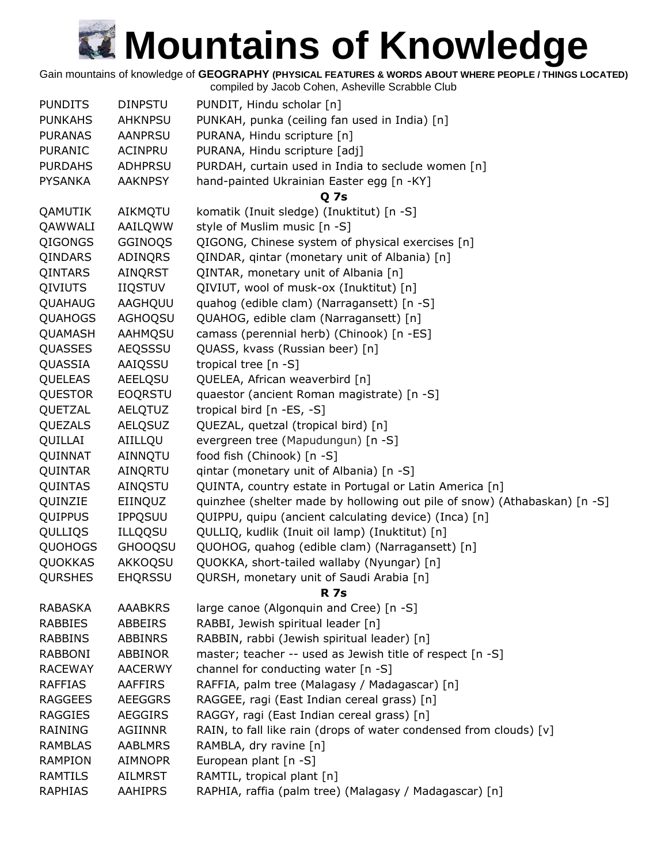Gain mountains of knowledge of **GEOGRAPHY (PHYSICAL FEATURES & WORDS ABOUT WHERE PEOPLE / THINGS LOCATED)**

| <b>PUNDITS</b> | <b>DINPSTU</b> | PUNDIT, Hindu scholar [n]                                                 |
|----------------|----------------|---------------------------------------------------------------------------|
| <b>PUNKAHS</b> | <b>AHKNPSU</b> | PUNKAH, punka (ceiling fan used in India) [n]                             |
| <b>PURANAS</b> | AANPRSU        | PURANA, Hindu scripture [n]                                               |
| PURANIC        | ACINPRU        | PURANA, Hindu scripture [adj]                                             |
| <b>PURDAHS</b> | <b>ADHPRSU</b> | PURDAH, curtain used in India to seclude women [n]                        |
| <b>PYSANKA</b> | <b>AAKNPSY</b> | hand-painted Ukrainian Easter egg [n -KY]                                 |
|                |                | Q 7s                                                                      |
| QAMUTIK        | AIKMQTU        | komatik (Inuit sledge) (Inuktitut) [n -S]                                 |
| QAWWALI        | AAILQWW        | style of Muslim music [n -S]                                              |
| <b>QIGONGS</b> | GGINOQS        | QIGONG, Chinese system of physical exercises [n]                          |
| QINDARS        | ADINQRS        | QINDAR, gintar (monetary unit of Albania) [n]                             |
| QINTARS        | AINQRST        | QINTAR, monetary unit of Albania [n]                                      |
| <b>QIVIUTS</b> | <b>IIQSTUV</b> | QIVIUT, wool of musk-ox (Inuktitut) [n]                                   |
| QUAHAUG        | AAGHQUU        | quahog (edible clam) (Narragansett) [n -S]                                |
| <b>QUAHOGS</b> | AGHOQSU        | QUAHOG, edible clam (Narragansett) [n]                                    |
| QUAMASH        | AAHMQSU        | camass (perennial herb) (Chinook) [n -ES]                                 |
| QUASSES        | AEQSSSU        | QUASS, kvass (Russian beer) [n]                                           |
| QUASSIA        | AAIQSSU        | tropical tree [n -S]                                                      |
| QUELEAS        | <b>AEELQSU</b> | QUELEA, African weaverbird [n]                                            |
| <b>QUESTOR</b> | <b>EOQRSTU</b> | quaestor (ancient Roman magistrate) [n -S]                                |
| QUETZAL        | <b>AELQTUZ</b> | tropical bird [n -ES, -S]                                                 |
| QUEZALS        | <b>AELQSUZ</b> | QUEZAL, quetzal (tropical bird) [n]                                       |
| QUILLAI        | AIILLQU        | evergreen tree (Mapudungun) [n -S]                                        |
| QUINNAT        | AINNQTU        | food fish (Chinook) [n -S]                                                |
| QUINTAR        | AINQRTU        | qintar (monetary unit of Albania) [n -S]                                  |
| QUINTAS        | AINQSTU        | QUINTA, country estate in Portugal or Latin America [n]                   |
| QUINZIE        | EIINQUZ        | quinzhee (shelter made by hollowing out pile of snow) (Athabaskan) [n -S] |
| QUIPPUS        | <b>IPPQSUU</b> | QUIPPU, quipu (ancient calculating device) (Inca) [n]                     |
| QULLIQS        | <b>ILLQQSU</b> | QULLIQ, kudlik (Inuit oil lamp) (Inuktitut) [n]                           |
| <b>QUOHOGS</b> | <b>GHOOQSU</b> | QUOHOG, quahog (edible clam) (Narragansett) [n]                           |
| QUOKKAS        | AKKOQSU        | QUOKKA, short-tailed wallaby (Nyungar) [n]                                |
| <b>QURSHES</b> | <b>EHQRSSU</b> | QURSH, monetary unit of Saudi Arabia [n]                                  |
|                |                | <b>R</b> 7s                                                               |
| <b>RABASKA</b> | <b>AAABKRS</b> | large canoe (Algonquin and Cree) [n -S]                                   |
| <b>RABBIES</b> | ABBEIRS        | RABBI, Jewish spiritual leader [n]                                        |
| <b>RABBINS</b> | <b>ABBINRS</b> | RABBIN, rabbi (Jewish spiritual leader) [n]                               |
| <b>RABBONI</b> | <b>ABBINOR</b> | master; teacher -- used as Jewish title of respect [n -S]                 |
| <b>RACEWAY</b> | <b>AACERWY</b> | channel for conducting water [n -S]                                       |
| <b>RAFFIAS</b> | <b>AAFFIRS</b> | RAFFIA, palm tree (Malagasy / Madagascar) [n]                             |
| <b>RAGGEES</b> | <b>AEEGGRS</b> | RAGGEE, ragi (East Indian cereal grass) [n]                               |
| <b>RAGGIES</b> | <b>AEGGIRS</b> | RAGGY, ragi (East Indian cereal grass) [n]                                |
| RAINING        | AGIINNR        | RAIN, to fall like rain (drops of water condensed from clouds) [v]        |
| <b>RAMBLAS</b> | <b>AABLMRS</b> | RAMBLA, dry ravine [n]                                                    |
| <b>RAMPION</b> | <b>AIMNOPR</b> | European plant [n -S]                                                     |
| <b>RAMTILS</b> | <b>AILMRST</b> | RAMTIL, tropical plant [n]                                                |
| <b>RAPHIAS</b> | <b>AAHIPRS</b> | RAPHIA, raffia (palm tree) (Malagasy / Madagascar) [n]                    |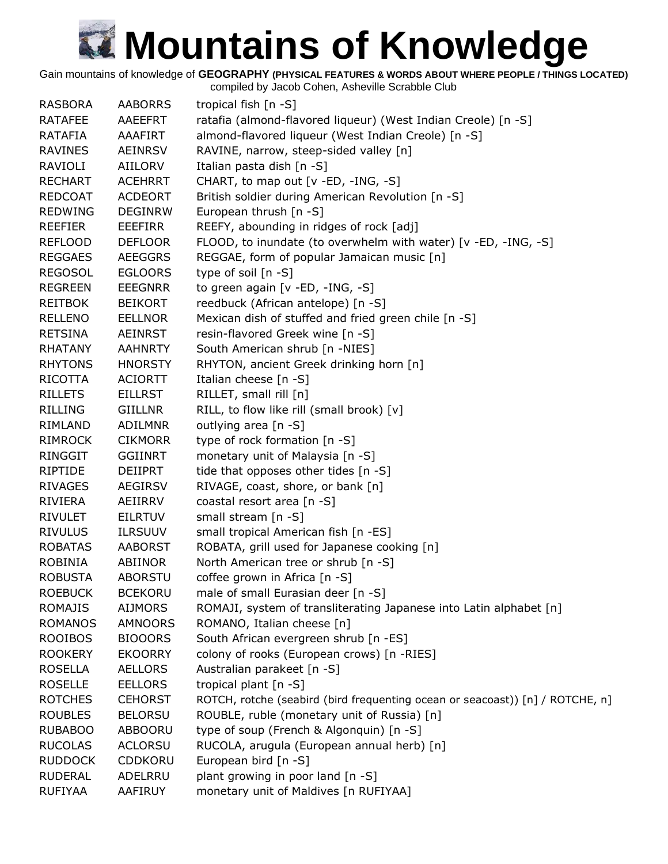Gain mountains of knowledge of **GEOGRAPHY (PHYSICAL FEATURES & WORDS ABOUT WHERE PEOPLE / THINGS LOCATED)**

| ratafia (almond-flavored liqueur) (West Indian Creole) [n -S]<br><b>RATAFEE</b><br>AAEEFRT<br>almond-flavored liqueur (West Indian Creole) [n -S]<br><b>RATAFIA</b><br>AAAFIRT<br>RAVINE, narrow, steep-sided valley [n]<br><b>RAVINES</b><br><b>AEINRSV</b><br>Italian pasta dish [n -S]<br>RAVIOLI<br>AIILORV<br><b>RECHART</b><br>CHART, to map out [v -ED, -ING, -S]<br><b>ACEHRRT</b><br>British soldier during American Revolution [n -S]<br><b>REDCOAT</b><br><b>ACDEORT</b><br>European thrush [n -S]<br><b>REDWING</b><br><b>DEGINRW</b><br>REEFY, abounding in ridges of rock [adj]<br><b>REEFIER</b><br><b>EEEFIRR</b><br>FLOOD, to inundate (to overwhelm with water) [v -ED, -ING, -S]<br><b>REFLOOD</b><br><b>DEFLOOR</b><br>REGGAE, form of popular Jamaican music [n]<br><b>REGGAES</b><br><b>AEEGGRS</b><br><b>REGOSOL</b><br>type of soil [n -S]<br><b>EGLOORS</b><br>to green again [v -ED, -ING, -S]<br><b>REGREEN</b><br><b>EEEGNRR</b><br>reedbuck (African antelope) [n -S]<br><b>REITBOK</b><br><b>BEIKORT</b><br>Mexican dish of stuffed and fried green chile [n -S]<br><b>RELLENO</b><br><b>EELLNOR</b><br>resin-flavored Greek wine [n -S]<br><b>RETSINA</b><br><b>AEINRST</b><br>South American shrub [n -NIES]<br><b>RHATANY</b><br><b>AAHNRTY</b> |
|----------------------------------------------------------------------------------------------------------------------------------------------------------------------------------------------------------------------------------------------------------------------------------------------------------------------------------------------------------------------------------------------------------------------------------------------------------------------------------------------------------------------------------------------------------------------------------------------------------------------------------------------------------------------------------------------------------------------------------------------------------------------------------------------------------------------------------------------------------------------------------------------------------------------------------------------------------------------------------------------------------------------------------------------------------------------------------------------------------------------------------------------------------------------------------------------------------------------------------------------------------------------------------|
|                                                                                                                                                                                                                                                                                                                                                                                                                                                                                                                                                                                                                                                                                                                                                                                                                                                                                                                                                                                                                                                                                                                                                                                                                                                                                  |
|                                                                                                                                                                                                                                                                                                                                                                                                                                                                                                                                                                                                                                                                                                                                                                                                                                                                                                                                                                                                                                                                                                                                                                                                                                                                                  |
|                                                                                                                                                                                                                                                                                                                                                                                                                                                                                                                                                                                                                                                                                                                                                                                                                                                                                                                                                                                                                                                                                                                                                                                                                                                                                  |
|                                                                                                                                                                                                                                                                                                                                                                                                                                                                                                                                                                                                                                                                                                                                                                                                                                                                                                                                                                                                                                                                                                                                                                                                                                                                                  |
|                                                                                                                                                                                                                                                                                                                                                                                                                                                                                                                                                                                                                                                                                                                                                                                                                                                                                                                                                                                                                                                                                                                                                                                                                                                                                  |
|                                                                                                                                                                                                                                                                                                                                                                                                                                                                                                                                                                                                                                                                                                                                                                                                                                                                                                                                                                                                                                                                                                                                                                                                                                                                                  |
|                                                                                                                                                                                                                                                                                                                                                                                                                                                                                                                                                                                                                                                                                                                                                                                                                                                                                                                                                                                                                                                                                                                                                                                                                                                                                  |
|                                                                                                                                                                                                                                                                                                                                                                                                                                                                                                                                                                                                                                                                                                                                                                                                                                                                                                                                                                                                                                                                                                                                                                                                                                                                                  |
|                                                                                                                                                                                                                                                                                                                                                                                                                                                                                                                                                                                                                                                                                                                                                                                                                                                                                                                                                                                                                                                                                                                                                                                                                                                                                  |
|                                                                                                                                                                                                                                                                                                                                                                                                                                                                                                                                                                                                                                                                                                                                                                                                                                                                                                                                                                                                                                                                                                                                                                                                                                                                                  |
|                                                                                                                                                                                                                                                                                                                                                                                                                                                                                                                                                                                                                                                                                                                                                                                                                                                                                                                                                                                                                                                                                                                                                                                                                                                                                  |
|                                                                                                                                                                                                                                                                                                                                                                                                                                                                                                                                                                                                                                                                                                                                                                                                                                                                                                                                                                                                                                                                                                                                                                                                                                                                                  |
|                                                                                                                                                                                                                                                                                                                                                                                                                                                                                                                                                                                                                                                                                                                                                                                                                                                                                                                                                                                                                                                                                                                                                                                                                                                                                  |
|                                                                                                                                                                                                                                                                                                                                                                                                                                                                                                                                                                                                                                                                                                                                                                                                                                                                                                                                                                                                                                                                                                                                                                                                                                                                                  |
|                                                                                                                                                                                                                                                                                                                                                                                                                                                                                                                                                                                                                                                                                                                                                                                                                                                                                                                                                                                                                                                                                                                                                                                                                                                                                  |
|                                                                                                                                                                                                                                                                                                                                                                                                                                                                                                                                                                                                                                                                                                                                                                                                                                                                                                                                                                                                                                                                                                                                                                                                                                                                                  |
| <b>RHYTONS</b><br><b>HNORSTY</b><br>RHYTON, ancient Greek drinking horn [n]                                                                                                                                                                                                                                                                                                                                                                                                                                                                                                                                                                                                                                                                                                                                                                                                                                                                                                                                                                                                                                                                                                                                                                                                      |
| Italian cheese [n -S]<br>RICOTTA<br><b>ACIORTT</b>                                                                                                                                                                                                                                                                                                                                                                                                                                                                                                                                                                                                                                                                                                                                                                                                                                                                                                                                                                                                                                                                                                                                                                                                                               |
| RILLET, small rill [n]<br><b>RILLETS</b><br><b>EILLRST</b>                                                                                                                                                                                                                                                                                                                                                                                                                                                                                                                                                                                                                                                                                                                                                                                                                                                                                                                                                                                                                                                                                                                                                                                                                       |
| RILL, to flow like rill (small brook) [v]<br>RILLING<br><b>GIILLNR</b>                                                                                                                                                                                                                                                                                                                                                                                                                                                                                                                                                                                                                                                                                                                                                                                                                                                                                                                                                                                                                                                                                                                                                                                                           |
| outlying area [n -S]<br>RIMLAND<br>ADILMNR                                                                                                                                                                                                                                                                                                                                                                                                                                                                                                                                                                                                                                                                                                                                                                                                                                                                                                                                                                                                                                                                                                                                                                                                                                       |
| type of rock formation [n -S]<br><b>RIMROCK</b><br><b>CIKMORR</b>                                                                                                                                                                                                                                                                                                                                                                                                                                                                                                                                                                                                                                                                                                                                                                                                                                                                                                                                                                                                                                                                                                                                                                                                                |
| <b>RINGGIT</b><br><b>GGIINRT</b><br>monetary unit of Malaysia [n -S]                                                                                                                                                                                                                                                                                                                                                                                                                                                                                                                                                                                                                                                                                                                                                                                                                                                                                                                                                                                                                                                                                                                                                                                                             |
| tide that opposes other tides [n -S]<br>RIPTIDE<br><b>DEIIPRT</b>                                                                                                                                                                                                                                                                                                                                                                                                                                                                                                                                                                                                                                                                                                                                                                                                                                                                                                                                                                                                                                                                                                                                                                                                                |
| RIVAGE, coast, shore, or bank [n]<br><b>RIVAGES</b><br><b>AEGIRSV</b>                                                                                                                                                                                                                                                                                                                                                                                                                                                                                                                                                                                                                                                                                                                                                                                                                                                                                                                                                                                                                                                                                                                                                                                                            |
| coastal resort area [n -S]<br>RIVIERA<br>AEIIRRV                                                                                                                                                                                                                                                                                                                                                                                                                                                                                                                                                                                                                                                                                                                                                                                                                                                                                                                                                                                                                                                                                                                                                                                                                                 |
| small stream [n -S]<br><b>RIVULET</b><br><b>EILRTUV</b>                                                                                                                                                                                                                                                                                                                                                                                                                                                                                                                                                                                                                                                                                                                                                                                                                                                                                                                                                                                                                                                                                                                                                                                                                          |
| <b>RIVULUS</b><br>small tropical American fish [n -ES]<br><b>ILRSUUV</b>                                                                                                                                                                                                                                                                                                                                                                                                                                                                                                                                                                                                                                                                                                                                                                                                                                                                                                                                                                                                                                                                                                                                                                                                         |
| ROBATA, grill used for Japanese cooking [n]<br><b>ROBATAS</b><br><b>AABORST</b>                                                                                                                                                                                                                                                                                                                                                                                                                                                                                                                                                                                                                                                                                                                                                                                                                                                                                                                                                                                                                                                                                                                                                                                                  |
| <b>ROBINIA</b><br>ABIINOR<br>North American tree or shrub [n -S]                                                                                                                                                                                                                                                                                                                                                                                                                                                                                                                                                                                                                                                                                                                                                                                                                                                                                                                                                                                                                                                                                                                                                                                                                 |
| coffee grown in Africa [n -S]<br><b>ROBUSTA</b><br><b>ABORSTU</b>                                                                                                                                                                                                                                                                                                                                                                                                                                                                                                                                                                                                                                                                                                                                                                                                                                                                                                                                                                                                                                                                                                                                                                                                                |
| <b>ROEBUCK</b><br><b>BCEKORU</b><br>male of small Eurasian deer [n -S]                                                                                                                                                                                                                                                                                                                                                                                                                                                                                                                                                                                                                                                                                                                                                                                                                                                                                                                                                                                                                                                                                                                                                                                                           |
| <b>ROMAJIS</b><br><b>AIJMORS</b><br>ROMAJI, system of transliterating Japanese into Latin alphabet [n]                                                                                                                                                                                                                                                                                                                                                                                                                                                                                                                                                                                                                                                                                                                                                                                                                                                                                                                                                                                                                                                                                                                                                                           |
| ROMANO, Italian cheese [n]<br><b>ROMANOS</b><br><b>AMNOORS</b>                                                                                                                                                                                                                                                                                                                                                                                                                                                                                                                                                                                                                                                                                                                                                                                                                                                                                                                                                                                                                                                                                                                                                                                                                   |
| <b>ROOIBOS</b><br><b>BIOOORS</b><br>South African evergreen shrub [n -ES]                                                                                                                                                                                                                                                                                                                                                                                                                                                                                                                                                                                                                                                                                                                                                                                                                                                                                                                                                                                                                                                                                                                                                                                                        |
| colony of rooks (European crows) [n -RIES]<br><b>ROOKERY</b><br><b>EKOORRY</b>                                                                                                                                                                                                                                                                                                                                                                                                                                                                                                                                                                                                                                                                                                                                                                                                                                                                                                                                                                                                                                                                                                                                                                                                   |
| Australian parakeet [n -S]<br><b>ROSELLA</b><br><b>AELLORS</b>                                                                                                                                                                                                                                                                                                                                                                                                                                                                                                                                                                                                                                                                                                                                                                                                                                                                                                                                                                                                                                                                                                                                                                                                                   |
| tropical plant [n -S]<br><b>ROSELLE</b><br><b>EELLORS</b>                                                                                                                                                                                                                                                                                                                                                                                                                                                                                                                                                                                                                                                                                                                                                                                                                                                                                                                                                                                                                                                                                                                                                                                                                        |
| ROTCH, rotche (seabird (bird frequenting ocean or seacoast)) [n] / ROTCHE, n]<br><b>ROTCHES</b><br><b>CEHORST</b>                                                                                                                                                                                                                                                                                                                                                                                                                                                                                                                                                                                                                                                                                                                                                                                                                                                                                                                                                                                                                                                                                                                                                                |
| ROUBLE, ruble (monetary unit of Russia) [n]<br><b>ROUBLES</b><br><b>BELORSU</b>                                                                                                                                                                                                                                                                                                                                                                                                                                                                                                                                                                                                                                                                                                                                                                                                                                                                                                                                                                                                                                                                                                                                                                                                  |
| type of soup (French & Algonquin) [n -S]<br><b>RUBABOO</b><br>ABBOORU                                                                                                                                                                                                                                                                                                                                                                                                                                                                                                                                                                                                                                                                                                                                                                                                                                                                                                                                                                                                                                                                                                                                                                                                            |
| RUCOLA, arugula (European annual herb) [n]<br><b>RUCOLAS</b><br><b>ACLORSU</b>                                                                                                                                                                                                                                                                                                                                                                                                                                                                                                                                                                                                                                                                                                                                                                                                                                                                                                                                                                                                                                                                                                                                                                                                   |
| European bird [n -S]<br><b>RUDDOCK</b><br>CDDKORU                                                                                                                                                                                                                                                                                                                                                                                                                                                                                                                                                                                                                                                                                                                                                                                                                                                                                                                                                                                                                                                                                                                                                                                                                                |
| plant growing in poor land [n -S]<br><b>RUDERAL</b><br>ADELRRU                                                                                                                                                                                                                                                                                                                                                                                                                                                                                                                                                                                                                                                                                                                                                                                                                                                                                                                                                                                                                                                                                                                                                                                                                   |
| monetary unit of Maldives [n RUFIYAA]<br><b>RUFIYAA</b><br>AAFIRUY                                                                                                                                                                                                                                                                                                                                                                                                                                                                                                                                                                                                                                                                                                                                                                                                                                                                                                                                                                                                                                                                                                                                                                                                               |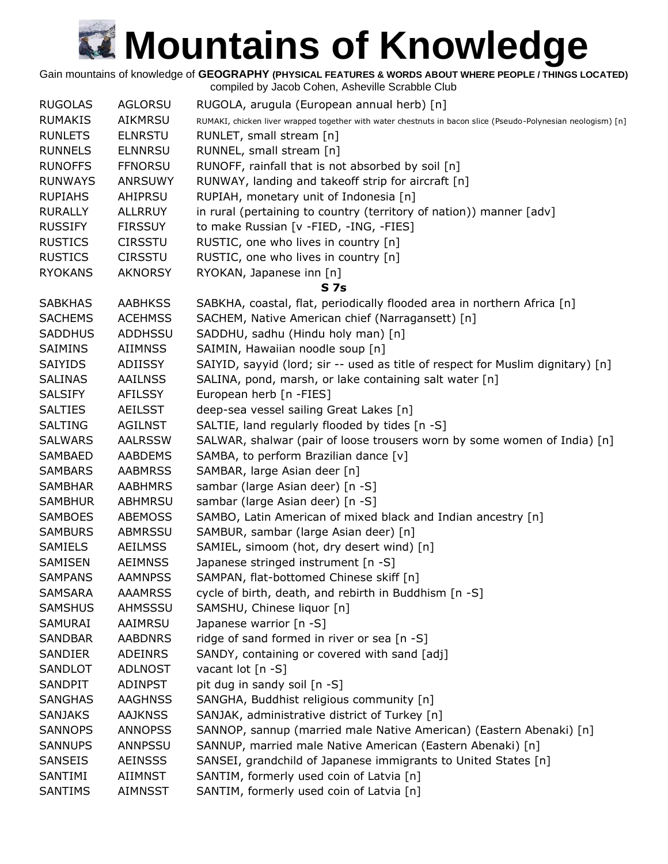Gain mountains of knowledge of **GEOGRAPHY (PHYSICAL FEATURES & WORDS ABOUT WHERE PEOPLE / THINGS LOCATED)**

| <b>RUGOLAS</b> | <b>AGLORSU</b> | RUGOLA, arugula (European annual herb) [n]                                                                   |
|----------------|----------------|--------------------------------------------------------------------------------------------------------------|
| <b>RUMAKIS</b> | <b>AIKMRSU</b> | RUMAKI, chicken liver wrapped together with water chestnuts in bacon slice (Pseudo-Polynesian neologism) [n] |
| <b>RUNLETS</b> | <b>ELNRSTU</b> | RUNLET, small stream [n]                                                                                     |
| <b>RUNNELS</b> | <b>ELNNRSU</b> | RUNNEL, small stream [n]                                                                                     |
| <b>RUNOFFS</b> | <b>FFNORSU</b> | RUNOFF, rainfall that is not absorbed by soil [n]                                                            |
| <b>RUNWAYS</b> | <b>ANRSUWY</b> | RUNWAY, landing and takeoff strip for aircraft [n]                                                           |
| <b>RUPIAHS</b> | AHIPRSU        | RUPIAH, monetary unit of Indonesia [n]                                                                       |
| <b>RURALLY</b> | <b>ALLRRUY</b> | in rural (pertaining to country (territory of nation)) manner [adv]                                          |
| <b>RUSSIFY</b> | <b>FIRSSUY</b> | to make Russian [v -FIED, -ING, -FIES]                                                                       |
| <b>RUSTICS</b> | <b>CIRSSTU</b> | RUSTIC, one who lives in country [n]                                                                         |
| <b>RUSTICS</b> | <b>CIRSSTU</b> | RUSTIC, one who lives in country [n]                                                                         |
| <b>RYOKANS</b> | <b>AKNORSY</b> | RYOKAN, Japanese inn [n]                                                                                     |
|                |                | S <sub>7s</sub>                                                                                              |
| <b>SABKHAS</b> | <b>AABHKSS</b> | SABKHA, coastal, flat, periodically flooded area in northern Africa [n]                                      |
| <b>SACHEMS</b> | <b>ACEHMSS</b> | SACHEM, Native American chief (Narragansett) [n]                                                             |
| <b>SADDHUS</b> | <b>ADDHSSU</b> | SADDHU, sadhu (Hindu holy man) [n]                                                                           |
| <b>SAIMINS</b> | <b>AIIMNSS</b> | SAIMIN, Hawaiian noodle soup [n]                                                                             |
| <b>SAIYIDS</b> | <b>ADIISSY</b> | SAIYID, sayyid (lord; sir -- used as title of respect for Muslim dignitary) [n]                              |
| <b>SALINAS</b> | <b>AAILNSS</b> | SALINA, pond, marsh, or lake containing salt water [n]                                                       |
| <b>SALSIFY</b> | AFILSSY        | European herb [n -FIES]                                                                                      |
| <b>SALTIES</b> | <b>AEILSST</b> | deep-sea vessel sailing Great Lakes [n]                                                                      |
| <b>SALTING</b> | <b>AGILNST</b> | SALTIE, land regularly flooded by tides [n -S]                                                               |
| <b>SALWARS</b> | <b>AALRSSW</b> | SALWAR, shalwar (pair of loose trousers worn by some women of India) [n]                                     |
| <b>SAMBAED</b> | <b>AABDEMS</b> | SAMBA, to perform Brazilian dance [v]                                                                        |
| <b>SAMBARS</b> | <b>AABMRSS</b> |                                                                                                              |
| <b>SAMBHAR</b> | <b>AABHMRS</b> | SAMBAR, large Asian deer [n]                                                                                 |
|                |                | sambar (large Asian deer) [n -S]                                                                             |
| <b>SAMBHUR</b> | <b>ABHMRSU</b> | sambar (large Asian deer) [n -S]                                                                             |
| <b>SAMBOES</b> | <b>ABEMOSS</b> | SAMBO, Latin American of mixed black and Indian ancestry [n]<br>SAMBUR, sambar (large Asian deer) [n]        |
| <b>SAMBURS</b> | ABMRSSU        |                                                                                                              |
| SAMIELS        | <b>AEILMSS</b> | SAMIEL, simoom (hot, dry desert wind) [n]                                                                    |
| SAMISEN        | <b>AEIMNSS</b> | Japanese stringed instrument [n -S]                                                                          |
| <b>SAMPANS</b> | <b>AAMNPSS</b> | SAMPAN, flat-bottomed Chinese skiff [n]                                                                      |
| <b>SAMSARA</b> | <b>AAAMRSS</b> | cycle of birth, death, and rebirth in Buddhism [n -S]                                                        |
| <b>SAMSHUS</b> | AHMSSSU        | SAMSHU, Chinese liquor [n]                                                                                   |
| SAMURAI        | AAIMRSU        | Japanese warrior [n -S]                                                                                      |
| <b>SANDBAR</b> | <b>AABDNRS</b> | ridge of sand formed in river or sea [n -S]                                                                  |
| SANDIER        | <b>ADEINRS</b> | SANDY, containing or covered with sand [adj]                                                                 |
| <b>SANDLOT</b> | <b>ADLNOST</b> | vacant lot [n -S]                                                                                            |
| SANDPIT        | <b>ADINPST</b> | pit dug in sandy soil [n -S]                                                                                 |
| <b>SANGHAS</b> | <b>AAGHNSS</b> | SANGHA, Buddhist religious community [n]                                                                     |
| <b>SANJAKS</b> | <b>AAJKNSS</b> | SANJAK, administrative district of Turkey [n]                                                                |
| <b>SANNOPS</b> | <b>ANNOPSS</b> | SANNOP, sannup (married male Native American) (Eastern Abenaki) [n]                                          |
| <b>SANNUPS</b> | ANNPSSU        | SANNUP, married male Native American (Eastern Abenaki) [n]                                                   |
| <b>SANSEIS</b> | <b>AEINSSS</b> | SANSEI, grandchild of Japanese immigrants to United States [n]                                               |
| SANTIMI        | AIIMNST        | SANTIM, formerly used coin of Latvia [n]                                                                     |
| <b>SANTIMS</b> | AIMNSST        | SANTIM, formerly used coin of Latvia [n]                                                                     |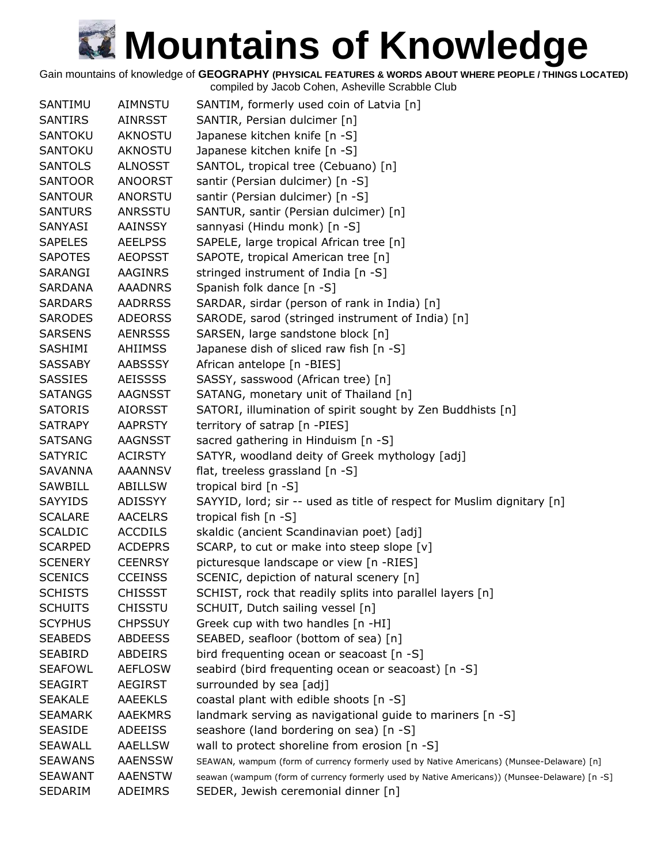Gain mountains of knowledge of **GEOGRAPHY (PHYSICAL FEATURES & WORDS ABOUT WHERE PEOPLE / THINGS LOCATED)**

| SANTIMU        | <b>AIMNSTU</b> | SANTIM, formerly used coin of Latvia [n]                                                      |
|----------------|----------------|-----------------------------------------------------------------------------------------------|
| <b>SANTIRS</b> | AINRSST        | SANTIR, Persian dulcimer [n]                                                                  |
| <b>SANTOKU</b> | <b>AKNOSTU</b> | Japanese kitchen knife [n -S]                                                                 |
| <b>SANTOKU</b> | <b>AKNOSTU</b> | Japanese kitchen knife [n -S]                                                                 |
| <b>SANTOLS</b> | ALNOSST        | SANTOL, tropical tree (Cebuano) [n]                                                           |
| <b>SANTOOR</b> | <b>ANOORST</b> | santir (Persian dulcimer) [n -S]                                                              |
| <b>SANTOUR</b> | <b>ANORSTU</b> | santir (Persian dulcimer) [n -S]                                                              |
| <b>SANTURS</b> | <b>ANRSSTU</b> | SANTUR, santir (Persian dulcimer) [n]                                                         |
| SANYASI        | AAINSSY        | sannyasi (Hindu monk) [n -S]                                                                  |
| <b>SAPELES</b> | <b>AEELPSS</b> | SAPELE, large tropical African tree [n]                                                       |
| <b>SAPOTES</b> | <b>AEOPSST</b> | SAPOTE, tropical American tree [n]                                                            |
| SARANGI        | <b>AAGINRS</b> | stringed instrument of India [n -S]                                                           |
| <b>SARDANA</b> | <b>AAADNRS</b> | Spanish folk dance [n -S]                                                                     |
| <b>SARDARS</b> | <b>AADRRSS</b> | SARDAR, sirdar (person of rank in India) [n]                                                  |
| <b>SARODES</b> | <b>ADEORSS</b> | SARODE, sarod (stringed instrument of India) [n]                                              |
| <b>SARSENS</b> | <b>AENRSSS</b> | SARSEN, large sandstone block [n]                                                             |
| <b>SASHIMI</b> | <b>AHIIMSS</b> | Japanese dish of sliced raw fish [n -S]                                                       |
| <b>SASSABY</b> | <b>AABSSSY</b> | African antelope [n -BIES]                                                                    |
| <b>SASSIES</b> | <b>AEISSSS</b> | SASSY, sasswood (African tree) [n]                                                            |
| <b>SATANGS</b> | AAGNSST        | SATANG, monetary unit of Thailand [n]                                                         |
| <b>SATORIS</b> | <b>AIORSST</b> | SATORI, illumination of spirit sought by Zen Buddhists [n]                                    |
| <b>SATRAPY</b> | <b>AAPRSTY</b> | territory of satrap [n -PIES]                                                                 |
| <b>SATSANG</b> | AAGNSST        | sacred gathering in Hinduism [n -S]                                                           |
| <b>SATYRIC</b> | <b>ACIRSTY</b> | SATYR, woodland deity of Greek mythology [adj]                                                |
| SAVANNA        | AAANNSV        | flat, treeless grassland [n -S]                                                               |
| SAWBILL        | <b>ABILLSW</b> | tropical bird [n -S]                                                                          |
| <b>SAYYIDS</b> | ADISSYY        | SAYYID, lord; sir -- used as title of respect for Muslim dignitary [n]                        |
| <b>SCALARE</b> | <b>AACELRS</b> | tropical fish $[n -S]$                                                                        |
| <b>SCALDIC</b> | <b>ACCDILS</b> | skaldic (ancient Scandinavian poet) [adj]                                                     |
| <b>SCARPED</b> | <b>ACDEPRS</b> | SCARP, to cut or make into steep slope [v]                                                    |
| <b>SCENERY</b> | <b>CEENRSY</b> | picturesque landscape or view [n -RIES]                                                       |
| <b>SCENICS</b> | <b>CCEINSS</b> | SCENIC, depiction of natural scenery [n]                                                      |
| <b>SCHISTS</b> | <b>CHISSST</b> | SCHIST, rock that readily splits into parallel layers [n]                                     |
| <b>SCHUITS</b> | <b>CHISSTU</b> | SCHUIT, Dutch sailing vessel [n]                                                              |
| <b>SCYPHUS</b> | <b>CHPSSUY</b> | Greek cup with two handles [n -HI]                                                            |
| <b>SEABEDS</b> | <b>ABDEESS</b> | SEABED, seafloor (bottom of sea) [n]                                                          |
| <b>SEABIRD</b> | ABDEIRS        | bird frequenting ocean or seacoast [n -S]                                                     |
| <b>SEAFOWL</b> | <b>AEFLOSW</b> | seabird (bird frequenting ocean or seacoast) [n -S]                                           |
| <b>SEAGIRT</b> | <b>AEGIRST</b> | surrounded by sea [adj]                                                                       |
| <b>SEAKALE</b> | <b>AAEEKLS</b> | coastal plant with edible shoots [n -S]                                                       |
| <b>SEAMARK</b> | <b>AAEKMRS</b> | landmark serving as navigational guide to mariners [n -S]                                     |
| <b>SEASIDE</b> | <b>ADEEISS</b> | seashore (land bordering on sea) [n -S]                                                       |
| <b>SEAWALL</b> | <b>AAELLSW</b> | wall to protect shoreline from erosion [n -S]                                                 |
| <b>SEAWANS</b> | <b>AAENSSW</b> | SEAWAN, wampum (form of currency formerly used by Native Americans) (Munsee-Delaware) [n]     |
| <b>SEAWANT</b> | <b>AAENSTW</b> | seawan (wampum (form of currency formerly used by Native Americans)) (Munsee-Delaware) [n -S] |
| SEDARIM        | ADEIMRS        | SEDER, Jewish ceremonial dinner [n]                                                           |
|                |                |                                                                                               |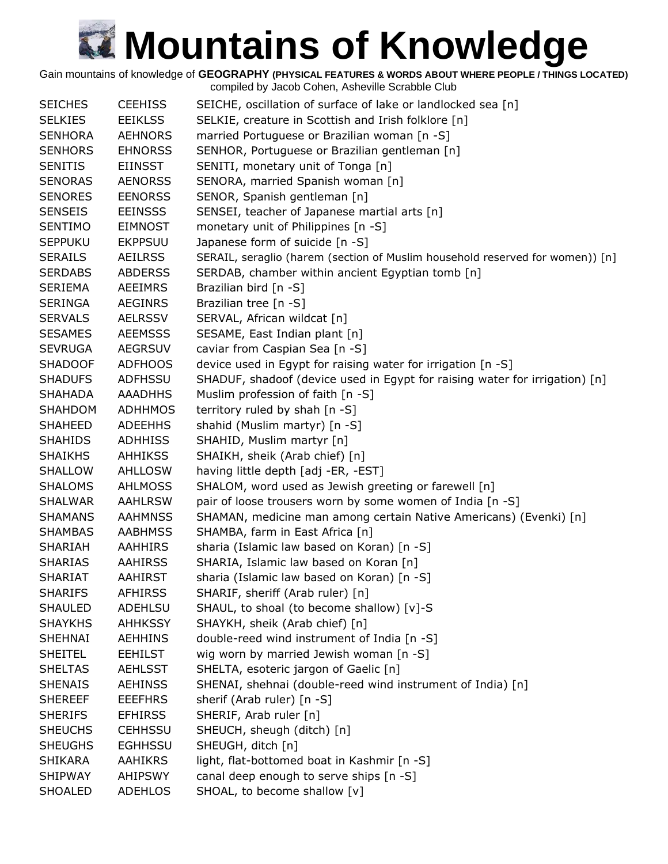Gain mountains of knowledge of **GEOGRAPHY (PHYSICAL FEATURES & WORDS ABOUT WHERE PEOPLE / THINGS LOCATED)**

| <b>SEICHES</b> | <b>CEEHISS</b> | SEICHE, oscillation of surface of lake or landlocked sea [n]                  |
|----------------|----------------|-------------------------------------------------------------------------------|
| <b>SELKIES</b> | <b>EEIKLSS</b> | SELKIE, creature in Scottish and Irish folklore [n]                           |
| <b>SENHORA</b> | <b>AEHNORS</b> | married Portuguese or Brazilian woman [n -S]                                  |
| <b>SENHORS</b> | <b>EHNORSS</b> | SENHOR, Portuguese or Brazilian gentleman [n]                                 |
| <b>SENITIS</b> | EIINSST        | SENITI, monetary unit of Tonga [n]                                            |
| <b>SENORAS</b> | <b>AENORSS</b> | SENORA, married Spanish woman [n]                                             |
| <b>SENORES</b> | <b>EENORSS</b> | SENOR, Spanish gentleman [n]                                                  |
| <b>SENSEIS</b> | <b>EEINSSS</b> | SENSEI, teacher of Japanese martial arts [n]                                  |
| <b>SENTIMO</b> | <b>EIMNOST</b> | monetary unit of Philippines [n -S]                                           |
| <b>SEPPUKU</b> | <b>EKPPSUU</b> | Japanese form of suicide [n -S]                                               |
| <b>SERAILS</b> | <b>AEILRSS</b> | SERAIL, seraglio (harem (section of Muslim household reserved for women)) [n] |
| <b>SERDABS</b> | <b>ABDERSS</b> | SERDAB, chamber within ancient Egyptian tomb [n]                              |
| <b>SERIEMA</b> | <b>AEEIMRS</b> | Brazilian bird [n -S]                                                         |
| <b>SERINGA</b> | <b>AEGINRS</b> | Brazilian tree [n -S]                                                         |
| <b>SERVALS</b> | <b>AELRSSV</b> | SERVAL, African wildcat [n]                                                   |
| <b>SESAMES</b> | <b>AEEMSSS</b> | SESAME, East Indian plant [n]                                                 |
| <b>SEVRUGA</b> | <b>AEGRSUV</b> | caviar from Caspian Sea [n -S]                                                |
| <b>SHADOOF</b> | <b>ADFHOOS</b> | device used in Egypt for raising water for irrigation [n -S]                  |
| <b>SHADUFS</b> | ADFHSSU        | SHADUF, shadoof (device used in Egypt for raising water for irrigation) [n]   |
| <b>SHAHADA</b> | <b>AAADHHS</b> | Muslim profession of faith [n -S]                                             |
| <b>SHAHDOM</b> | <b>ADHHMOS</b> | territory ruled by shah [n -S]                                                |
|                |                |                                                                               |
| <b>SHAHEED</b> | <b>ADEEHHS</b> | shahid (Muslim martyr) [n -S]                                                 |
| <b>SHAHIDS</b> | <b>ADHHISS</b> | SHAHID, Muslim martyr [n]                                                     |
| <b>SHAIKHS</b> | <b>AHHIKSS</b> | SHAIKH, sheik (Arab chief) [n]                                                |
| <b>SHALLOW</b> | <b>AHLLOSW</b> | having little depth [adj -ER, -EST]                                           |
| <b>SHALOMS</b> | AHLMOSS        | SHALOM, word used as Jewish greeting or farewell [n]                          |
| <b>SHALWAR</b> | <b>AAHLRSW</b> | pair of loose trousers worn by some women of India [n -S]                     |
| <b>SHAMANS</b> | <b>AAHMNSS</b> | SHAMAN, medicine man among certain Native Americans) (Evenki) [n]             |
| <b>SHAMBAS</b> | <b>AABHMSS</b> | SHAMBA, farm in East Africa [n]                                               |
| <b>SHARIAH</b> | <b>AAHHIRS</b> | sharia (Islamic law based on Koran) [n -S]                                    |
| <b>SHARIAS</b> | <b>AAHIRSS</b> | SHARIA, Islamic law based on Koran [n]                                        |
| <b>SHARIAT</b> | <b>AAHIRST</b> | sharia (Islamic law based on Koran) [n -S]                                    |
| <b>SHARIFS</b> | <b>AFHIRSS</b> | SHARIF, sheriff (Arab ruler) [n]                                              |
| <b>SHAULED</b> | ADEHLSU        | SHAUL, to shoal (to become shallow) [v]-S                                     |
| <b>SHAYKHS</b> | <b>AHHKSSY</b> | SHAYKH, sheik (Arab chief) [n]                                                |
| <b>SHEHNAI</b> | <b>AEHHINS</b> | double-reed wind instrument of India [n -S]                                   |
| <b>SHEITEL</b> | <b>EEHILST</b> | wig worn by married Jewish woman [n -S]                                       |
| <b>SHELTAS</b> | <b>AEHLSST</b> | SHELTA, esoteric jargon of Gaelic [n]                                         |
| <b>SHENAIS</b> | <b>AEHINSS</b> | SHENAI, shehnai (double-reed wind instrument of India) [n]                    |
| <b>SHEREEF</b> | <b>EEEFHRS</b> | sherif (Arab ruler) [n -S]                                                    |
| <b>SHERIFS</b> | <b>EFHIRSS</b> | SHERIF, Arab ruler [n]                                                        |
| <b>SHEUCHS</b> | <b>CEHHSSU</b> | SHEUCH, sheugh (ditch) [n]                                                    |
| <b>SHEUGHS</b> | <b>EGHHSSU</b> | SHEUGH, ditch [n]                                                             |
| <b>SHIKARA</b> | AAHIKRS        | light, flat-bottomed boat in Kashmir [n -S]                                   |
| <b>SHIPWAY</b> | <b>AHIPSWY</b> | canal deep enough to serve ships [n -S]                                       |
| <b>SHOALED</b> | <b>ADEHLOS</b> | SHOAL, to become shallow [v]                                                  |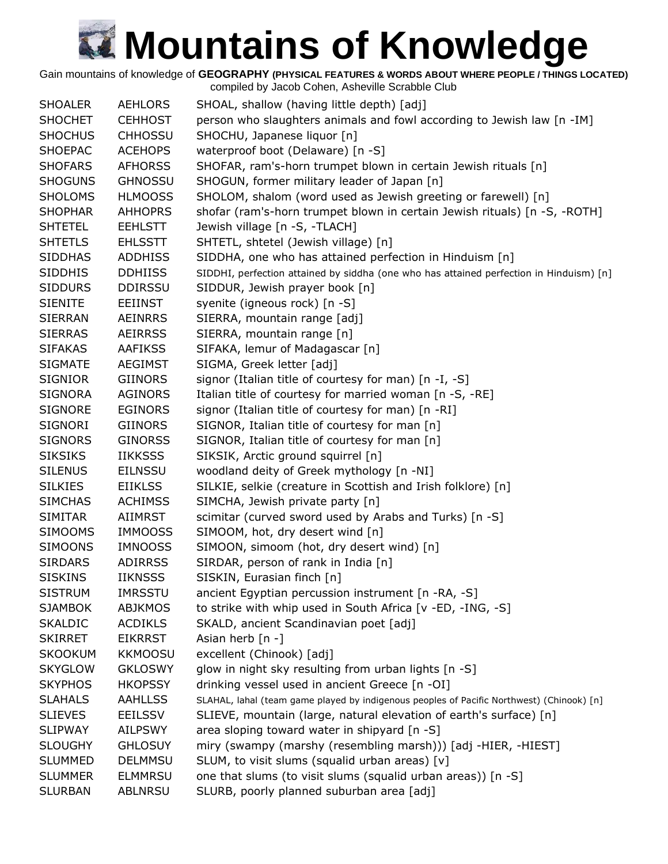Gain mountains of knowledge of **GEOGRAPHY (PHYSICAL FEATURES & WORDS ABOUT WHERE PEOPLE / THINGS LOCATED)**

| <b>SHOALER</b> | <b>AEHLORS</b> | SHOAL, shallow (having little depth) [adj]                                                |
|----------------|----------------|-------------------------------------------------------------------------------------------|
| <b>SHOCHET</b> | <b>CEHHOST</b> | person who slaughters animals and fowl according to Jewish law [n -IM]                    |
| <b>SHOCHUS</b> | <b>CHHOSSU</b> | SHOCHU, Japanese liquor [n]                                                               |
| <b>SHOEPAC</b> | <b>ACEHOPS</b> | waterproof boot (Delaware) [n -S]                                                         |
| <b>SHOFARS</b> | <b>AFHORSS</b> | SHOFAR, ram's-horn trumpet blown in certain Jewish rituals [n]                            |
| <b>SHOGUNS</b> | <b>GHNOSSU</b> | SHOGUN, former military leader of Japan [n]                                               |
| <b>SHOLOMS</b> | <b>HLMOOSS</b> | SHOLOM, shalom (word used as Jewish greeting or farewell) [n]                             |
| <b>SHOPHAR</b> | <b>AHHOPRS</b> | shofar (ram's-horn trumpet blown in certain Jewish rituals) [n -S, -ROTH]                 |
| <b>SHTETEL</b> | <b>EEHLSTT</b> | Jewish village [n -S, -TLACH]                                                             |
| <b>SHTETLS</b> | <b>EHLSSTT</b> | SHTETL, shtetel (Jewish village) [n]                                                      |
| <b>SIDDHAS</b> | <b>ADDHISS</b> | SIDDHA, one who has attained perfection in Hinduism [n]                                   |
| <b>SIDDHIS</b> | <b>DDHIISS</b> | SIDDHI, perfection attained by siddha (one who has attained perfection in Hinduism) [n]   |
| <b>SIDDURS</b> | <b>DDIRSSU</b> | SIDDUR, Jewish prayer book [n]                                                            |
| <b>SIENITE</b> | <b>EEIINST</b> | syenite (igneous rock) [n -S]                                                             |
| <b>SIERRAN</b> | <b>AEINRRS</b> | SIERRA, mountain range [adj]                                                              |
| <b>SIERRAS</b> | <b>AEIRRSS</b> | SIERRA, mountain range [n]                                                                |
| <b>SIFAKAS</b> | <b>AAFIKSS</b> | SIFAKA, lemur of Madagascar [n]                                                           |
| <b>SIGMATE</b> | <b>AEGIMST</b> | SIGMA, Greek letter [adj]                                                                 |
| <b>SIGNIOR</b> | <b>GIINORS</b> | signor (Italian title of courtesy for man) [n -I, -S]                                     |
| <b>SIGNORA</b> | <b>AGINORS</b> | Italian title of courtesy for married woman [n -S, -RE]                                   |
| <b>SIGNORE</b> | <b>EGINORS</b> | signor (Italian title of courtesy for man) [n -RI]                                        |
| SIGNORI        | <b>GIINORS</b> | SIGNOR, Italian title of courtesy for man [n]                                             |
| <b>SIGNORS</b> | <b>GINORSS</b> | SIGNOR, Italian title of courtesy for man [n]                                             |
| <b>SIKSIKS</b> | <b>IIKKSSS</b> | SIKSIK, Arctic ground squirrel [n]                                                        |
| <b>SILENUS</b> | <b>EILNSSU</b> | woodland deity of Greek mythology [n -NI]                                                 |
| <b>SILKIES</b> | <b>EIIKLSS</b> | SILKIE, selkie (creature in Scottish and Irish folklore) [n]                              |
| <b>SIMCHAS</b> | <b>ACHIMSS</b> | SIMCHA, Jewish private party [n]                                                          |
| <b>SIMITAR</b> | <b>AIIMRST</b> | scimitar (curved sword used by Arabs and Turks) [n -S]                                    |
| <b>SIMOOMS</b> | <b>IMMOOSS</b> | SIMOOM, hot, dry desert wind [n]                                                          |
| <b>SIMOONS</b> | <b>IMNOOSS</b> | SIMOON, simoom (hot, dry desert wind) [n]                                                 |
| <b>SIRDARS</b> | <b>ADIRRSS</b> | SIRDAR, person of rank in India [n]                                                       |
| <b>SISKINS</b> | <b>IIKNSSS</b> | SISKIN, Eurasian finch [n]                                                                |
| <b>SISTRUM</b> | <b>IMRSSTU</b> | ancient Egyptian percussion instrument [n -RA, -S]                                        |
| <b>SJAMBOK</b> | <b>ABJKMOS</b> | to strike with whip used in South Africa [v -ED, -ING, -S]                                |
| <b>SKALDIC</b> | <b>ACDIKLS</b> | SKALD, ancient Scandinavian poet [adj]                                                    |
| <b>SKIRRET</b> | <b>EIKRRST</b> | Asian herb [n -]                                                                          |
| <b>SKOOKUM</b> | <b>KKMOOSU</b> | excellent (Chinook) [adj]                                                                 |
| <b>SKYGLOW</b> | <b>GKLOSWY</b> | glow in night sky resulting from urban lights [n -S]                                      |
| <b>SKYPHOS</b> | <b>HKOPSSY</b> | drinking vessel used in ancient Greece [n -OI]                                            |
| <b>SLAHALS</b> | <b>AAHLLSS</b> | SLAHAL, lahal (team game played by indigenous peoples of Pacific Northwest) (Chinook) [n] |
| <b>SLIEVES</b> | <b>EEILSSV</b> | SLIEVE, mountain (large, natural elevation of earth's surface) [n]                        |
| <b>SLIPWAY</b> | <b>AILPSWY</b> | area sloping toward water in shipyard [n -S]                                              |
| <b>SLOUGHY</b> | <b>GHLOSUY</b> | miry (swampy (marshy (resembling marsh))) [adj -HIER, -HIEST]                             |
| <b>SLUMMED</b> | <b>DELMMSU</b> | SLUM, to visit slums (squalid urban areas) [v]                                            |
| <b>SLUMMER</b> | <b>ELMMRSU</b> | one that slums (to visit slums (squalid urban areas)) [n -S]                              |
| <b>SLURBAN</b> | ABLNRSU        | SLURB, poorly planned suburban area [adj]                                                 |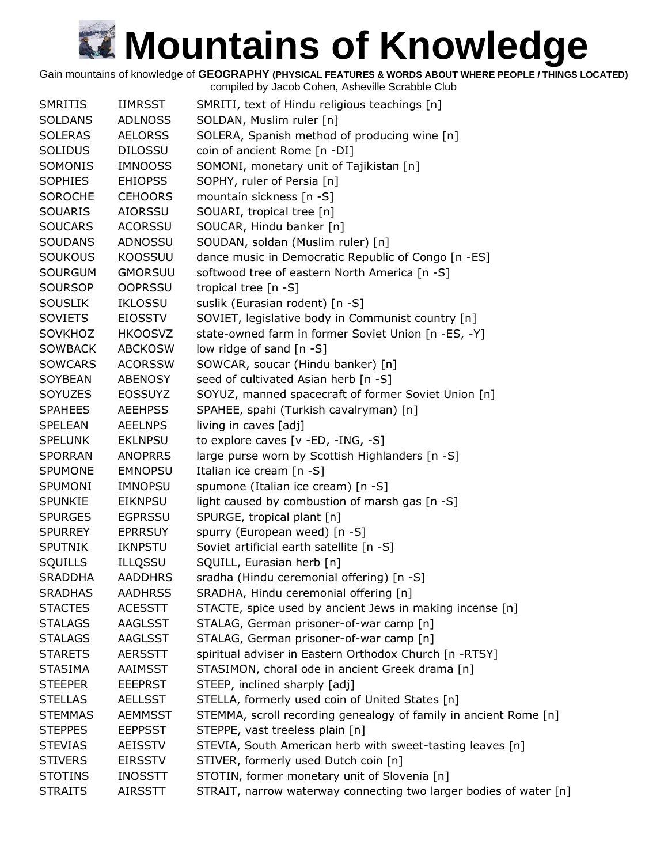Gain mountains of knowledge of **GEOGRAPHY (PHYSICAL FEATURES & WORDS ABOUT WHERE PEOPLE / THINGS LOCATED)**

| <b>SMRITIS</b> | <b>IIMRSST</b> | SMRITI, text of Hindu religious teachings [n]                     |
|----------------|----------------|-------------------------------------------------------------------|
| <b>SOLDANS</b> | <b>ADLNOSS</b> | SOLDAN, Muslim ruler [n]                                          |
| <b>SOLERAS</b> | <b>AELORSS</b> | SOLERA, Spanish method of producing wine [n]                      |
| <b>SOLIDUS</b> | <b>DILOSSU</b> | coin of ancient Rome [n -DI]                                      |
| SOMONIS        | <b>IMNOOSS</b> | SOMONI, monetary unit of Tajikistan [n]                           |
| <b>SOPHIES</b> | <b>EHIOPSS</b> | SOPHY, ruler of Persia [n]                                        |
| <b>SOROCHE</b> | <b>CEHOORS</b> | mountain sickness [n -S]                                          |
| <b>SOUARIS</b> | AIORSSU        | SOUARI, tropical tree [n]                                         |
| <b>SOUCARS</b> | <b>ACORSSU</b> | SOUCAR, Hindu banker [n]                                          |
| <b>SOUDANS</b> | ADNOSSU        | SOUDAN, soldan (Muslim ruler) [n]                                 |
| <b>SOUKOUS</b> | KOOSSUU        | dance music in Democratic Republic of Congo [n -ES]               |
| <b>SOURGUM</b> | <b>GMORSUU</b> | softwood tree of eastern North America [n -S]                     |
| <b>SOURSOP</b> | <b>OOPRSSU</b> | tropical tree $[n - S]$                                           |
| <b>SOUSLIK</b> | <b>IKLOSSU</b> | suslik (Eurasian rodent) [n -S]                                   |
| <b>SOVIETS</b> | <b>EIOSSTV</b> | SOVIET, legislative body in Communist country [n]                 |
| SOVKHOZ        | <b>HKOOSVZ</b> | state-owned farm in former Soviet Union [n -ES, -Y]               |
| <b>SOWBACK</b> | <b>ABCKOSW</b> | low ridge of sand [n -S]                                          |
| <b>SOWCARS</b> | <b>ACORSSW</b> | SOWCAR, soucar (Hindu banker) [n]                                 |
| <b>SOYBEAN</b> | <b>ABENOSY</b> | seed of cultivated Asian herb [n -S]                              |
| <b>SOYUZES</b> | <b>EOSSUYZ</b> | SOYUZ, manned spacecraft of former Soviet Union [n]               |
| <b>SPAHEES</b> | <b>AEEHPSS</b> | SPAHEE, spahi (Turkish cavalryman) [n]                            |
| <b>SPELEAN</b> | <b>AEELNPS</b> | living in caves [adj]                                             |
| <b>SPELUNK</b> | <b>EKLNPSU</b> | to explore caves [v -ED, -ING, -S]                                |
| <b>SPORRAN</b> | <b>ANOPRRS</b> | large purse worn by Scottish Highlanders [n -S]                   |
| <b>SPUMONE</b> | <b>EMNOPSU</b> | Italian ice cream [n -S]                                          |
| <b>SPUMONI</b> | IMNOPSU        | spumone (Italian ice cream) [n -S]                                |
| <b>SPUNKIE</b> | <b>EIKNPSU</b> | light caused by combustion of marsh gas [n -S]                    |
| <b>SPURGES</b> | <b>EGPRSSU</b> | SPURGE, tropical plant [n]                                        |
| <b>SPURREY</b> | <b>EPRRSUY</b> | spurry (European weed) [n -S]                                     |
| <b>SPUTNIK</b> | <b>IKNPSTU</b> | Soviet artificial earth satellite [n -S]                          |
| SQUILLS        | ILLQSSU        | SQUILL, Eurasian herb [n]                                         |
| <b>SRADDHA</b> | <b>AADDHRS</b> | sradha (Hindu ceremonial offering) [n -S]                         |
| <b>SRADHAS</b> | <b>AADHRSS</b> | SRADHA, Hindu ceremonial offering [n]                             |
| <b>STACTES</b> | <b>ACESSTT</b> | STACTE, spice used by ancient Jews in making incense [n]          |
| <b>STALAGS</b> | AAGLSST        | STALAG, German prisoner-of-war camp [n]                           |
| <b>STALAGS</b> | AAGLSST        | STALAG, German prisoner-of-war camp [n]                           |
| <b>STARETS</b> | <b>AERSSTT</b> | spiritual adviser in Eastern Orthodox Church [n -RTSY]            |
| <b>STASIMA</b> | <b>AAIMSST</b> | STASIMON, choral ode in ancient Greek drama [n]                   |
| <b>STEEPER</b> | <b>EEEPRST</b> | STEEP, inclined sharply [adj]                                     |
| <b>STELLAS</b> | <b>AELLSST</b> | STELLA, formerly used coin of United States [n]                   |
| <b>STEMMAS</b> | <b>AEMMSST</b> | STEMMA, scroll recording genealogy of family in ancient Rome [n]  |
| <b>STEPPES</b> | <b>EEPPSST</b> | STEPPE, vast treeless plain [n]                                   |
| <b>STEVIAS</b> | AEISSTV        | STEVIA, South American herb with sweet-tasting leaves [n]         |
| <b>STIVERS</b> | <b>EIRSSTV</b> | STIVER, formerly used Dutch coin [n]                              |
| <b>STOTINS</b> | <b>INOSSTT</b> | STOTIN, former monetary unit of Slovenia [n]                      |
| <b>STRAITS</b> | <b>AIRSSTT</b> | STRAIT, narrow waterway connecting two larger bodies of water [n] |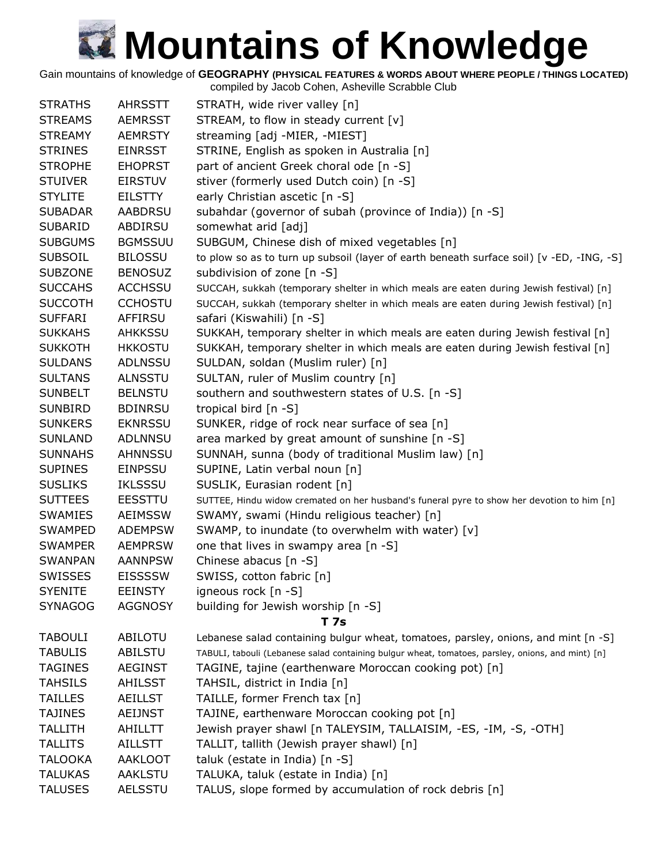Gain mountains of knowledge of **GEOGRAPHY (PHYSICAL FEATURES & WORDS ABOUT WHERE PEOPLE / THINGS LOCATED)**

| <b>STRATHS</b> | <b>AHRSSTT</b> | STRATH, wide river valley [n]                                                                     |
|----------------|----------------|---------------------------------------------------------------------------------------------------|
| <b>STREAMS</b> | <b>AEMRSST</b> | STREAM, to flow in steady current [v]                                                             |
| <b>STREAMY</b> | <b>AEMRSTY</b> | streaming [adj -MIER, -MIEST]                                                                     |
| <b>STRINES</b> | <b>EINRSST</b> | STRINE, English as spoken in Australia [n]                                                        |
| <b>STROPHE</b> | <b>EHOPRST</b> | part of ancient Greek choral ode [n -S]                                                           |
| <b>STUIVER</b> | <b>EIRSTUV</b> | stiver (formerly used Dutch coin) [n -S]                                                          |
| <b>STYLITE</b> | <b>EILSTTY</b> | early Christian ascetic [n -S]                                                                    |
| <b>SUBADAR</b> | <b>AABDRSU</b> | subahdar (governor of subah (province of India)) [n -S]                                           |
| <b>SUBARID</b> | ABDIRSU        | somewhat arid [adj]                                                                               |
| <b>SUBGUMS</b> | <b>BGMSSUU</b> | SUBGUM, Chinese dish of mixed vegetables [n]                                                      |
| <b>SUBSOIL</b> | <b>BILOSSU</b> | to plow so as to turn up subsoil (layer of earth beneath surface soil) [v -ED, -ING, -S]          |
| <b>SUBZONE</b> | <b>BENOSUZ</b> | subdivision of zone $[n -S]$                                                                      |
| <b>SUCCAHS</b> | <b>ACCHSSU</b> | SUCCAH, sukkah (temporary shelter in which meals are eaten during Jewish festival) [n]            |
| <b>SUCCOTH</b> | <b>CCHOSTU</b> | SUCCAH, sukkah (temporary shelter in which meals are eaten during Jewish festival) [n]            |
| <b>SUFFARI</b> | <b>AFFIRSU</b> | safari (Kiswahili) [n -S]                                                                         |
| <b>SUKKAHS</b> | <b>AHKKSSU</b> | SUKKAH, temporary shelter in which meals are eaten during Jewish festival [n]                     |
| <b>SUKKOTH</b> | <b>HKKOSTU</b> | SUKKAH, temporary shelter in which meals are eaten during Jewish festival [n]                     |
| <b>SULDANS</b> | ADLNSSU        | SULDAN, soldan (Muslim ruler) [n]                                                                 |
| <b>SULTANS</b> | <b>ALNSSTU</b> | SULTAN, ruler of Muslim country [n]                                                               |
| <b>SUNBELT</b> | <b>BELNSTU</b> | southern and southwestern states of U.S. [n -S]                                                   |
| <b>SUNBIRD</b> | <b>BDINRSU</b> | tropical bird [n -S]                                                                              |
| <b>SUNKERS</b> | <b>EKNRSSU</b> | SUNKER, ridge of rock near surface of sea [n]                                                     |
| <b>SUNLAND</b> | ADLNNSU        | area marked by great amount of sunshine [n -S]                                                    |
| <b>SUNNAHS</b> | <b>AHNNSSU</b> | SUNNAH, sunna (body of traditional Muslim law) [n]                                                |
| <b>SUPINES</b> | <b>EINPSSU</b> | SUPINE, Latin verbal noun [n]                                                                     |
| <b>SUSLIKS</b> | <b>IKLSSSU</b> | SUSLIK, Eurasian rodent [n]                                                                       |
| <b>SUTTEES</b> | <b>EESSTTU</b> | SUTTEE, Hindu widow cremated on her husband's funeral pyre to show her devotion to him [n]        |
| <b>SWAMIES</b> | <b>AEIMSSW</b> | SWAMY, swami (Hindu religious teacher) [n]                                                        |
| <b>SWAMPED</b> | <b>ADEMPSW</b> | SWAMP, to inundate (to overwhelm with water) [v]                                                  |
| <b>SWAMPER</b> | <b>AEMPRSW</b> | one that lives in swampy area [n -S]                                                              |
| <b>SWANPAN</b> | <b>AANNPSW</b> | Chinese abacus [n -S]                                                                             |
| <b>SWISSES</b> | <b>EISSSSW</b> | SWISS, cotton fabric [n]                                                                          |
| <b>SYENITE</b> | <b>EEINSTY</b> | igneous rock [n -S]                                                                               |
| <b>SYNAGOG</b> | <b>AGGNOSY</b> | building for Jewish worship [n -S]                                                                |
|                |                | T 7s                                                                                              |
| <b>TABOULI</b> | <b>ABILOTU</b> | Lebanese salad containing bulgur wheat, tomatoes, parsley, onions, and mint [n -S]                |
| <b>TABULIS</b> | ABILSTU        | TABULI, tabouli (Lebanese salad containing bulgur wheat, tomatoes, parsley, onions, and mint) [n] |
| <b>TAGINES</b> | <b>AEGINST</b> | TAGINE, tajine (earthenware Moroccan cooking pot) [n]                                             |
| <b>TAHSILS</b> | <b>AHILSST</b> | TAHSIL, district in India [n]                                                                     |
| <b>TAILLES</b> | <b>AEILLST</b> | TAILLE, former French tax [n]                                                                     |
| <b>TAJINES</b> | AEIJNST        | TAJINE, earthenware Moroccan cooking pot [n]                                                      |
| <b>TALLITH</b> | AHILLTT        | Jewish prayer shawl [n TALEYSIM, TALLAISIM, -ES, -IM, -S, -OTH]                                   |
| <b>TALLITS</b> | <b>AILLSTT</b> | TALLIT, tallith (Jewish prayer shawl) [n]                                                         |
| <b>TALOOKA</b> | <b>AAKLOOT</b> | taluk (estate in India) [n -S]                                                                    |
| <b>TALUKAS</b> | AAKLSTU        | TALUKA, taluk (estate in India) [n]                                                               |
| <b>TALUSES</b> | AELSSTU        | TALUS, slope formed by accumulation of rock debris [n]                                            |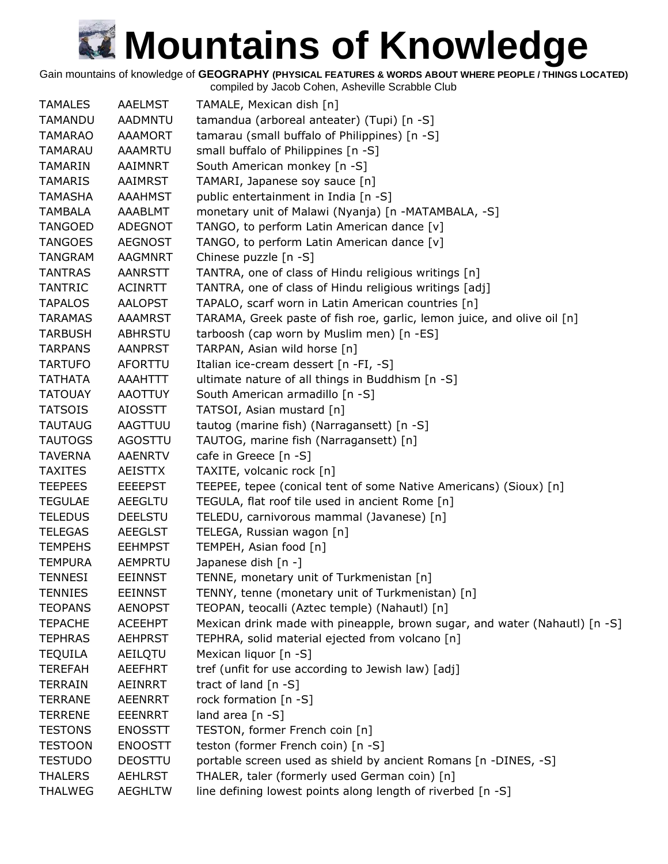Gain mountains of knowledge of **GEOGRAPHY (PHYSICAL FEATURES & WORDS ABOUT WHERE PEOPLE / THINGS LOCATED)**

| <b>TAMALES</b> | <b>AAELMST</b> | TAMALE, Mexican dish [n]                                                   |
|----------------|----------------|----------------------------------------------------------------------------|
| <b>TAMANDU</b> | <b>AADMNTU</b> | tamandua (arboreal anteater) (Tupi) [n -S]                                 |
| <b>TAMARAO</b> | <b>AAAMORT</b> | tamarau (small buffalo of Philippines) [n -S]                              |
| <b>TAMARAU</b> | <b>AAAMRTU</b> | small buffalo of Philippines [n -S]                                        |
| TAMARIN        | AAIMNRT        | South American monkey [n -S]                                               |
| <b>TAMARIS</b> | <b>AAIMRST</b> | TAMARI, Japanese soy sauce [n]                                             |
| <b>TAMASHA</b> | <b>AAAHMST</b> | public entertainment in India [n -S]                                       |
| <b>TAMBALA</b> | AAABLMT        | monetary unit of Malawi (Nyanja) [n -MATAMBALA, -S]                        |
| <b>TANGOED</b> | ADEGNOT        | TANGO, to perform Latin American dance [v]                                 |
| <b>TANGOES</b> | <b>AEGNOST</b> | TANGO, to perform Latin American dance [v]                                 |
| <b>TANGRAM</b> | <b>AAGMNRT</b> | Chinese puzzle [n -S]                                                      |
| <b>TANTRAS</b> | <b>AANRSTT</b> | TANTRA, one of class of Hindu religious writings [n]                       |
| <b>TANTRIC</b> | <b>ACINRTT</b> | TANTRA, one of class of Hindu religious writings [adj]                     |
| <b>TAPALOS</b> | <b>AALOPST</b> | TAPALO, scarf worn in Latin American countries [n]                         |
| <b>TARAMAS</b> | <b>AAAMRST</b> | TARAMA, Greek paste of fish roe, garlic, lemon juice, and olive oil [n]    |
| <b>TARBUSH</b> | <b>ABHRSTU</b> | tarboosh (cap worn by Muslim men) [n -ES]                                  |
| <b>TARPANS</b> | <b>AANPRST</b> | TARPAN, Asian wild horse [n]                                               |
| <b>TARTUFO</b> | AFORTTU        | Italian ice-cream dessert [n -FI, -S]                                      |
| <b>TATHATA</b> | AAAHTTT        | ultimate nature of all things in Buddhism [n -S]                           |
| <b>TATOUAY</b> | <b>AAOTTUY</b> | South American armadillo [n -S]                                            |
| <b>TATSOIS</b> | <b>AIOSSTT</b> | TATSOI, Asian mustard [n]                                                  |
| <b>TAUTAUG</b> | AAGTTUU        | tautog (marine fish) (Narragansett) [n -S]                                 |
| <b>TAUTOGS</b> | AGOSTTU        | TAUTOG, marine fish (Narragansett) [n]                                     |
| <b>TAVERNA</b> | <b>AAENRTV</b> | cafe in Greece [n -S]                                                      |
| <b>TAXITES</b> | <b>AEISTTX</b> | TAXITE, volcanic rock [n]                                                  |
| <b>TEEPEES</b> | <b>EEEEPST</b> | TEEPEE, tepee (conical tent of some Native Americans) (Sioux) [n]          |
| <b>TEGULAE</b> | AEEGLTU        | TEGULA, flat roof tile used in ancient Rome [n]                            |
| <b>TELEDUS</b> | <b>DEELSTU</b> | TELEDU, carnivorous mammal (Javanese) [n]                                  |
| <b>TELEGAS</b> | <b>AEEGLST</b> | TELEGA, Russian wagon [n]                                                  |
| <b>TEMPEHS</b> | <b>EEHMPST</b> | TEMPEH, Asian food [n]                                                     |
| <b>TEMPURA</b> | <b>AEMPRTU</b> | Japanese dish [n -]                                                        |
| <b>TENNESI</b> | <b>EEINNST</b> | TENNE, monetary unit of Turkmenistan [n]                                   |
| <b>TENNIES</b> | <b>EEINNST</b> | TENNY, tenne (monetary unit of Turkmenistan) [n]                           |
| <b>TEOPANS</b> | <b>AENOPST</b> | TEOPAN, teocalli (Aztec temple) (Nahautl) [n]                              |
| <b>TEPACHE</b> | <b>ACEEHPT</b> | Mexican drink made with pineapple, brown sugar, and water (Nahautl) [n -S] |
| <b>TEPHRAS</b> | <b>AEHPRST</b> | TEPHRA, solid material ejected from volcano [n]                            |
| <b>TEQUILA</b> | AEILQTU        | Mexican liquor [n -S]                                                      |
| <b>TEREFAH</b> | <b>AEEFHRT</b> | tref (unfit for use according to Jewish law) [adj]                         |
| <b>TERRAIN</b> | <b>AEINRRT</b> | tract of land $[n - S]$                                                    |
| <b>TERRANE</b> | <b>AEENRRT</b> | rock formation [n -S]                                                      |
| <b>TERRENE</b> | <b>EEENRRT</b> | land area $[n -S]$                                                         |
| <b>TESTONS</b> | <b>ENOSSTT</b> | TESTON, former French coin [n]                                             |
| <b>TESTOON</b> | <b>ENOOSTT</b> | teston (former French coin) [n -S]                                         |
| <b>TESTUDO</b> | <b>DEOSTTU</b> | portable screen used as shield by ancient Romans [n -DINES, -S]            |
| <b>THALERS</b> | <b>AEHLRST</b> | THALER, taler (formerly used German coin) [n]                              |
| <b>THALWEG</b> | <b>AEGHLTW</b> | line defining lowest points along length of riverbed [n -S]                |
|                |                |                                                                            |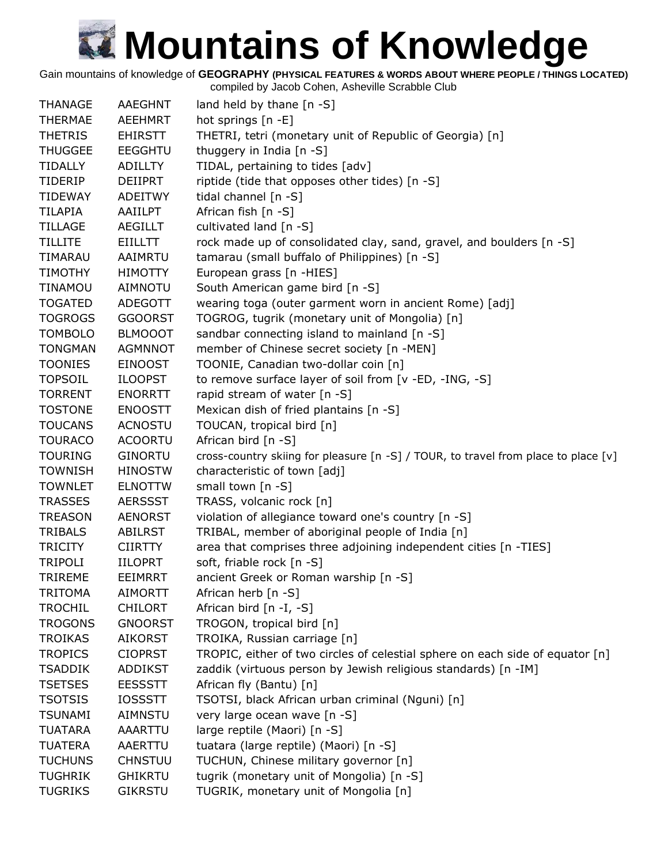Gain mountains of knowledge of **GEOGRAPHY (PHYSICAL FEATURES & WORDS ABOUT WHERE PEOPLE / THINGS LOCATED)**

| <b>THANAGE</b> | <b>AAEGHNT</b> | land held by thane $[n - S]$                                                       |
|----------------|----------------|------------------------------------------------------------------------------------|
| <b>THERMAE</b> | AEEHMRT        | hot springs [n -E]                                                                 |
| <b>THETRIS</b> | <b>EHIRSTT</b> | THETRI, tetri (monetary unit of Republic of Georgia) [n]                           |
| <b>THUGGEE</b> | <b>EEGGHTU</b> | thuggery in India [n -S]                                                           |
| <b>TIDALLY</b> | <b>ADILLTY</b> | TIDAL, pertaining to tides [adv]                                                   |
| <b>TIDERIP</b> | <b>DEIIPRT</b> | riptide (tide that opposes other tides) [n -S]                                     |
| <b>TIDEWAY</b> | ADEITWY        | tidal channel $[n -S]$                                                             |
| <b>TILAPIA</b> | AAIILPT        | African fish [n -S]                                                                |
| <b>TILLAGE</b> | AEGILLT        | cultivated land [n -S]                                                             |
| <b>TILLITE</b> | <b>EIILLTT</b> | rock made up of consolidated clay, sand, gravel, and boulders [n -S]               |
| TIMARAU        | AAIMRTU        | tamarau (small buffalo of Philippines) [n -S]                                      |
| <b>TIMOTHY</b> | <b>HIMOTTY</b> | European grass [n -HIES]                                                           |
| <b>TINAMOU</b> | <b>AIMNOTU</b> | South American game bird [n -S]                                                    |
| <b>TOGATED</b> | ADEGOTT        | wearing toga (outer garment worn in ancient Rome) [adj]                            |
| <b>TOGROGS</b> | <b>GGOORST</b> | TOGROG, tugrik (monetary unit of Mongolia) [n]                                     |
| <b>TOMBOLO</b> | <b>BLMOOOT</b> | sandbar connecting island to mainland [n -S]                                       |
| <b>TONGMAN</b> | <b>AGMNNOT</b> | member of Chinese secret society [n -MEN]                                          |
| <b>TOONIES</b> | <b>EINOOST</b> | TOONIE, Canadian two-dollar coin [n]                                               |
| <b>TOPSOIL</b> | <b>ILOOPST</b> | to remove surface layer of soil from [v -ED, -ING, -S]                             |
| <b>TORRENT</b> | <b>ENORRTT</b> | rapid stream of water [n -S]                                                       |
| <b>TOSTONE</b> | <b>ENOOSTT</b> | Mexican dish of fried plantains [n -S]                                             |
| <b>TOUCANS</b> | <b>ACNOSTU</b> | TOUCAN, tropical bird [n]                                                          |
| <b>TOURACO</b> | <b>ACOORTU</b> | African bird $[n - S]$                                                             |
| <b>TOURING</b> | <b>GINORTU</b> | cross-country skiing for pleasure [n -S] / TOUR, to travel from place to place [v] |
| <b>TOWNISH</b> | <b>HINOSTW</b> | characteristic of town [adj]                                                       |
| <b>TOWNLET</b> | <b>ELNOTTW</b> | small town [n -S]                                                                  |
| <b>TRASSES</b> | <b>AERSSST</b> | TRASS, volcanic rock [n]                                                           |
| <b>TREASON</b> | <b>AENORST</b> | violation of allegiance toward one's country [n -S]                                |
| <b>TRIBALS</b> | ABILRST        | TRIBAL, member of aboriginal people of India [n]                                   |
| <b>TRICITY</b> | <b>CIIRTTY</b> | area that comprises three adjoining independent cities [n -TIES]                   |
| <b>TRIPOLI</b> | <b>IILOPRT</b> | soft, friable rock [n -S]                                                          |
| <b>TRIREME</b> | <b>EEIMRRT</b> | ancient Greek or Roman warship [n -S]                                              |
| TRITOMA        | <b>AIMORTT</b> | African herb $[n -S]$                                                              |
| <b>TROCHIL</b> | <b>CHILORT</b> | African bird [n -I, -S]                                                            |
| <b>TROGONS</b> | <b>GNOORST</b> | TROGON, tropical bird [n]                                                          |
| <b>TROIKAS</b> | <b>AIKORST</b> | TROIKA, Russian carriage [n]                                                       |
| <b>TROPICS</b> | <b>CIOPRST</b> | TROPIC, either of two circles of celestial sphere on each side of equator $[n]$    |
| <b>TSADDIK</b> | <b>ADDIKST</b> | zaddik (virtuous person by Jewish religious standards) [n -IM]                     |
| <b>TSETSES</b> | <b>EESSSTT</b> | African fly (Bantu) [n]                                                            |
| <b>TSOTSIS</b> | <b>IOSSSTT</b> | TSOTSI, black African urban criminal (Nguni) [n]                                   |
| <b>TSUNAMI</b> | AIMNSTU        | very large ocean wave [n -S]                                                       |
| <b>TUATARA</b> | AAARTTU        | large reptile (Maori) [n -S]                                                       |
| <b>TUATERA</b> | AAERTTU        | tuatara (large reptile) (Maori) [n -S]                                             |
| <b>TUCHUNS</b> | <b>CHNSTUU</b> | TUCHUN, Chinese military governor [n]                                              |
| <b>TUGHRIK</b> | <b>GHIKRTU</b> | tugrik (monetary unit of Mongolia) [n -S]                                          |
| <b>TUGRIKS</b> | <b>GIKRSTU</b> | TUGRIK, monetary unit of Mongolia [n]                                              |
|                |                |                                                                                    |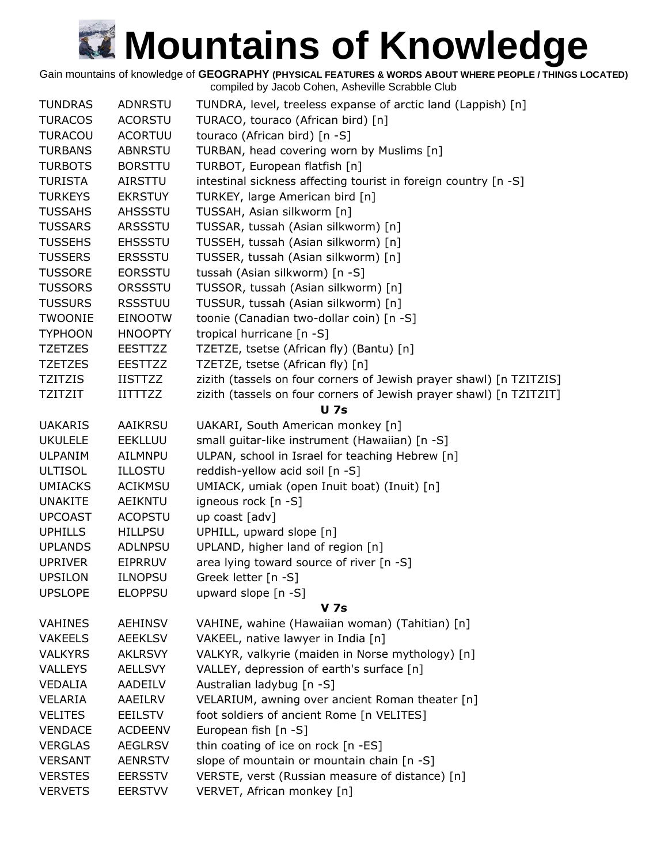Gain mountains of knowledge of **GEOGRAPHY (PHYSICAL FEATURES & WORDS ABOUT WHERE PEOPLE / THINGS LOCATED)**

| <b>TUNDRAS</b> | <b>ADNRSTU</b> | TUNDRA, level, treeless expanse of arctic land (Lappish) [n]        |
|----------------|----------------|---------------------------------------------------------------------|
| <b>TURACOS</b> | <b>ACORSTU</b> | TURACO, touraco (African bird) [n]                                  |
| <b>TURACOU</b> | <b>ACORTUU</b> | touraco (African bird) [n -S]                                       |
| <b>TURBANS</b> | <b>ABNRSTU</b> | TURBAN, head covering worn by Muslims [n]                           |
| <b>TURBOTS</b> | <b>BORSTTU</b> | TURBOT, European flatfish [n]                                       |
| <b>TURISTA</b> | <b>AIRSTTU</b> | intestinal sickness affecting tourist in foreign country [n -S]     |
| <b>TURKEYS</b> | <b>EKRSTUY</b> | TURKEY, large American bird [n]                                     |
| <b>TUSSAHS</b> | <b>AHSSSTU</b> | TUSSAH, Asian silkworm [n]                                          |
| <b>TUSSARS</b> | <b>ARSSSTU</b> | TUSSAR, tussah (Asian silkworm) [n]                                 |
| <b>TUSSEHS</b> | <b>EHSSSTU</b> | TUSSEH, tussah (Asian silkworm) [n]                                 |
| <b>TUSSERS</b> | <b>ERSSSTU</b> | TUSSER, tussah (Asian silkworm) [n]                                 |
| <b>TUSSORE</b> | <b>EORSSTU</b> | tussah (Asian silkworm) [n -S]                                      |
| <b>TUSSORS</b> | ORSSSTU        | TUSSOR, tussah (Asian silkworm) [n]                                 |
| <b>TUSSURS</b> | <b>RSSSTUU</b> | TUSSUR, tussah (Asian silkworm) [n]                                 |
| TWOONIE        | <b>EINOOTW</b> | toonie (Canadian two-dollar coin) [n -S]                            |
| <b>TYPHOON</b> | <b>HNOOPTY</b> | tropical hurricane [n -S]                                           |
| <b>TZETZES</b> | <b>EESTTZZ</b> | TZETZE, tsetse (African fly) (Bantu) [n]                            |
| <b>TZETZES</b> | <b>EESTTZZ</b> | TZETZE, tsetse (African fly) [n]                                    |
| TZITZIS        | <b>IISTTZZ</b> | zizith (tassels on four corners of Jewish prayer shawl) [n TZITZIS] |
| TZITZIT        | <b>IITTTZZ</b> | zizith (tassels on four corners of Jewish prayer shawl) [n TZITZIT] |
|                |                | <b>U 7s</b>                                                         |
| <b>UAKARIS</b> | <b>AAIKRSU</b> | UAKARI, South American monkey [n]                                   |
| <b>UKULELE</b> | <b>EEKLLUU</b> | small guitar-like instrument (Hawaiian) [n -S]                      |
| <b>ULPANIM</b> | AILMNPU        | ULPAN, school in Israel for teaching Hebrew [n]                     |
| <b>ULTISOL</b> | <b>ILLOSTU</b> | reddish-yellow acid soil [n -S]                                     |
| <b>UMIACKS</b> | <b>ACIKMSU</b> | UMIACK, umiak (open Inuit boat) (Inuit) [n]                         |
| <b>UNAKITE</b> | <b>AEIKNTU</b> | igneous rock [n -S]                                                 |
| <b>UPCOAST</b> | <b>ACOPSTU</b> | up coast [adv]                                                      |
| <b>UPHILLS</b> | <b>HILLPSU</b> | UPHILL, upward slope [n]                                            |
| <b>UPLANDS</b> | <b>ADLNPSU</b> | UPLAND, higher land of region [n]                                   |
| <b>UPRIVER</b> | <b>EIPRRUV</b> | area lying toward source of river [n -S]                            |
| <b>UPSILON</b> | <b>ILNOPSU</b> | Greek letter [n -S]                                                 |
| <b>UPSLOPE</b> | <b>ELOPPSU</b> | upward slope [n -S]                                                 |
|                |                | <b>V</b> 7s                                                         |
| <b>VAHINES</b> | <b>AEHINSV</b> | VAHINE, wahine (Hawaiian woman) (Tahitian) [n]                      |
| <b>VAKEELS</b> | <b>AEEKLSV</b> | VAKEEL, native lawyer in India [n]                                  |
| <b>VALKYRS</b> | <b>AKLRSVY</b> | VALKYR, valkyrie (maiden in Norse mythology) [n]                    |
| <b>VALLEYS</b> | <b>AELLSVY</b> | VALLEY, depression of earth's surface [n]                           |
| VEDALIA        | AADEILV        | Australian ladybug [n -S]                                           |
| VELARIA        | AAEILRV        | VELARIUM, awning over ancient Roman theater [n]                     |
| <b>VELITES</b> | EEILSTV        | foot soldiers of ancient Rome [n VELITES]                           |
| <b>VENDACE</b> | <b>ACDEENV</b> | European fish [n -S]                                                |
| <b>VERGLAS</b> | <b>AEGLRSV</b> | thin coating of ice on rock [n -ES]                                 |
| <b>VERSANT</b> | <b>AENRSTV</b> | slope of mountain or mountain chain [n -S]                          |
| <b>VERSTES</b> | <b>EERSSTV</b> | VERSTE, verst (Russian measure of distance) [n]                     |
| <b>VERVETS</b> | <b>EERSTVV</b> | VERVET, African monkey [n]                                          |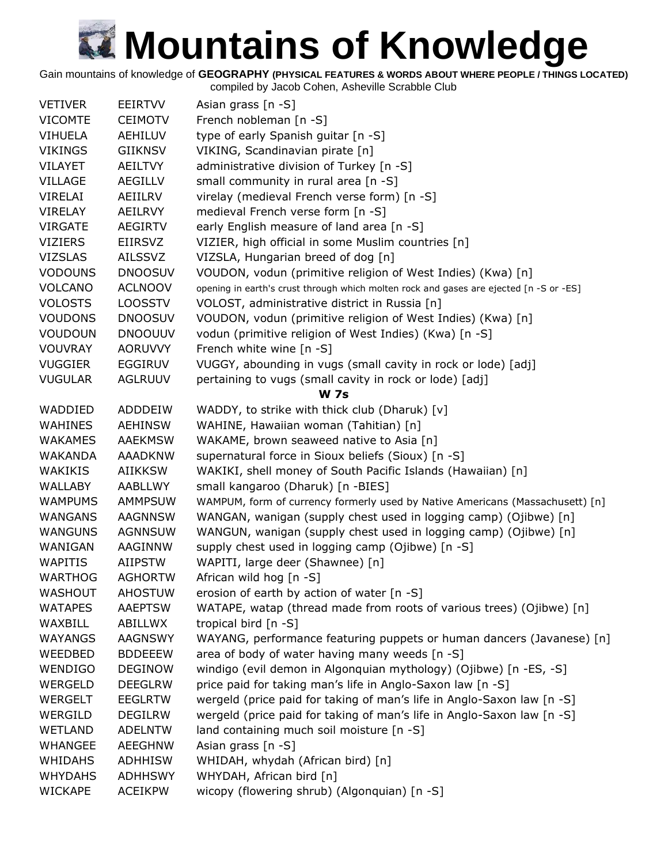Gain mountains of knowledge of **GEOGRAPHY (PHYSICAL FEATURES & WORDS ABOUT WHERE PEOPLE / THINGS LOCATED)**

| <b>VETIVER</b> | <b>EEIRTVV</b> | Asian grass [n -S]                                                                     |
|----------------|----------------|----------------------------------------------------------------------------------------|
| <b>VICOMTE</b> | <b>CEIMOTV</b> | French nobleman [n -S]                                                                 |
| <b>VIHUELA</b> | <b>AEHILUV</b> | type of early Spanish guitar [n -S]                                                    |
| <b>VIKINGS</b> | <b>GIIKNSV</b> | VIKING, Scandinavian pirate [n]                                                        |
| <b>VILAYET</b> | <b>AEILTVY</b> | administrative division of Turkey [n -S]                                               |
| <b>VILLAGE</b> | <b>AEGILLV</b> | small community in rural area [n -S]                                                   |
| VIRELAI        | AEIILRV        | virelay (medieval French verse form) [n -S]                                            |
| <b>VIRELAY</b> | AEILRVY        | medieval French verse form [n -S]                                                      |
| <b>VIRGATE</b> | <b>AEGIRTV</b> | early English measure of land area [n -S]                                              |
| <b>VIZIERS</b> | <b>EIIRSVZ</b> | VIZIER, high official in some Muslim countries [n]                                     |
| <b>VIZSLAS</b> | <b>AILSSVZ</b> | VIZSLA, Hungarian breed of dog [n]                                                     |
| <b>VODOUNS</b> | <b>DNOOSUV</b> | VOUDON, vodun (primitive religion of West Indies) (Kwa) [n]                            |
| <b>VOLCANO</b> | <b>ACLNOOV</b> | opening in earth's crust through which molten rock and gases are ejected [n -S or -ES] |
| <b>VOLOSTS</b> | <b>LOOSSTV</b> | VOLOST, administrative district in Russia [n]                                          |
| <b>VOUDONS</b> | <b>DNOOSUV</b> | VOUDON, vodun (primitive religion of West Indies) (Kwa) [n]                            |
| <b>VOUDOUN</b> | <b>DNOOUUV</b> | vodun (primitive religion of West Indies) (Kwa) [n -S]                                 |
| <b>VOUVRAY</b> | <b>AORUVVY</b> | French white wine [n -S]                                                               |
| <b>VUGGIER</b> | <b>EGGIRUV</b> | VUGGY, abounding in vugs (small cavity in rock or lode) [adj]                          |
| <b>VUGULAR</b> | <b>AGLRUUV</b> | pertaining to vugs (small cavity in rock or lode) [adj]                                |
|                |                | <b>W</b> 7s                                                                            |
| WADDIED        | ADDDEIW        | WADDY, to strike with thick club (Dharuk) [v]                                          |
| <b>WAHINES</b> | <b>AEHINSW</b> | WAHINE, Hawaiian woman (Tahitian) [n]                                                  |
| <b>WAKAMES</b> | <b>AAEKMSW</b> | WAKAME, brown seaweed native to Asia [n]                                               |
| <b>WAKANDA</b> | <b>AAADKNW</b> | supernatural force in Sioux beliefs (Sioux) [n -S]                                     |
| <b>WAKIKIS</b> | <b>AIIKKSW</b> | WAKIKI, shell money of South Pacific Islands (Hawaiian) [n]                            |
| <b>WALLABY</b> | AABLLWY        | small kangaroo (Dharuk) [n -BIES]                                                      |
| <b>WAMPUMS</b> | <b>AMMPSUW</b> | WAMPUM, form of currency formerly used by Native Americans (Massachusett) [n]          |
| <b>WANGANS</b> | <b>AAGNNSW</b> | WANGAN, wanigan (supply chest used in logging camp) (Ojibwe) [n]                       |
| <b>WANGUNS</b> | <b>AGNNSUW</b> | WANGUN, wanigan (supply chest used in logging camp) (Ojibwe) [n]                       |
| WANIGAN        | AAGINNW        | supply chest used in logging camp (Ojibwe) [n -S]                                      |
| <b>WAPITIS</b> | <b>AIIPSTW</b> | WAPITI, large deer (Shawnee) [n]                                                       |
| <b>WARTHOG</b> | <b>AGHORTW</b> | African wild hog [n -S]                                                                |
| <b>WASHOUT</b> | <b>AHOSTUW</b> | erosion of earth by action of water [n -S]                                             |
| <b>WATAPES</b> | <b>AAEPTSW</b> | WATAPE, watap (thread made from roots of various trees) (Ojibwe) [n]                   |
| WAXBILL        | ABILLWX        | tropical bird [n -S]                                                                   |
| <b>WAYANGS</b> | AAGNSWY        | WAYANG, performance featuring puppets or human dancers (Javanese) [n]                  |
| WEEDBED        | <b>BDDEEEW</b> | area of body of water having many weeds [n -S]                                         |
| <b>WENDIGO</b> | <b>DEGINOW</b> | windigo (evil demon in Algonquian mythology) (Ojibwe) [n -ES, -S]                      |
| <b>WERGELD</b> | <b>DEEGLRW</b> | price paid for taking man's life in Anglo-Saxon law [n -S]                             |
| <b>WERGELT</b> | <b>EEGLRTW</b> | wergeld (price paid for taking of man's life in Anglo-Saxon law [n -S]                 |
| WERGILD        | <b>DEGILRW</b> | wergeld (price paid for taking of man's life in Anglo-Saxon law [n -S]                 |
| <b>WETLAND</b> | <b>ADELNTW</b> | land containing much soil moisture [n -S]                                              |
| <b>WHANGEE</b> | AEEGHNW        | Asian grass [n -S]                                                                     |
| <b>WHIDAHS</b> | <b>ADHHISW</b> | WHIDAH, whydah (African bird) [n]                                                      |
| <b>WHYDAHS</b> | <b>ADHHSWY</b> | WHYDAH, African bird [n]                                                               |
| <b>WICKAPE</b> | <b>ACEIKPW</b> | wicopy (flowering shrub) (Algonquian) [n -S]                                           |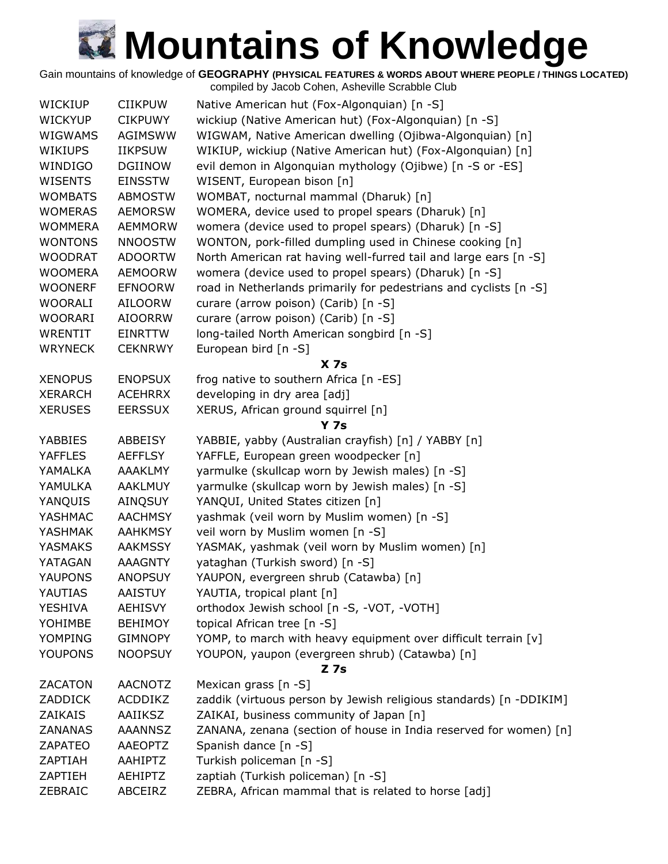Gain mountains of knowledge of **GEOGRAPHY (PHYSICAL FEATURES & WORDS ABOUT WHERE PEOPLE / THINGS LOCATED)** compiled by Jacob Cohen, Asheville Scrabble Club

|                |                | complied by Jacob Corien, Asheville Scrabble Club                  |
|----------------|----------------|--------------------------------------------------------------------|
| <b>WICKIUP</b> | <b>CIIKPUW</b> | Native American hut (Fox-Algonquian) [n -S]                        |
| <b>WICKYUP</b> | <b>CIKPUWY</b> | wickiup (Native American hut) (Fox-Algonquian) [n -S]              |
| <b>WIGWAMS</b> | AGIMSWW        | WIGWAM, Native American dwelling (Ojibwa-Algonquian) [n]           |
| WIKIUPS        | <b>IIKPSUW</b> | WIKIUP, wickiup (Native American hut) (Fox-Algonquian) [n]         |
| WINDIGO        | <b>DGIINOW</b> | evil demon in Algonquian mythology (Ojibwe) [n -S or -ES]          |
| <b>WISENTS</b> | <b>EINSSTW</b> | WISENT, European bison [n]                                         |
| <b>WOMBATS</b> | <b>ABMOSTW</b> | WOMBAT, nocturnal mammal (Dharuk) [n]                              |
| <b>WOMERAS</b> | <b>AEMORSW</b> | WOMERA, device used to propel spears (Dharuk) [n]                  |
| <b>WOMMERA</b> | <b>AEMMORW</b> | womera (device used to propel spears) (Dharuk) [n -S]              |
| <b>WONTONS</b> | <b>NNOOSTW</b> | WONTON, pork-filled dumpling used in Chinese cooking [n]           |
| <b>WOODRAT</b> | <b>ADOORTW</b> | North American rat having well-furred tail and large ears [n -S]   |
| <b>WOOMERA</b> | <b>AEMOORW</b> | womera (device used to propel spears) (Dharuk) [n -S]              |
| <b>WOONERF</b> | <b>EFNOORW</b> | road in Netherlands primarily for pedestrians and cyclists [n -S]  |
| <b>WOORALI</b> | <b>AILOORW</b> | curare (arrow poison) (Carib) [n -S]                               |
| <b>WOORARI</b> | <b>AIOORRW</b> | curare (arrow poison) (Carib) [n -S]                               |
| WRENTIT        | EINRTTW        | long-tailed North American songbird [n -S]                         |
| <b>WRYNECK</b> | <b>CEKNRWY</b> | European bird $[n - S]$                                            |
|                |                | X <sub>7s</sub>                                                    |
| <b>XENOPUS</b> | <b>ENOPSUX</b> | frog native to southern Africa [n -ES]                             |
| <b>XERARCH</b> | <b>ACEHRRX</b> | developing in dry area [adj]                                       |
| <b>XERUSES</b> | <b>EERSSUX</b> | XERUS, African ground squirrel [n]                                 |
|                |                | <b>Y 7s</b>                                                        |
| <b>YABBIES</b> | ABBEISY        | YABBIE, yabby (Australian crayfish) [n] / YABBY [n]                |
| <b>YAFFLES</b> | <b>AEFFLSY</b> | YAFFLE, European green woodpecker [n]                              |
| YAMALKA        | <b>AAAKLMY</b> | yarmulke (skullcap worn by Jewish males) [n -S]                    |
| YAMULKA        | <b>AAKLMUY</b> | yarmulke (skullcap worn by Jewish males) [n -S]                    |
| YANQUIS        | AINQSUY        | YANQUI, United States citizen [n]                                  |
| YASHMAC        | <b>AACHMSY</b> | yashmak (veil worn by Muslim women) [n -S]                         |
| YASHMAK        | <b>AAHKMSY</b> | veil worn by Muslim women [n -S]                                   |
| <b>YASMAKS</b> | <b>AAKMSSY</b> | YASMAK, yashmak (veil worn by Muslim women) [n]                    |
| YATAGAN        | <b>AAAGNTY</b> | yataghan (Turkish sword) [n -S]                                    |
| YAUPONS        | <b>ANOPSUY</b> | YAUPON, evergreen shrub (Catawba) [n]                              |
| YAUTIAS        | <b>AAISTUY</b> | YAUTIA, tropical plant [n]                                         |
| <b>YESHIVA</b> | <b>AEHISVY</b> | orthodox Jewish school [n -S, -VOT, -VOTH]                         |
| YOHIMBE        | <b>BEHIMOY</b> | topical African tree [n -S]                                        |
| YOMPING        | <b>GIMNOPY</b> | YOMP, to march with heavy equipment over difficult terrain [v]     |
| <b>YOUPONS</b> | <b>NOOPSUY</b> | YOUPON, yaupon (evergreen shrub) (Catawba) [n]                     |
|                |                | <b>Z</b> 7s                                                        |
| <b>ZACATON</b> | <b>AACNOTZ</b> | Mexican grass [n -S]                                               |
| <b>ZADDICK</b> | ACDDIKZ        | zaddik (virtuous person by Jewish religious standards) [n -DDIKIM] |
| <b>ZAIKAIS</b> | AAIIKSZ        | ZAIKAI, business community of Japan [n]                            |
| <b>ZANANAS</b> | <b>AAANNSZ</b> | ZANANA, zenana (section of house in India reserved for women) [n]  |
| ZAPATEO        | <b>AAEOPTZ</b> | Spanish dance [n -S]                                               |
| ZAPTIAH        | AAHIPTZ        | Turkish policeman [n -S]                                           |
| ZAPTIEH        | <b>AEHIPTZ</b> | zaptiah (Turkish policeman) [n -S]                                 |
| ZEBRAIC        | ABCEIRZ        | ZEBRA, African mammal that is related to horse [adj]               |